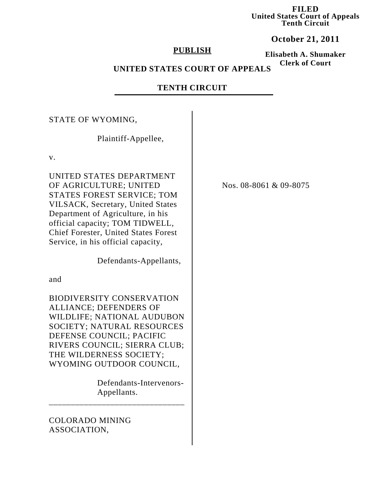**FILED United States Court of Appeals Tenth Circuit**

**October 21, 2011**

## **PUBLISH**

**Elisabeth A. Shumaker Clerk of Court**

# **UNITED STATES COURT OF APPEALS**

# **TENTH CIRCUIT**

#### STATE OF WYOMING,

Plaintiff-Appellee,

v.

UNITED STATES DEPARTMENT OF AGRICULTURE; UNITED STATES FOREST SERVICE; TOM VILSACK, Secretary, United States Department of Agriculture, in his official capacity; TOM TIDWELL, Chief Forester, United States Forest Service, in his official capacity,

Defendants-Appellants,

and

BIODIVERSITY CONSERVATION ALLIANCE; DEFENDERS OF WILDLIFE; NATIONAL AUDUBON SOCIETY; NATURAL RESOURCES DEFENSE COUNCIL; PACIFIC RIVERS COUNCIL; SIERRA CLUB; THE WILDERNESS SOCIETY; WYOMING OUTDOOR COUNCIL,

\_\_\_\_\_\_\_\_\_\_\_\_\_\_\_\_\_\_\_\_\_\_\_\_\_\_\_\_\_\_\_

 Defendants-Intervenors- Appellants.

# COLORADO MINING ASSOCIATION,

Nos. 08-8061 & 09-8075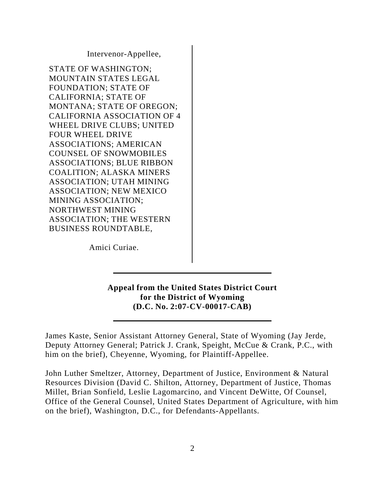Intervenor-Appellee,

STATE OF WASHINGTON; MOUNTAIN STATES LEGAL FOUNDATION; STATE OF CALIFORNIA; STATE OF MONTANA; STATE OF OREGON; CALIFORNIA ASSOCIATION OF 4 WHEEL DRIVE CLUBS; UNITED FOUR WHEEL DRIVE ASSOCIATIONS; AMERICAN COUNSEL OF SNOWMOBILES ASSOCIATIONS; BLUE RIBBON COALITION; ALASKA MINERS ASSOCIATION; UTAH MINING ASSOCIATION; NEW MEXICO MINING ASSOCIATION; NORTHWEST MINING ASSOCIATION; THE WESTERN BUSINESS ROUNDTABLE,

Amici Curiae.

**Appeal from the United States District Court for the District of Wyoming (D.C. No. 2:07-CV-00017-CAB)**

James Kaste, Senior Assistant Attorney General, State of Wyoming (Jay Jerde, Deputy Attorney General; Patrick J. Crank, Speight, McCue & Crank, P.C., with him on the brief), Cheyenne, Wyoming, for Plaintiff-Appellee.

John Luther Smeltzer, Attorney, Department of Justice, Environment & Natural Resources Division (David C. Shilton, Attorney, Department of Justice, Thomas Millet, Brian Sonfield, Leslie Lagomarcino, and Vincent DeWitte, Of Counsel, Office of the General Counsel, United States Department of Agriculture, with him on the brief), Washington, D.C., for Defendants-Appellants.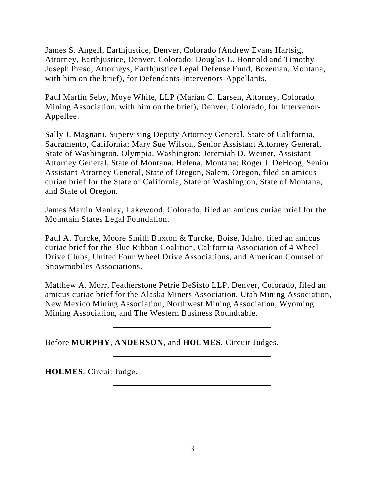James S. Angell, Earthjustice, Denver, Colorado (Andrew Evans Hartsig, Attorney, Earthjustice, Denver, Colorado; Douglas L. Honnold and Timothy Joseph Preso, Attorneys, Earthjustice Legal Defense Fund, Bozeman, Montana, with him on the brief), for Defendants-Intervenors-Appellants.

Paul Martin Seby, Moye White, LLP (Marian C. Larsen, Attorney, Colorado Mining Association, with him on the brief), Denver, Colorado, for Intervenor-Appellee.

Sally J. Magnani, Supervising Deputy Attorney General, State of California, Sacramento, California; Mary Sue Wilson, Senior Assistant Attorney General, State of Washington, Olympia, Washington; Jeremiah D. Weiner, Assistant Attorney General, State of Montana, Helena, Montana; Roger J. DeHoog, Senior Assistant Attorney General, State of Oregon, Salem, Oregon, filed an amicus curiae brief for the State of California, State of Washington, State of Montana, and State of Oregon.

James Martin Manley, Lakewood, Colorado, filed an amicus curiae brief for the Mountain States Legal Foundation.

Paul A. Turcke, Moore Smith Buxton & Turcke, Boise, Idaho, filed an amicus curiae brief for the Blue Ribbon Coalition, California Association of 4 Wheel Drive Clubs, United Four Wheel Drive Associations, and American Counsel of Snowmobiles Associations.

Matthew A. Morr, Featherstone Petrie DeSisto LLP, Denver, Colorado, filed an amicus curiae brief for the Alaska Miners Association, Utah Mining Association, New Mexico Mining Association, Northwest Mining Association, Wyoming Mining Association, and The Western Business Roundtable.

Before **MURPHY**, **ANDERSON**, and **HOLMES**, Circuit Judges.

**HOLMES**, Circuit Judge.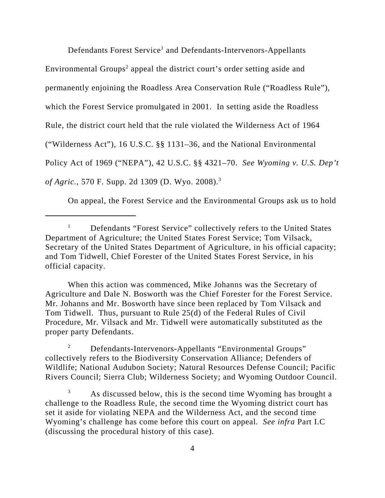Defendants Forest Service<sup>1</sup> and Defendants-Intervenors-Appellants

Environmental Groups<sup>2</sup> appeal the district court's order setting aside and

permanently enjoining the Roadless Area Conservation Rule ("Roadless Rule"),

which the Forest Service promulgated in 2001. In setting aside the Roadless

Rule, the district court held that the rule violated the Wilderness Act of 1964

("Wilderness Act"), 16 U.S.C. §§ 1131–36, and the National Environmental

Policy Act of 1969 ("NEPA"), 42 U.S.C. §§ 4321–70. *See Wyoming v. U.S. Dep't*

*of Agric.*, 570 F. Supp. 2d 1309 (D. Wyo. 2008).3

On appeal, the Forest Service and the Environmental Groups ask us to hold

When this action was commenced, Mike Johanns was the Secretary of Agriculture and Dale N. Bosworth was the Chief Forester for the Forest Service. Mr. Johanns and Mr. Bosworth have since been replaced by Tom Vilsack and Tom Tidwell. Thus, pursuant to Rule 25(d) of the Federal Rules of Civil Procedure, Mr. Vilsack and Mr. Tidwell were automatically substituted as the proper party Defendants.

<sup>2</sup> Defendants-Intervenors-Appellants "Environmental Groups" collectively refers to the Biodiversity Conservation Alliance; Defenders of Wildlife; National Audubon Society; Natural Resources Defense Council; Pacific Rivers Council; Sierra Club; Wilderness Society; and Wyoming Outdoor Council.

<sup>3</sup> As discussed below, this is the second time Wyoming has brought a challenge to the Roadless Rule, the second time the Wyoming district court has set it aside for violating NEPA and the Wilderness Act, and the second time Wyoming's challenge has come before this court on appeal. *See infra* Part I.C (discussing the procedural history of this case).

<sup>&</sup>lt;sup>1</sup> Defendants "Forest Service" collectively refers to the United States Department of Agriculture; the United States Forest Service; Tom Vilsack, Secretary of the United States Department of Agriculture, in his official capacity; and Tom Tidwell, Chief Forester of the United States Forest Service, in his official capacity.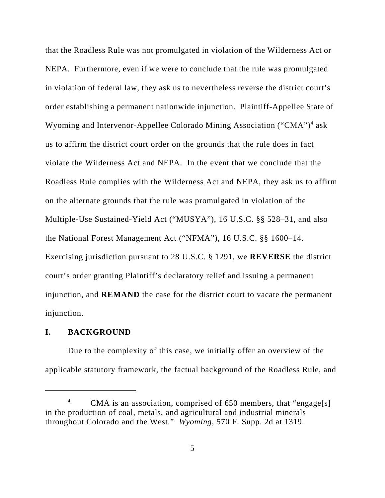that the Roadless Rule was not promulgated in violation of the Wilderness Act or NEPA. Furthermore, even if we were to conclude that the rule was promulgated in violation of federal law, they ask us to nevertheless reverse the district court's order establishing a permanent nationwide injunction. Plaintiff-Appellee State of Wyoming and Intervenor-Appellee Colorado Mining Association ("CMA")<sup>4</sup> ask us to affirm the district court order on the grounds that the rule does in fact violate the Wilderness Act and NEPA. In the event that we conclude that the Roadless Rule complies with the Wilderness Act and NEPA, they ask us to affirm on the alternate grounds that the rule was promulgated in violation of the Multiple-Use Sustained-Yield Act ("MUSYA"), 16 U.S.C. §§ 528–31, and also the National Forest Management Act ("NFMA"), 16 U.S.C. §§ 1600–14. Exercising jurisdiction pursuant to 28 U.S.C. § 1291, we **REVERSE** the district court's order granting Plaintiff's declaratory relief and issuing a permanent injunction, and **REMAND** the case for the district court to vacate the permanent injunction.

# **I. BACKGROUND**

Due to the complexity of this case, we initially offer an overview of the applicable statutory framework, the factual background of the Roadless Rule, and

<sup>&</sup>lt;sup>4</sup> CMA is an association, comprised of 650 members, that "engage[s] in the production of coal, metals, and agricultural and industrial minerals throughout Colorado and the West." *Wyoming*, 570 F. Supp. 2d at 1319.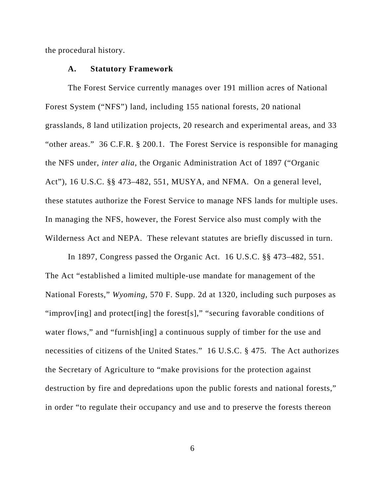the procedural history.

### **A. Statutory Framework**

The Forest Service currently manages over 191 million acres of National Forest System ("NFS") land, including 155 national forests, 20 national grasslands, 8 land utilization projects, 20 research and experimental areas, and 33 "other areas." 36 C.F.R. § 200.1. The Forest Service is responsible for managing the NFS under, *inter alia*, the Organic Administration Act of 1897 ("Organic Act"), 16 U.S.C. §§ 473–482, 551, MUSYA, and NFMA*.* On a general level, these statutes authorize the Forest Service to manage NFS lands for multiple uses. In managing the NFS, however, the Forest Service also must comply with the Wilderness Act and NEPA. These relevant statutes are briefly discussed in turn.

In 1897, Congress passed the Organic Act. 16 U.S.C. §§ 473–482, 551. The Act "established a limited multiple-use mandate for management of the National Forests," *Wyoming*, 570 F. Supp. 2d at 1320, including such purposes as "improv[ing] and protect[ing] the forest[s]," "securing favorable conditions of water flows," and "furnish[ing] a continuous supply of timber for the use and necessities of citizens of the United States." 16 U.S.C. § 475. The Act authorizes the Secretary of Agriculture to "make provisions for the protection against destruction by fire and depredations upon the public forests and national forests," in order "to regulate their occupancy and use and to preserve the forests thereon

6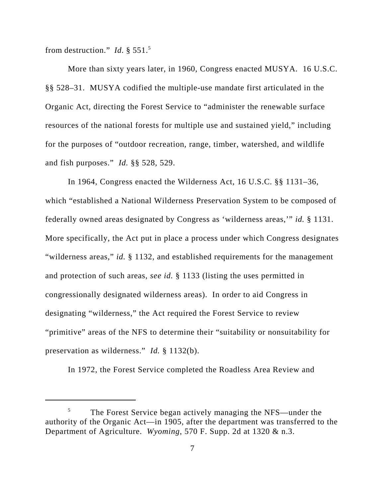from destruction." *Id.* § 551.5

More than sixty years later, in 1960, Congress enacted MUSYA. 16 U.S.C. §§ 528–31. MUSYA codified the multiple-use mandate first articulated in the Organic Act, directing the Forest Service to "administer the renewable surface resources of the national forests for multiple use and sustained yield," including for the purposes of "outdoor recreation, range, timber, watershed, and wildlife and fish purposes." *Id.* §§ 528, 529.

In 1964, Congress enacted the Wilderness Act, 16 U.S.C. §§ 1131–36, which "established a National Wilderness Preservation System to be composed of federally owned areas designated by Congress as 'wilderness areas,'" *id.* § 1131. More specifically, the Act put in place a process under which Congress designates "wilderness areas," *id.* § 1132, and established requirements for the management and protection of such areas, *see id.* § 1133 (listing the uses permitted in congressionally designated wilderness areas). In order to aid Congress in designating "wilderness," the Act required the Forest Service to review "primitive" areas of the NFS to determine their "suitability or nonsuitability for preservation as wilderness." *Id.* § 1132(b).

In 1972, the Forest Service completed the Roadless Area Review and

<sup>&</sup>lt;sup>5</sup> The Forest Service began actively managing the NFS—under the authority of the Organic Act—in 1905, after the department was transferred to the Department of Agriculture. *Wyoming*, 570 F. Supp. 2d at 1320 & n.3.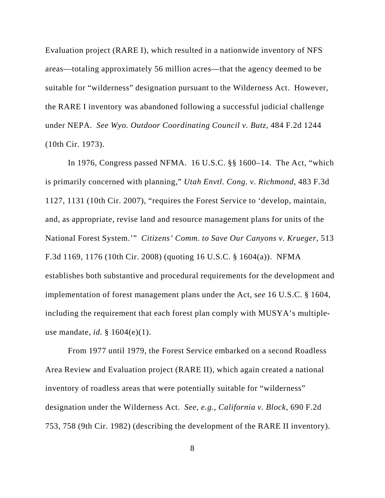Evaluation project (RARE I), which resulted in a nationwide inventory of NFS areas—totaling approximately 56 million acres—that the agency deemed to be suitable for "wilderness" designation pursuant to the Wilderness Act. However, the RARE I inventory was abandoned following a successful judicial challenge under NEPA. *See Wyo. Outdoor Coordinating Council v. Butz*, 484 F.2d 1244 (10th Cir. 1973).

In 1976, Congress passed NFMA. 16 U.S.C. §§ 1600–14. The Act, "which is primarily concerned with planning," *Utah Envtl. Cong. v. Richmond*, 483 F.3d 1127, 1131 (10th Cir. 2007), "requires the Forest Service to 'develop, maintain, and, as appropriate, revise land and resource management plans for units of the National Forest System.'" *Citizens' Comm. to Save Our Canyons v. Krueger*, 513 F.3d 1169, 1176 (10th Cir. 2008) (quoting 16 U.S.C. § 1604(a)). NFMA establishes both substantive and procedural requirements for the development and implementation of forest management plans under the Act, s*ee* 16 U.S.C. § 1604, including the requirement that each forest plan comply with MUSYA's multipleuse mandate, *id.* § 1604(e)(1).

From 1977 until 1979, the Forest Service embarked on a second Roadless Area Review and Evaluation project (RARE II), which again created a national inventory of roadless areas that were potentially suitable for "wilderness" designation under the Wilderness Act. *See, e.g.*, *California v. Block*, 690 F.2d 753, 758 (9th Cir. 1982) (describing the development of the RARE II inventory).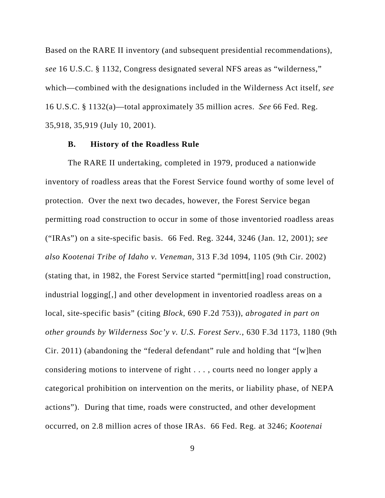Based on the RARE II inventory (and subsequent presidential recommendations), *see* 16 U.S.C. § 1132, Congress designated several NFS areas as "wilderness," which—combined with the designations included in the Wilderness Act itself, *see* 16 U.S.C. § 1132(a)—total approximately 35 million acres. *See* 66 Fed. Reg. 35,918, 35,919 (July 10, 2001).

## **B. History of the Roadless Rule**

The RARE II undertaking, completed in 1979, produced a nationwide inventory of roadless areas that the Forest Service found worthy of some level of protection. Over the next two decades, however, the Forest Service began permitting road construction to occur in some of those inventoried roadless areas ("IRAs") on a site-specific basis. 66 Fed. Reg. 3244, 3246 (Jan. 12, 2001); *see also Kootenai Tribe of Idaho v. Veneman*, 313 F.3d 1094, 1105 (9th Cir. 2002) (stating that, in 1982, the Forest Service started "permitt[ing] road construction, industrial logging[,] and other development in inventoried roadless areas on a local, site-specific basis" (citing *Block*, 690 F.2d 753)), *abrogated in part on other grounds by Wilderness Soc'y v. U.S. Forest Serv.*, 630 F.3d 1173, 1180 (9th Cir. 2011) (abandoning the "federal defendant" rule and holding that "[w]hen considering motions to intervene of right . . . , courts need no longer apply a categorical prohibition on intervention on the merits, or liability phase, of NEPA actions"). During that time, roads were constructed, and other development occurred, on 2.8 million acres of those IRAs. 66 Fed. Reg. at 3246; *Kootenai*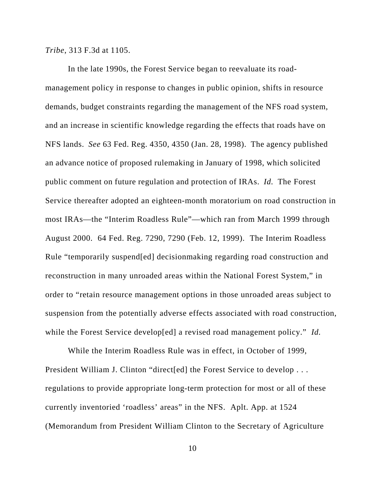*Tribe*, 313 F.3d at 1105.

In the late 1990s, the Forest Service began to reevaluate its roadmanagement policy in response to changes in public opinion, shifts in resource demands, budget constraints regarding the management of the NFS road system, and an increase in scientific knowledge regarding the effects that roads have on NFS lands. *See* 63 Fed. Reg. 4350, 4350 (Jan. 28, 1998). The agency published an advance notice of proposed rulemaking in January of 1998, which solicited public comment on future regulation and protection of IRAs. *Id.* The Forest Service thereafter adopted an eighteen-month moratorium on road construction in most IRAs—the "Interim Roadless Rule"—which ran from March 1999 through August 2000. 64 Fed. Reg. 7290, 7290 (Feb. 12, 1999). The Interim Roadless Rule "temporarily suspend[ed] decisionmaking regarding road construction and reconstruction in many unroaded areas within the National Forest System," in order to "retain resource management options in those unroaded areas subject to suspension from the potentially adverse effects associated with road construction, while the Forest Service develop[ed] a revised road management policy." *Id.* 

While the Interim Roadless Rule was in effect, in October of 1999, President William J. Clinton "direct[ed] the Forest Service to develop . . . regulations to provide appropriate long-term protection for most or all of these currently inventoried 'roadless' areas" in the NFS. Aplt. App. at 1524 (Memorandum from President William Clinton to the Secretary of Agriculture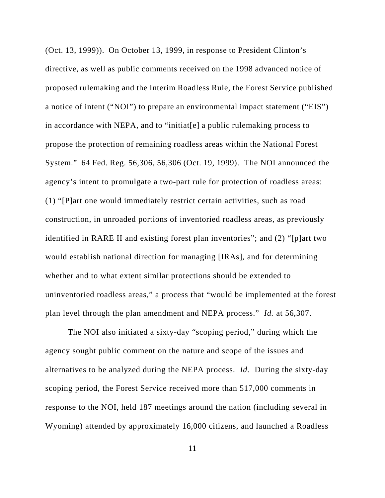(Oct. 13, 1999)). On October 13, 1999, in response to President Clinton's directive, as well as public comments received on the 1998 advanced notice of proposed rulemaking and the Interim Roadless Rule, the Forest Service published a notice of intent ("NOI") to prepare an environmental impact statement ("EIS") in accordance with NEPA, and to "initiat[e] a public rulemaking process to propose the protection of remaining roadless areas within the National Forest System." 64 Fed. Reg. 56,306, 56,306 (Oct. 19, 1999). The NOI announced the agency's intent to promulgate a two-part rule for protection of roadless areas: (1) "[P]art one would immediately restrict certain activities, such as road construction, in unroaded portions of inventoried roadless areas, as previously identified in RARE II and existing forest plan inventories"; and (2) "[p]art two would establish national direction for managing [IRAs], and for determining whether and to what extent similar protections should be extended to uninventoried roadless areas," a process that "would be implemented at the forest plan level through the plan amendment and NEPA process." *Id.* at 56,307.

The NOI also initiated a sixty-day "scoping period," during which the agency sought public comment on the nature and scope of the issues and alternatives to be analyzed during the NEPA process. *Id.* During the sixty-day scoping period, the Forest Service received more than 517,000 comments in response to the NOI, held 187 meetings around the nation (including several in Wyoming) attended by approximately 16,000 citizens, and launched a Roadless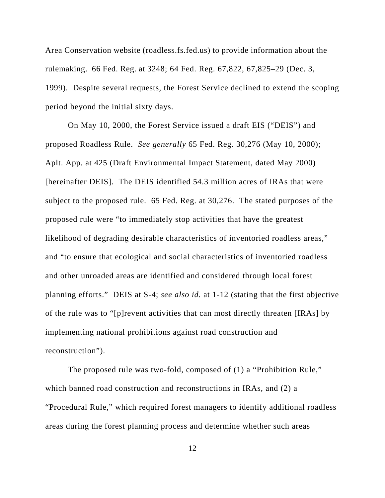Area Conservation website (roadless.fs.fed.us) to provide information about the rulemaking. 66 Fed. Reg. at 3248; 64 Fed. Reg. 67,822, 67,825–29 (Dec. 3, 1999). Despite several requests, the Forest Service declined to extend the scoping period beyond the initial sixty days.

On May 10, 2000, the Forest Service issued a draft EIS ("DEIS") and proposed Roadless Rule. *See generally* 65 Fed. Reg. 30,276 (May 10, 2000); Aplt. App. at 425 (Draft Environmental Impact Statement, dated May 2000) [hereinafter DEIS]. The DEIS identified 54.3 million acres of IRAs that were subject to the proposed rule. 65 Fed. Reg. at 30,276. The stated purposes of the proposed rule were "to immediately stop activities that have the greatest likelihood of degrading desirable characteristics of inventoried roadless areas," and "to ensure that ecological and social characteristics of inventoried roadless and other unroaded areas are identified and considered through local forest planning efforts." DEIS at S-4; *see also id.* at 1-12 (stating that the first objective of the rule was to "[p]revent activities that can most directly threaten [IRAs] by implementing national prohibitions against road construction and reconstruction").

The proposed rule was two-fold, composed of (1) a "Prohibition Rule," which banned road construction and reconstructions in IRAs, and (2) a "Procedural Rule," which required forest managers to identify additional roadless areas during the forest planning process and determine whether such areas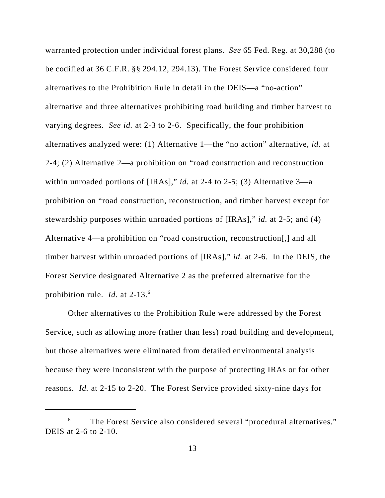warranted protection under individual forest plans. *See* 65 Fed. Reg. at 30,288 (to be codified at 36 C.F.R. §§ 294.12, 294.13). The Forest Service considered four alternatives to the Prohibition Rule in detail in the DEIS—a "no-action" alternative and three alternatives prohibiting road building and timber harvest to varying degrees. *See id.* at 2-3 to 2-6. Specifically, the four prohibition alternatives analyzed were: (1) Alternative 1—the "no action" alternative, *id.* at 2-4; (2) Alternative 2—a prohibition on "road construction and reconstruction within unroaded portions of [IRAs]," *id.* at 2-4 to 2-5; (3) Alternative 3—a prohibition on "road construction, reconstruction, and timber harvest except for stewardship purposes within unroaded portions of [IRAs]," *id.* at 2-5; and (4) Alternative 4—a prohibition on "road construction, reconstruction[,] and all timber harvest within unroaded portions of [IRAs]," *id.* at 2-6. In the DEIS, the Forest Service designated Alternative 2 as the preferred alternative for the prohibition rule. *Id.* at 2-13.<sup>6</sup>

Other alternatives to the Prohibition Rule were addressed by the Forest Service, such as allowing more (rather than less) road building and development, but those alternatives were eliminated from detailed environmental analysis because they were inconsistent with the purpose of protecting IRAs or for other reasons. *Id.* at 2-15 to 2-20. The Forest Service provided sixty-nine days for

<sup>&</sup>lt;sup>6</sup> The Forest Service also considered several "procedural alternatives." DEIS at 2-6 to 2-10.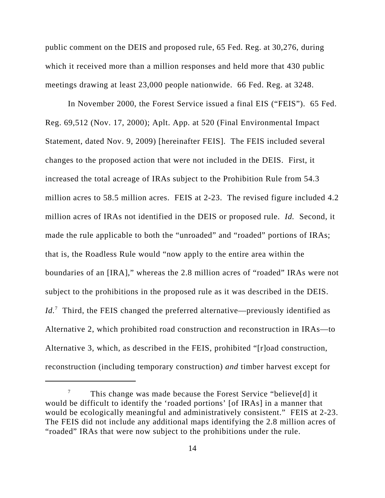public comment on the DEIS and proposed rule, 65 Fed. Reg. at 30,276, during which it received more than a million responses and held more that 430 public meetings drawing at least 23,000 people nationwide. 66 Fed. Reg. at 3248.

In November 2000, the Forest Service issued a final EIS ("FEIS"). 65 Fed. Reg. 69,512 (Nov. 17, 2000); Aplt. App. at 520 (Final Environmental Impact Statement, dated Nov. 9, 2009) [hereinafter FEIS]. The FEIS included several changes to the proposed action that were not included in the DEIS. First, it increased the total acreage of IRAs subject to the Prohibition Rule from 54.3 million acres to 58.5 million acres. FEIS at 2-23. The revised figure included 4.2 million acres of IRAs not identified in the DEIS or proposed rule. *Id.* Second, it made the rule applicable to both the "unroaded" and "roaded" portions of IRAs; that is, the Roadless Rule would "now apply to the entire area within the boundaries of an [IRA]," whereas the 2.8 million acres of "roaded" IRAs were not subject to the prohibitions in the proposed rule as it was described in the DEIS. Id.<sup>7</sup> Third, the FEIS changed the preferred alternative—previously identified as Alternative 2, which prohibited road construction and reconstruction in IRAs—to Alternative 3, which, as described in the FEIS, prohibited "[r]oad construction, reconstruction (including temporary construction) *and* timber harvest except for

<sup>&</sup>lt;sup>7</sup> This change was made because the Forest Service "believe[d] it would be difficult to identify the 'roaded portions' [of IRAs] in a manner that would be ecologically meaningful and administratively consistent." FEIS at 2-23. The FEIS did not include any additional maps identifying the 2.8 million acres of "roaded" IRAs that were now subject to the prohibitions under the rule.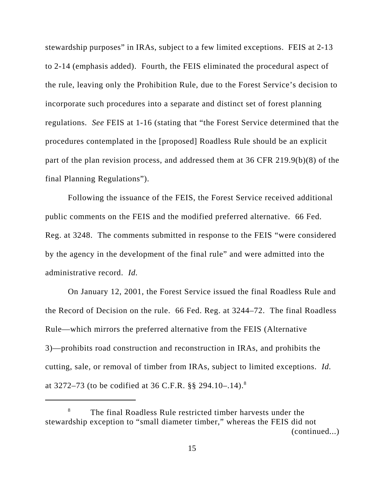stewardship purposes" in IRAs, subject to a few limited exceptions. FEIS at 2-13 to 2-14 (emphasis added). Fourth, the FEIS eliminated the procedural aspect of the rule, leaving only the Prohibition Rule, due to the Forest Service's decision to incorporate such procedures into a separate and distinct set of forest planning regulations. *See* FEIS at 1-16 (stating that "the Forest Service determined that the procedures contemplated in the [proposed] Roadless Rule should be an explicit part of the plan revision process, and addressed them at 36 CFR 219.9(b)(8) of the final Planning Regulations").

Following the issuance of the FEIS, the Forest Service received additional public comments on the FEIS and the modified preferred alternative. 66 Fed. Reg. at 3248. The comments submitted in response to the FEIS "were considered by the agency in the development of the final rule" and were admitted into the administrative record. *Id.*

On January 12, 2001, the Forest Service issued the final Roadless Rule and the Record of Decision on the rule. 66 Fed. Reg. at 3244–72. The final Roadless Rule—which mirrors the preferred alternative from the FEIS (Alternative 3)—prohibits road construction and reconstruction in IRAs, and prohibits the cutting, sale, or removal of timber from IRAs, subject to limited exceptions. *Id.* at 3272–73 (to be codified at 36 C.F.R.  $\S$ § 294.10–.14).<sup>8</sup>

 $8$  The final Roadless Rule restricted timber harvests under the stewardship exception to "small diameter timber," whereas the FEIS did not (continued...)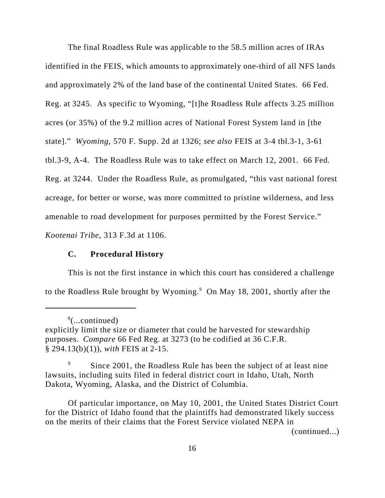The final Roadless Rule was applicable to the 58.5 million acres of IRAs identified in the FEIS, which amounts to approximately one-third of all NFS lands and approximately 2% of the land base of the continental United States. 66 Fed. Reg. at 3245. As specific to Wyoming, "[t]he Roadless Rule affects 3.25 million acres (or 35%) of the 9.2 million acres of National Forest System land in [the state]." *Wyoming*, 570 F. Supp. 2d at 1326; *see also* FEIS at 3-4 tbl.3-1, 3-61 tbl.3-9, A-4. The Roadless Rule was to take effect on March 12, 2001. 66 Fed. Reg. at 3244. Under the Roadless Rule, as promulgated, "this vast national forest acreage, for better or worse, was more committed to pristine wilderness, and less amenable to road development for purposes permitted by the Forest Service." *Kootenai Tribe*, 313 F.3d at 1106.

## **C. Procedural History**

This is not the first instance in which this court has considered a challenge to the Roadless Rule brought by Wyoming.<sup>9</sup> On May 18, 2001, shortly after the

(continued...)

<sup>8</sup> (...continued)

explicitly limit the size or diameter that could be harvested for stewardship purposes. *Compare* 66 Fed Reg. at 3273 (to be codified at 36 C.F.R. § 294.13(b)(1)), *with* FEIS at 2-15.

<sup>&</sup>lt;sup>9</sup> Since 2001, the Roadless Rule has been the subject of at least nine lawsuits, including suits filed in federal district court in Idaho, Utah, North Dakota, Wyoming, Alaska, and the District of Columbia.

Of particular importance, on May 10, 2001, the United States District Court for the District of Idaho found that the plaintiffs had demonstrated likely success on the merits of their claims that the Forest Service violated NEPA in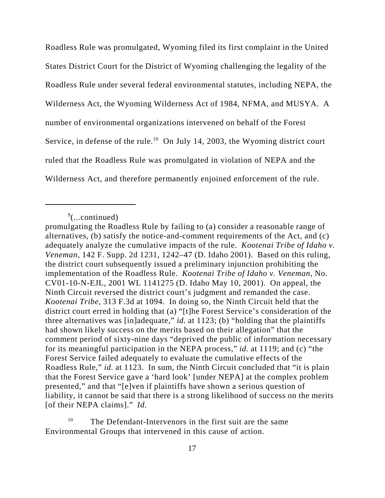Roadless Rule was promulgated, Wyoming filed its first complaint in the United States District Court for the District of Wyoming challenging the legality of the Roadless Rule under several federal environmental statutes, including NEPA, the Wilderness Act, the Wyoming Wilderness Act of 1984, NFMA, and MUSYA. A number of environmental organizations intervened on behalf of the Forest Service, in defense of the rule.<sup>10</sup> On July 14, 2003, the Wyoming district court ruled that the Roadless Rule was promulgated in violation of NEPA and the Wilderness Act, and therefore permanently enjoined enforcement of the rule.

 $\sqrt[9]{$ ...continued)

promulgating the Roadless Rule by failing to (a) consider a reasonable range of alternatives, (b) satisfy the notice-and-comment requirements of the Act, and (c) adequately analyze the cumulative impacts of the rule. *Kootenai Tribe of Idaho v. Veneman*, 142 F. Supp. 2d 1231, 1242–47 (D. Idaho 2001). Based on this ruling, the district court subsequently issued a preliminary injunction prohibiting the implementation of the Roadless Rule. *Kootenai Tribe of Idaho v. Veneman*, No. CV01-10-N-EJL, 2001 WL 1141275 (D. Idaho May 10, 2001). On appeal, the Ninth Circuit reversed the district court's judgment and remanded the case. *Kootenai Tribe*, 313 F.3d at 1094. In doing so, the Ninth Circuit held that the district court erred in holding that (a) "[t]he Forest Service's consideration of the three alternatives was [in]adequate," *id.* at 1123; (b) "holding that the plaintiffs had shown likely success on the merits based on their allegation" that the comment period of sixty-nine days "deprived the public of information necessary for its meaningful participation in the NEPA process," *id.* at 1119; and (c) "the Forest Service failed adequately to evaluate the cumulative effects of the Roadless Rule," *id.* at 1123. In sum, the Ninth Circuit concluded that "it is plain that the Forest Service gave a 'hard look' [under NEPA] at the complex problem presented," and that "[e]ven if plaintiffs have shown a serious question of liability, it cannot be said that there is a strong likelihood of success on the merits [of their NEPA claims]." *Id.*

 $10$  The Defendant-Intervenors in the first suit are the same Environmental Groups that intervened in this cause of action.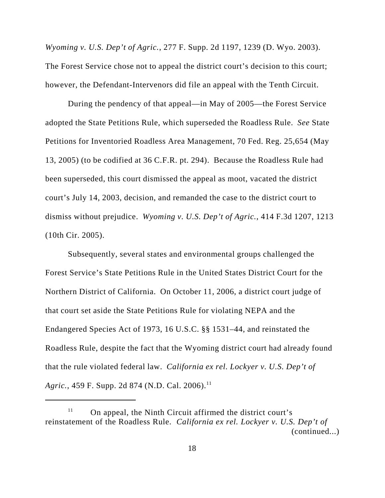*Wyoming v. U.S. Dep't of Agric.*, 277 F. Supp. 2d 1197, 1239 (D. Wyo. 2003). The Forest Service chose not to appeal the district court's decision to this court; however, the Defendant-Intervenors did file an appeal with the Tenth Circuit.

During the pendency of that appeal—in May of 2005—the Forest Service adopted the State Petitions Rule, which superseded the Roadless Rule. *See* State Petitions for Inventoried Roadless Area Management, 70 Fed. Reg. 25,654 (May 13, 2005) (to be codified at 36 C.F.R. pt. 294). Because the Roadless Rule had been superseded, this court dismissed the appeal as moot, vacated the district court's July 14, 2003, decision, and remanded the case to the district court to dismiss without prejudice. *Wyoming v. U.S. Dep't of Agric.*, 414 F.3d 1207, 1213 (10th Cir. 2005).

Subsequently, several states and environmental groups challenged the Forest Service's State Petitions Rule in the United States District Court for the Northern District of California. On October 11, 2006, a district court judge of that court set aside the State Petitions Rule for violating NEPA and the Endangered Species Act of 1973, 16 U.S.C. §§ 1531–44, and reinstated the Roadless Rule, despite the fact that the Wyoming district court had already found that the rule violated federal law. *California ex rel. Lockyer v. U.S. Dep't of Agric.*, 459 F. Supp. 2d 874 (N.D. Cal. 2006).<sup>11</sup>

 $11$  On appeal, the Ninth Circuit affirmed the district court's reinstatement of the Roadless Rule. *California ex rel. Lockyer v. U.S. Dep't of* (continued...)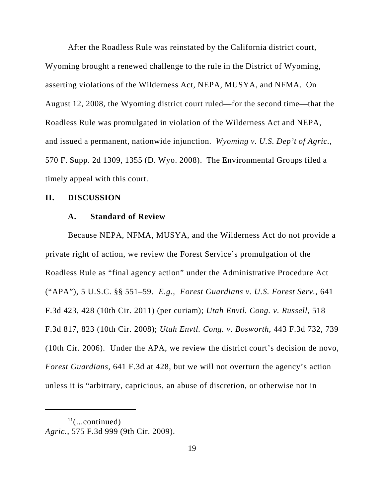After the Roadless Rule was reinstated by the California district court, Wyoming brought a renewed challenge to the rule in the District of Wyoming, asserting violations of the Wilderness Act, NEPA, MUSYA, and NFMA. On August 12, 2008, the Wyoming district court ruled—for the second time—that the Roadless Rule was promulgated in violation of the Wilderness Act and NEPA, and issued a permanent, nationwide injunction. *Wyoming v. U.S. Dep't of Agric.*, 570 F. Supp. 2d 1309, 1355 (D. Wyo. 2008). The Environmental Groups filed a timely appeal with this court.

## **II. DISCUSSION**

## **A. Standard of Review**

Because NEPA, NFMA, MUSYA, and the Wilderness Act do not provide a private right of action, we review the Forest Service's promulgation of the Roadless Rule as "final agency action" under the Administrative Procedure Act ("APA"), 5 U.S.C. §§ 551–59. *E.g.*, *Forest Guardians v. U.S. Forest Serv.*, 641 F.3d 423, 428 (10th Cir. 2011) (per curiam); *Utah Envtl. Cong. v. Russell*, 518 F.3d 817, 823 (10th Cir. 2008); *Utah Envtl. Cong. v. Bosworth*, 443 F.3d 732, 739 (10th Cir. 2006). Under the APA, we review the district court's decision de novo, *Forest Guardians*, 641 F.3d at 428, but we will not overturn the agency's action unless it is "arbitrary, capricious, an abuse of discretion, or otherwise not in

 $11$ (...continued) *Agric.*, 575 F.3d 999 (9th Cir. 2009).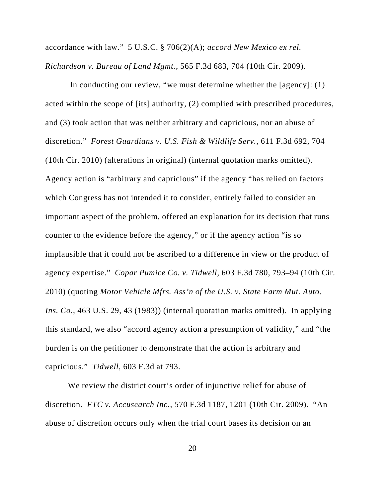accordance with law." 5 U.S.C. § 706(2)(A); *accord New Mexico ex rel. Richardson v. Bureau of Land Mgmt.*, 565 F.3d 683, 704 (10th Cir. 2009).

 In conducting our review, "we must determine whether the [agency]: (1) acted within the scope of [its] authority, (2) complied with prescribed procedures, and (3) took action that was neither arbitrary and capricious, nor an abuse of discretion." *Forest Guardians v. U.S. Fish & Wildlife Serv.*, 611 F.3d 692, 704 (10th Cir. 2010) (alterations in original) (internal quotation marks omitted). Agency action is "arbitrary and capricious" if the agency "has relied on factors which Congress has not intended it to consider, entirely failed to consider an important aspect of the problem, offered an explanation for its decision that runs counter to the evidence before the agency," or if the agency action "is so implausible that it could not be ascribed to a difference in view or the product of agency expertise." *Copar Pumice Co. v. Tidwell*, 603 F.3d 780, 793–94 (10th Cir. 2010) (quoting *Motor Vehicle Mfrs. Ass'n of the U.S. v. State Farm Mut. Auto. Ins. Co.*, 463 U.S. 29, 43 (1983)) (internal quotation marks omitted). In applying this standard, we also "accord agency action a presumption of validity," and "the burden is on the petitioner to demonstrate that the action is arbitrary and capricious." *Tidwell*, 603 F.3d at 793.

 We review the district court's order of injunctive relief for abuse of discretion. *FTC v. Accusearch Inc.*, 570 F.3d 1187, 1201 (10th Cir. 2009). "An abuse of discretion occurs only when the trial court bases its decision on an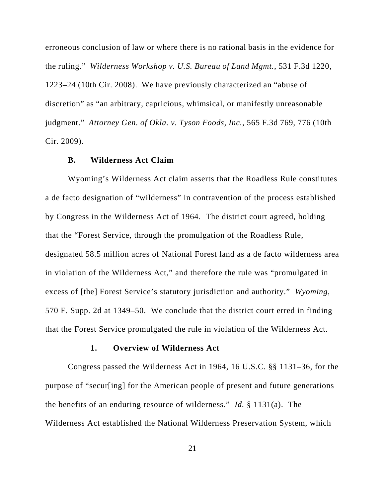erroneous conclusion of law or where there is no rational basis in the evidence for the ruling." *Wilderness Workshop v. U.S. Bureau of Land Mgmt.*, 531 F.3d 1220, 1223–24 (10th Cir. 2008). We have previously characterized an "abuse of discretion" as "an arbitrary, capricious, whimsical, or manifestly unreasonable judgment." *Attorney Gen. of Okla. v. Tyson Foods, Inc.*, 565 F.3d 769, 776 (10th Cir. 2009).

## **B. Wilderness Act Claim**

Wyoming's Wilderness Act claim asserts that the Roadless Rule constitutes a de facto designation of "wilderness" in contravention of the process established by Congress in the Wilderness Act of 1964. The district court agreed, holding that the "Forest Service, through the promulgation of the Roadless Rule, designated 58.5 million acres of National Forest land as a de facto wilderness area in violation of the Wilderness Act," and therefore the rule was "promulgated in excess of [the] Forest Service's statutory jurisdiction and authority." *Wyoming*, 570 F. Supp. 2d at 1349–50. We conclude that the district court erred in finding that the Forest Service promulgated the rule in violation of the Wilderness Act.

#### **1. Overview of Wilderness Act**

Congress passed the Wilderness Act in 1964, 16 U.S.C. §§ 1131–36, for the purpose of "secur[ing] for the American people of present and future generations the benefits of an enduring resource of wilderness." *Id.* § 1131(a). The Wilderness Act established the National Wilderness Preservation System, which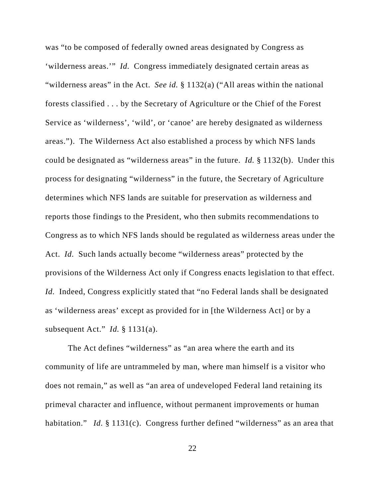was "to be composed of federally owned areas designated by Congress as 'wilderness areas.'" *Id.* Congress immediately designated certain areas as "wilderness areas" in the Act. *See id.* § 1132(a) ("All areas within the national forests classified . . . by the Secretary of Agriculture or the Chief of the Forest Service as 'wilderness', 'wild', or 'canoe' are hereby designated as wilderness areas."). The Wilderness Act also established a process by which NFS lands could be designated as "wilderness areas" in the future. *Id.* § 1132(b). Under this process for designating "wilderness" in the future, the Secretary of Agriculture determines which NFS lands are suitable for preservation as wilderness and reports those findings to the President, who then submits recommendations to Congress as to which NFS lands should be regulated as wilderness areas under the Act. *Id.* Such lands actually become "wilderness areas" protected by the provisions of the Wilderness Act only if Congress enacts legislation to that effect. *Id.* Indeed, Congress explicitly stated that "no Federal lands shall be designated as 'wilderness areas' except as provided for in [the Wilderness Act] or by a subsequent Act." *Id.* § 1131(a).

The Act defines "wilderness" as "an area where the earth and its community of life are untrammeled by man, where man himself is a visitor who does not remain," as well as "an area of undeveloped Federal land retaining its primeval character and influence, without permanent improvements or human habitation." *Id.* § 1131(c). Congress further defined "wilderness" as an area that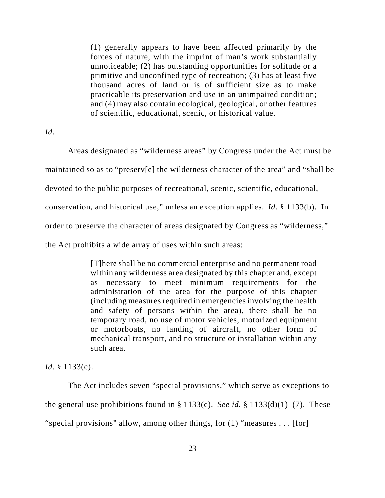(1) generally appears to have been affected primarily by the forces of nature, with the imprint of man's work substantially unnoticeable; (2) has outstanding opportunities for solitude or a primitive and unconfined type of recreation; (3) has at least five thousand acres of land or is of sufficient size as to make practicable its preservation and use in an unimpaired condition; and (4) may also contain ecological, geological, or other features of scientific, educational, scenic, or historical value.

*Id.*

Areas designated as "wilderness areas" by Congress under the Act must be maintained so as to "preserv[e] the wilderness character of the area" and "shall be devoted to the public purposes of recreational, scenic, scientific, educational, conservation, and historical use," unless an exception applies. *Id.* § 1133(b). In order to preserve the character of areas designated by Congress as "wilderness," the Act prohibits a wide array of uses within such areas:

> [T]here shall be no commercial enterprise and no permanent road within any wilderness area designated by this chapter and, except as necessary to meet minimum requirements for the administration of the area for the purpose of this chapter (including measures required in emergencies involving the health and safety of persons within the area), there shall be no temporary road, no use of motor vehicles, motorized equipment or motorboats, no landing of aircraft, no other form of mechanical transport, and no structure or installation within any such area.

*Id.* § 1133(c).

The Act includes seven "special provisions," which serve as exceptions to the general use prohibitions found in § 1133(c). *See id.* § 1133(d)(1)–(7). These "special provisions" allow, among other things, for (1) "measures . . . [for]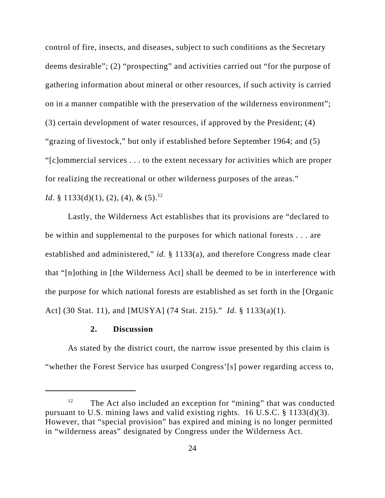control of fire, insects, and diseases, subject to such conditions as the Secretary deems desirable"; (2) "prospecting" and activities carried out "for the purpose of gathering information about mineral or other resources, if such activity is carried on in a manner compatible with the preservation of the wilderness environment"; (3) certain development of water resources, if approved by the President; (4) "grazing of livestock," but only if established before September 1964; and (5) "[c]ommercial services . . . to the extent necessary for activities which are proper for realizing the recreational or other wilderness purposes of the areas."

*Id.* § 1133(d)(1), (2), (4), &  $(5)$ .<sup>12</sup>

Lastly, the Wilderness Act establishes that its provisions are "declared to be within and supplemental to the purposes for which national forests . . . are established and administered," *id.* § 1133(a), and therefore Congress made clear that "[n]othing in [the Wilderness Act] shall be deemed to be in interference with the purpose for which national forests are established as set forth in the [Organic Act] (30 Stat. 11), and [MUSYA] (74 Stat. 215)." *Id.* § 1133(a)(1).

# **2. Discussion**

As stated by the district court, the narrow issue presented by this claim is "whether the Forest Service has usurped Congress'[s] power regarding access to,

 $12$  The Act also included an exception for "mining" that was conducted pursuant to U.S. mining laws and valid existing rights. 16 U.S.C. § 1133(d)(3). However, that "special provision" has expired and mining is no longer permitted in "wilderness areas" designated by Congress under the Wilderness Act.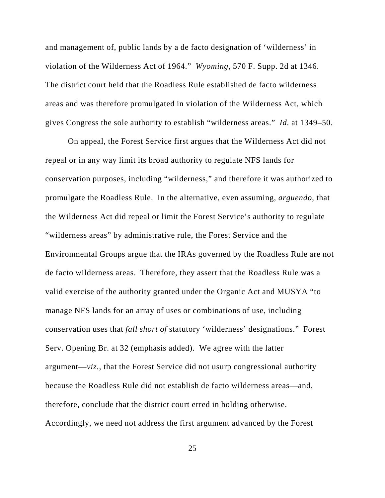and management of, public lands by a de facto designation of 'wilderness' in violation of the Wilderness Act of 1964." *Wyoming*, 570 F. Supp. 2d at 1346. The district court held that the Roadless Rule established de facto wilderness areas and was therefore promulgated in violation of the Wilderness Act, which gives Congress the sole authority to establish "wilderness areas." *Id.* at 1349–50.

On appeal, the Forest Service first argues that the Wilderness Act did not repeal or in any way limit its broad authority to regulate NFS lands for conservation purposes, including "wilderness," and therefore it was authorized to promulgate the Roadless Rule. In the alternative, even assuming, *arguendo*, that the Wilderness Act did repeal or limit the Forest Service's authority to regulate "wilderness areas" by administrative rule, the Forest Service and the Environmental Groups argue that the IRAs governed by the Roadless Rule are not de facto wilderness areas. Therefore, they assert that the Roadless Rule was a valid exercise of the authority granted under the Organic Act and MUSYA "to manage NFS lands for an array of uses or combinations of use, including conservation uses that *fall short of* statutory 'wilderness' designations." Forest Serv. Opening Br. at 32 (emphasis added). We agree with the latter argument—*viz.*, that the Forest Service did not usurp congressional authority because the Roadless Rule did not establish de facto wilderness areas—and, therefore, conclude that the district court erred in holding otherwise. Accordingly, we need not address the first argument advanced by the Forest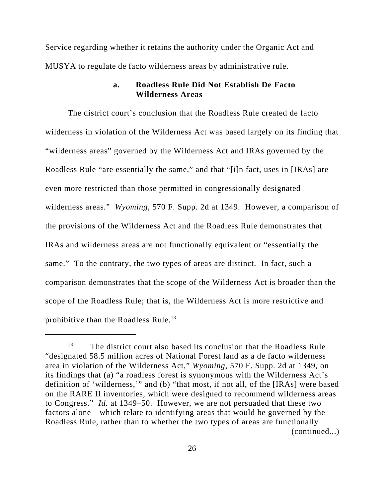Service regarding whether it retains the authority under the Organic Act and MUSYA to regulate de facto wilderness areas by administrative rule.

# **a. Roadless Rule Did Not Establish De Facto Wilderness Areas**

The district court's conclusion that the Roadless Rule created de facto wilderness in violation of the Wilderness Act was based largely on its finding that "wilderness areas" governed by the Wilderness Act and IRAs governed by the Roadless Rule "are essentially the same," and that "[i]n fact, uses in [IRAs] are even more restricted than those permitted in congressionally designated wilderness areas." *Wyoming*, 570 F. Supp. 2d at 1349. However, a comparison of the provisions of the Wilderness Act and the Roadless Rule demonstrates that IRAs and wilderness areas are not functionally equivalent or "essentially the same." To the contrary, the two types of areas are distinct. In fact, such a comparison demonstrates that the scope of the Wilderness Act is broader than the scope of the Roadless Rule; that is, the Wilderness Act is more restrictive and prohibitive than the Roadless Rule.<sup>13</sup>

 $13$  The district court also based its conclusion that the Roadless Rule "designated 58.5 million acres of National Forest land as a de facto wilderness area in violation of the Wilderness Act," *Wyoming*, 570 F. Supp. 2d at 1349, on its findings that (a) "a roadless forest is synonymous with the Wilderness Act's definition of 'wilderness,'" and (b) "that most, if not all, of the [IRAs] were based on the RARE II inventories, which were designed to recommend wilderness areas to Congress." *Id.* at 1349–50. However, we are not persuaded that these two factors alone—which relate to identifying areas that would be governed by the Roadless Rule, rather than to whether the two types of areas are functionally (continued...)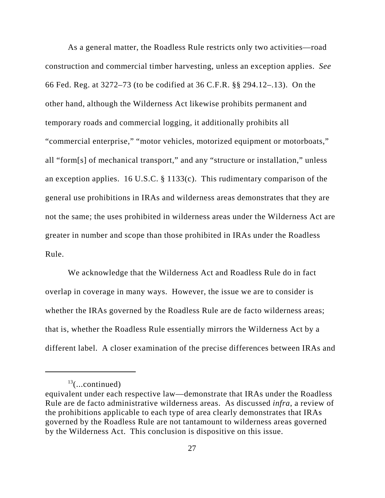As a general matter, the Roadless Rule restricts only two activities—road construction and commercial timber harvesting, unless an exception applies. *See* 66 Fed. Reg. at 3272–73 (to be codified at 36 C.F.R. §§ 294.12–.13). On the other hand, although the Wilderness Act likewise prohibits permanent and temporary roads and commercial logging, it additionally prohibits all "commercial enterprise," "motor vehicles, motorized equipment or motorboats," all "form[s] of mechanical transport," and any "structure or installation," unless an exception applies. 16 U.S.C. § 1133(c). This rudimentary comparison of the general use prohibitions in IRAs and wilderness areas demonstrates that they are not the same; the uses prohibited in wilderness areas under the Wilderness Act are greater in number and scope than those prohibited in IRAs under the Roadless Rule.

We acknowledge that the Wilderness Act and Roadless Rule do in fact overlap in coverage in many ways. However, the issue we are to consider is whether the IRAs governed by the Roadless Rule are de facto wilderness areas; that is, whether the Roadless Rule essentially mirrors the Wilderness Act by a different label. A closer examination of the precise differences between IRAs and

 $13$ (...continued)

equivalent under each respective law—demonstrate that IRAs under the Roadless Rule are de facto administrative wilderness areas. As discussed *infra*, a review of the prohibitions applicable to each type of area clearly demonstrates that IRAs governed by the Roadless Rule are not tantamount to wilderness areas governed by the Wilderness Act. This conclusion is dispositive on this issue.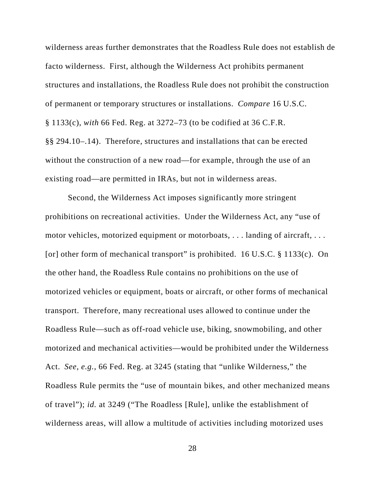wilderness areas further demonstrates that the Roadless Rule does not establish de facto wilderness. First, although the Wilderness Act prohibits permanent structures and installations, the Roadless Rule does not prohibit the construction of permanent or temporary structures or installations. *Compare* 16 U.S.C. § 1133(c), *with* 66 Fed. Reg. at 3272–73 (to be codified at 36 C.F.R. §§ 294.10–.14). Therefore, structures and installations that can be erected without the construction of a new road—for example, through the use of an existing road—are permitted in IRAs, but not in wilderness areas.

Second, the Wilderness Act imposes significantly more stringent prohibitions on recreational activities. Under the Wilderness Act, any "use of motor vehicles, motorized equipment or motorboats, . . . landing of aircraft, . . . [or] other form of mechanical transport" is prohibited. 16 U.S.C.  $\S$  1133(c). On the other hand, the Roadless Rule contains no prohibitions on the use of motorized vehicles or equipment, boats or aircraft, or other forms of mechanical transport. Therefore, many recreational uses allowed to continue under the Roadless Rule—such as off-road vehicle use, biking, snowmobiling, and other motorized and mechanical activities—would be prohibited under the Wilderness Act. *See, e.g.*, 66 Fed. Reg. at 3245 (stating that "unlike Wilderness," the Roadless Rule permits the "use of mountain bikes, and other mechanized means of travel"); *id.* at 3249 ("The Roadless [Rule], unlike the establishment of wilderness areas, will allow a multitude of activities including motorized uses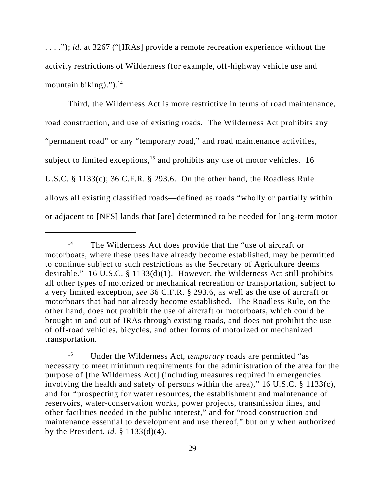. . . ."); *id.* at 3267 ("[IRAs] provide a remote recreation experience without the activity restrictions of Wilderness (for example, off-highway vehicle use and mountain biking)." $)$ .<sup>14</sup>

Third, the Wilderness Act is more restrictive in terms of road maintenance, road construction, and use of existing roads. The Wilderness Act prohibits any "permanent road" or any "temporary road," and road maintenance activities, subject to limited exceptions,<sup>15</sup> and prohibits any use of motor vehicles. 16 U.S.C. § 1133(c); 36 C.F.R. § 293.6. On the other hand, the Roadless Rule allows all existing classified roads—defined as roads "wholly or partially within or adjacent to [NFS] lands that [are] determined to be needed for long-term motor

<sup>&</sup>lt;sup>14</sup> The Wilderness Act does provide that the "use of aircraft or motorboats, where these uses have already become established, may be permitted to continue subject to such restrictions as the Secretary of Agriculture deems desirable." 16 U.S.C. § 1133(d)(1). However, the Wilderness Act still prohibits all other types of motorized or mechanical recreation or transportation, subject to a very limited exception, *see* 36 C.F.R. § 293.6, as well as the use of aircraft or motorboats that had not already become established. The Roadless Rule, on the other hand, does not prohibit the use of aircraft or motorboats, which could be brought in and out of IRAs through existing roads, and does not prohibit the use of off-road vehicles, bicycles, and other forms of motorized or mechanized transportation.

<sup>&</sup>lt;sup>15</sup> Under the Wilderness Act, *temporary* roads are permitted "as necessary to meet minimum requirements for the administration of the area for the purpose of [the Wilderness Act] (including measures required in emergencies involving the health and safety of persons within the area)," 16 U.S.C. § 1133(c), and for "prospecting for water resources, the establishment and maintenance of reservoirs, water-conservation works, power projects, transmission lines, and other facilities needed in the public interest," and for "road construction and maintenance essential to development and use thereof," but only when authorized by the President, *id.* § 1133(d)(4).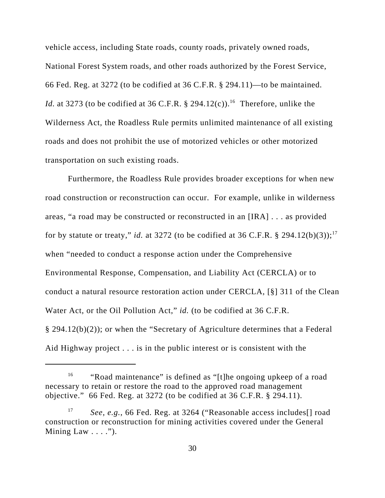vehicle access, including State roads, county roads, privately owned roads, National Forest System roads, and other roads authorized by the Forest Service, 66 Fed. Reg. at 3272 (to be codified at 36 C.F.R. § 294.11)—to be maintained. *Id.* at 3273 (to be codified at 36 C.F.R. § 294.12(c)).<sup>16</sup> Therefore, unlike the Wilderness Act, the Roadless Rule permits unlimited maintenance of all existing roads and does not prohibit the use of motorized vehicles or other motorized transportation on such existing roads.

Furthermore, the Roadless Rule provides broader exceptions for when new road construction or reconstruction can occur. For example, unlike in wilderness areas, "a road may be constructed or reconstructed in an [IRA] . . . as provided for by statute or treaty," *id.* at 3272 (to be codified at 36 C.F.R. § 294.12(b)(3));<sup>17</sup> when "needed to conduct a response action under the Comprehensive Environmental Response, Compensation, and Liability Act (CERCLA) or to conduct a natural resource restoration action under CERCLA, [§] 311 of the Clean Water Act, or the Oil Pollution Act," *id.* (to be codified at 36 C.F.R.) § 294.12(b)(2)); or when the "Secretary of Agriculture determines that a Federal Aid Highway project . . . is in the public interest or is consistent with the

<sup>&</sup>lt;sup>16</sup> "Road maintenance" is defined as "[t]he ongoing upkeep of a road necessary to retain or restore the road to the approved road management objective." 66 Fed. Reg. at 3272 (to be codified at 36 C.F.R. § 294.11).

<sup>17</sup> *See, e.g.*, 66 Fed. Reg. at 3264 ("Reasonable access includes[] road construction or reconstruction for mining activities covered under the General Mining Law  $\ldots$ .").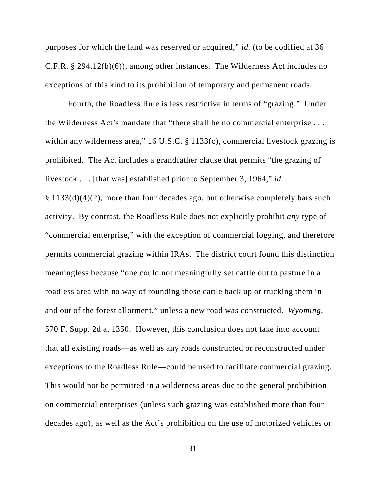purposes for which the land was reserved or acquired," *id.* (to be codified at 36 C.F.R. § 294.12(b)(6)), among other instances. The Wilderness Act includes no exceptions of this kind to its prohibition of temporary and permanent roads.

Fourth, the Roadless Rule is less restrictive in terms of "grazing." Under the Wilderness Act's mandate that "there shall be no commercial enterprise . . . within any wilderness area," 16 U.S.C. § 1133(c), commercial livestock grazing is prohibited. The Act includes a grandfather clause that permits "the grazing of livestock . . . [that was] established prior to September 3, 1964," *id.* § 1133(d)(4)(2), more than four decades ago, but otherwise completely bars such activity. By contrast, the Roadless Rule does not explicitly prohibit *any* type of "commercial enterprise," with the exception of commercial logging, and therefore permits commercial grazing within IRAs. The district court found this distinction meaningless because "one could not meaningfully set cattle out to pasture in a roadless area with no way of rounding those cattle back up or trucking them in and out of the forest allotment," unless a new road was constructed. *Wyoming*, 570 F. Supp. 2d at 1350. However, this conclusion does not take into account that all existing roads—as well as any roads constructed or reconstructed under exceptions to the Roadless Rule—could be used to facilitate commercial grazing. This would not be permitted in a wilderness areas due to the general prohibition on commercial enterprises (unless such grazing was established more than four decades ago), as well as the Act's prohibition on the use of motorized vehicles or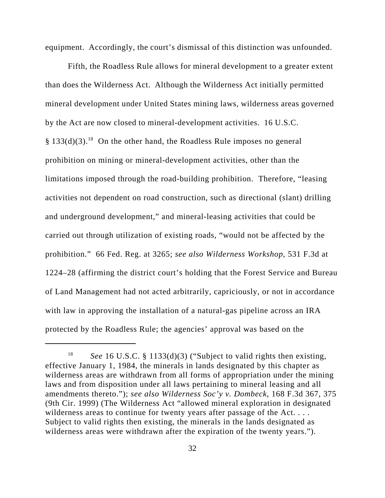equipment. Accordingly, the court's dismissal of this distinction was unfounded.

Fifth, the Roadless Rule allows for mineral development to a greater extent than does the Wilderness Act. Although the Wilderness Act initially permitted mineral development under United States mining laws, wilderness areas governed by the Act are now closed to mineral-development activities. 16 U.S.C.  $§$  133(d)(3).<sup>18</sup> On the other hand, the Roadless Rule imposes no general prohibition on mining or mineral-development activities, other than the limitations imposed through the road-building prohibition. Therefore, "leasing activities not dependent on road construction, such as directional (slant) drilling and underground development," and mineral-leasing activities that could be carried out through utilization of existing roads, "would not be affected by the prohibition." 66 Fed. Reg. at 3265; *see also Wilderness Workshop*, 531 F.3d at 1224–28 (affirming the district court's holding that the Forest Service and Bureau of Land Management had not acted arbitrarily, capriciously, or not in accordance with law in approving the installation of a natural-gas pipeline across an IRA protected by the Roadless Rule; the agencies' approval was based on the

<sup>18</sup> *See* 16 U.S.C. § 1133(d)(3) ("Subject to valid rights then existing, effective January 1, 1984, the minerals in lands designated by this chapter as wilderness areas are withdrawn from all forms of appropriation under the mining laws and from disposition under all laws pertaining to mineral leasing and all amendments thereto."); *see also Wilderness Soc'y v. Dombeck*, 168 F.3d 367, 375 (9th Cir. 1999) (The Wilderness Act "allowed mineral exploration in designated wilderness areas to continue for twenty years after passage of the Act. ... Subject to valid rights then existing, the minerals in the lands designated as wilderness areas were withdrawn after the expiration of the twenty years.").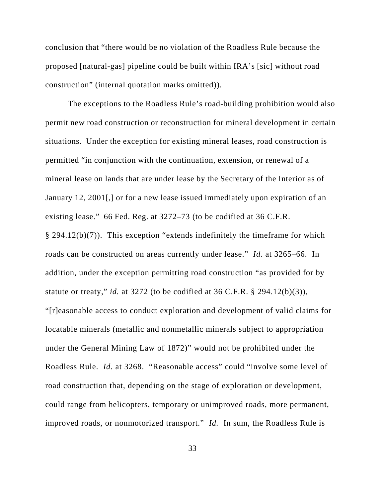conclusion that "there would be no violation of the Roadless Rule because the proposed [natural-gas] pipeline could be built within IRA's [sic] without road construction" (internal quotation marks omitted)).

The exceptions to the Roadless Rule's road-building prohibition would also permit new road construction or reconstruction for mineral development in certain situations. Under the exception for existing mineral leases, road construction is permitted "in conjunction with the continuation, extension, or renewal of a mineral lease on lands that are under lease by the Secretary of the Interior as of January 12, 2001[,] or for a new lease issued immediately upon expiration of an existing lease." 66 Fed. Reg. at 3272–73 (to be codified at 36 C.F.R. § 294.12(b)(7)). This exception "extends indefinitely the timeframe for which roads can be constructed on areas currently under lease." *Id.* at 3265–66. In addition, under the exception permitting road construction "as provided for by statute or treaty," *id.* at 3272 (to be codified at 36 C.F.R. § 294.12(b)(3)), "[r]easonable access to conduct exploration and development of valid claims for locatable minerals (metallic and nonmetallic minerals subject to appropriation under the General Mining Law of 1872)" would not be prohibited under the Roadless Rule. *Id.* at 3268. "Reasonable access" could "involve some level of road construction that, depending on the stage of exploration or development, could range from helicopters, temporary or unimproved roads, more permanent, improved roads, or nonmotorized transport." *Id.* In sum, the Roadless Rule is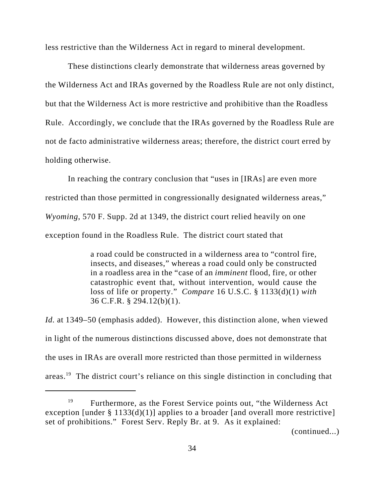less restrictive than the Wilderness Act in regard to mineral development.

These distinctions clearly demonstrate that wilderness areas governed by the Wilderness Act and IRAs governed by the Roadless Rule are not only distinct, but that the Wilderness Act is more restrictive and prohibitive than the Roadless Rule. Accordingly, we conclude that the IRAs governed by the Roadless Rule are not de facto administrative wilderness areas; therefore, the district court erred by holding otherwise.

In reaching the contrary conclusion that "uses in [IRAs] are even more restricted than those permitted in congressionally designated wilderness areas," *Wyoming*, 570 F. Supp. 2d at 1349, the district court relied heavily on one exception found in the Roadless Rule. The district court stated that

> a road could be constructed in a wilderness area to "control fire, insects, and diseases," whereas a road could only be constructed in a roadless area in the "case of an *imminent* flood, fire, or other catastrophic event that, without intervention, would cause the loss of life or property." *Compare* 16 U.S.C. § 1133(d)(1) *with* 36 C.F.R. § 294.12(b)(1).

*Id.* at 1349–50 (emphasis added). However, this distinction alone, when viewed in light of the numerous distinctions discussed above, does not demonstrate that the uses in IRAs are overall more restricted than those permitted in wilderness areas.<sup>19</sup> The district court's reliance on this single distinction in concluding that

(continued...)

<sup>&</sup>lt;sup>19</sup> Furthermore, as the Forest Service points out, "the Wilderness Act" exception [under § 1133(d)(1)] applies to a broader [and overall more restrictive] set of prohibitions." Forest Serv. Reply Br. at 9. As it explained: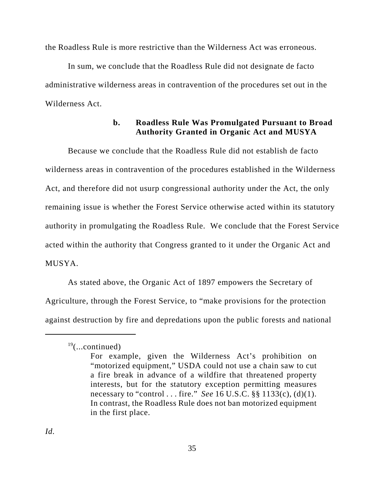the Roadless Rule is more restrictive than the Wilderness Act was erroneous.

In sum, we conclude that the Roadless Rule did not designate de facto administrative wilderness areas in contravention of the procedures set out in the Wilderness Act.

# **b. Roadless Rule Was Promulgated Pursuant to Broad Authority Granted in Organic Act and MUSYA**

Because we conclude that the Roadless Rule did not establish de facto wilderness areas in contravention of the procedures established in the Wilderness Act, and therefore did not usurp congressional authority under the Act, the only remaining issue is whether the Forest Service otherwise acted within its statutory authority in promulgating the Roadless Rule. We conclude that the Forest Service acted within the authority that Congress granted to it under the Organic Act and MUSYA.

As stated above, the Organic Act of 1897 empowers the Secretary of Agriculture, through the Forest Service, to "make provisions for the protection against destruction by fire and depredations upon the public forests and national

 $19$ (...continued)

For example, given the Wilderness Act's prohibition on "motorized equipment," USDA could not use a chain saw to cut a fire break in advance of a wildfire that threatened property interests, but for the statutory exception permitting measures necessary to "control . . . fire." *See* 16 U.S.C. §§ 1133(c), (d)(1). In contrast, the Roadless Rule does not ban motorized equipment in the first place.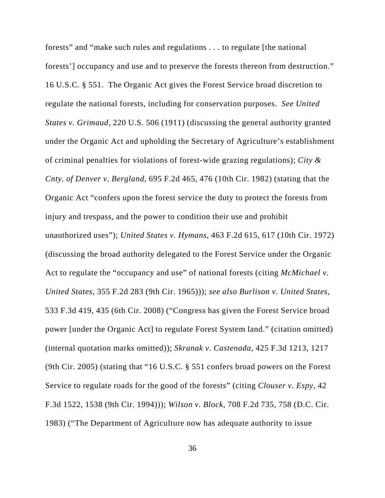forests" and "make such rules and regulations . . . to regulate [the national forests'] occupancy and use and to preserve the forests thereon from destruction." 16 U.S.C. § 551. The Organic Act gives the Forest Service broad discretion to regulate the national forests, including for conservation purposes. *See United States v. Grimaud*, 220 U.S. 506 (1911) (discussing the general authority granted under the Organic Act and upholding the Secretary of Agriculture's establishment of criminal penalties for violations of forest-wide grazing regulations); *City & Cnty. of Denver v. Bergland*, 695 F.2d 465, 476 (10th Cir. 1982) (stating that the Organic Act "confers upon the forest service the duty to protect the forests from injury and trespass, and the power to condition their use and prohibit unauthorized uses"); *United States v. Hymans*, 463 F.2d 615, 617 (10th Cir. 1972) (discussing the broad authority delegated to the Forest Service under the Organic Act to regulate the "occupancy and use" of national forests (citing *McMichael v. United States*, 355 F.2d 283 (9th Cir. 1965))); *see also Burlison v. United States*, 533 F.3d 419, 435 (6th Cir. 2008) ("Congress has given the Forest Service broad power [under the Organic Act] to regulate Forest System land." (citation omitted) (internal quotation marks omitted)); *Skranak v. Castenada*, 425 F.3d 1213, 1217 (9th Cir. 2005) (stating that "16 U.S.C. § 551 confers broad powers on the Forest Service to regulate roads for the good of the forests" (citing *Clouser v. Espy*, 42 F.3d 1522, 1538 (9th Cir. 1994))); *Wilson v. Block*, 708 F.2d 735, 758 (D.C. Cir. 1983) ("The Department of Agriculture now has adequate authority to issue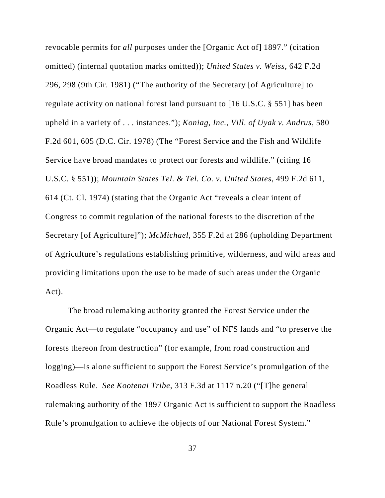revocable permits for *all* purposes under the [Organic Act of] 1897." (citation omitted) (internal quotation marks omitted)); *United States v. Weiss*, 642 F.2d 296, 298 (9th Cir. 1981) ("The authority of the Secretary [of Agriculture] to regulate activity on national forest land pursuant to [16 U.S.C. § 551] has been upheld in a variety of . . . instances."); *Koniag, Inc., Vill. of Uyak v. Andrus*, 580 F.2d 601, 605 (D.C. Cir. 1978) (The "Forest Service and the Fish and Wildlife Service have broad mandates to protect our forests and wildlife." (citing 16 U.S.C. § 551)); *Mountain States Tel. & Tel. Co. v. United States*, 499 F.2d 611, 614 (Ct. Cl. 1974) (stating that the Organic Act "reveals a clear intent of Congress to commit regulation of the national forests to the discretion of the Secretary [of Agriculture]"); *McMichael*, 355 F.2d at 286 (upholding Department of Agriculture's regulations establishing primitive, wilderness, and wild areas and providing limitations upon the use to be made of such areas under the Organic Act).

The broad rulemaking authority granted the Forest Service under the Organic Act—to regulate "occupancy and use" of NFS lands and "to preserve the forests thereon from destruction" (for example, from road construction and logging)—is alone sufficient to support the Forest Service's promulgation of the Roadless Rule. *See Kootenai Tribe*, 313 F.3d at 1117 n.20 ("[T]he general rulemaking authority of the 1897 Organic Act is sufficient to support the Roadless Rule's promulgation to achieve the objects of our National Forest System."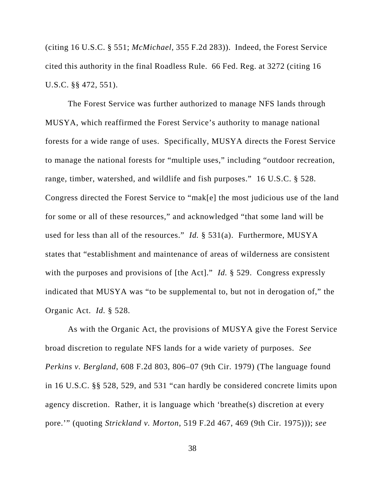(citing 16 U.S.C. § 551; *McMichael*, 355 F.2d 283)). Indeed, the Forest Service cited this authority in the final Roadless Rule. 66 Fed. Reg. at 3272 (citing 16 U.S.C. §§ 472, 551).

The Forest Service was further authorized to manage NFS lands through MUSYA, which reaffirmed the Forest Service's authority to manage national forests for a wide range of uses. Specifically, MUSYA directs the Forest Service to manage the national forests for "multiple uses," including "outdoor recreation, range, timber, watershed, and wildlife and fish purposes." 16 U.S.C. § 528. Congress directed the Forest Service to "mak[e] the most judicious use of the land for some or all of these resources," and acknowledged "that some land will be used for less than all of the resources." *Id.* § 531(a). Furthermore, MUSYA states that "establishment and maintenance of areas of wilderness are consistent with the purposes and provisions of [the Act]." *Id.* § 529. Congress expressly indicated that MUSYA was "to be supplemental to, but not in derogation of," the Organic Act. *Id.* § 528.

As with the Organic Act, the provisions of MUSYA give the Forest Service broad discretion to regulate NFS lands for a wide variety of purposes. *See Perkins v. Bergland*, 608 F.2d 803, 806–07 (9th Cir. 1979) (The language found in 16 U.S.C. §§ 528, 529, and 531 "can hardly be considered concrete limits upon agency discretion. Rather, it is language which 'breathe(s) discretion at every pore.'" (quoting *Strickland v. Morton*, 519 F.2d 467, 469 (9th Cir. 1975))); *see*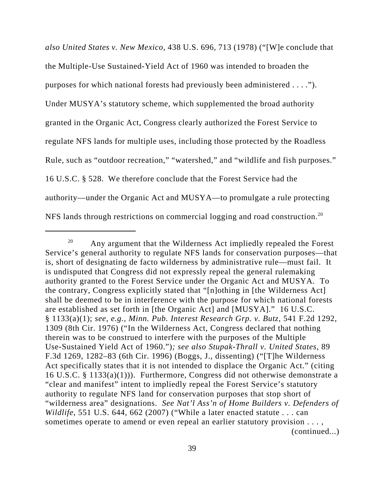*also United States v. New Mexico*, 438 U.S. 696, 713 (1978) ("[W]e conclude that the Multiple-Use Sustained-Yield Act of 1960 was intended to broaden the purposes for which national forests had previously been administered . . . ."). Under MUSYA's statutory scheme, which supplemented the broad authority granted in the Organic Act, Congress clearly authorized the Forest Service to regulate NFS lands for multiple uses, including those protected by the Roadless Rule, such as "outdoor recreation," "watershed," and "wildlife and fish purposes." 16 U.S.C. § 528. We therefore conclude that the Forest Service had the authority—under the Organic Act and MUSYA—to promulgate a rule protecting NFS lands through restrictions on commercial logging and road construction.<sup>20</sup>

 $20$  Any argument that the Wilderness Act impliedly repealed the Forest Service's general authority to regulate NFS lands for conservation purposes—that is, short of designating de facto wilderness by administrative rule—must fail. It is undisputed that Congress did not expressly repeal the general rulemaking authority granted to the Forest Service under the Organic Act and MUSYA. To the contrary, Congress explicitly stated that "[n]othing in [the Wilderness Act] shall be deemed to be in interference with the purpose for which national forests are established as set forth in [the Organic Act] and [MUSYA]." 16 U.S.C. § 1133(a)(1); *see, e.g.*, *Minn. Pub. Interest Research Grp. v. Butz*, 541 F.2d 1292, 1309 (8th Cir. 1976) ("In the Wilderness Act, Congress declared that nothing therein was to be construed to interfere with the purposes of the Multiple Use-Sustained Yield Act of 1960.")*; see also Stupak-Thrall v. United States*, 89 F.3d 1269, 1282–83 (6th Cir. 1996) (Boggs, J., dissenting) ("[T]he Wilderness Act specifically states that it is not intended to displace the Organic Act." (citing 16 U.S.C. § 1133(a)(1))). Furthermore, Congress did not otherwise demonstrate a "clear and manifest" intent to impliedly repeal the Forest Service's statutory authority to regulate NFS land for conservation purposes that stop short of "wilderness area" designations. *See Nat'l Ass'n of Home Builders v. Defenders of Wildlife*, 551 U.S. 644, 662 (2007) ("While a later enacted statute . . . can sometimes operate to amend or even repeal an earlier statutory provision . . . , (continued...)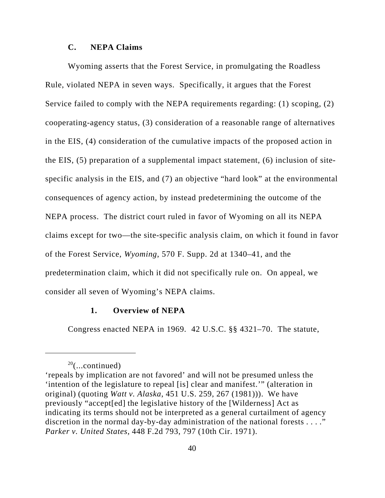### **C. NEPA Claims**

Wyoming asserts that the Forest Service, in promulgating the Roadless Rule, violated NEPA in seven ways. Specifically, it argues that the Forest Service failed to comply with the NEPA requirements regarding: (1) scoping, (2) cooperating-agency status, (3) consideration of a reasonable range of alternatives in the EIS, (4) consideration of the cumulative impacts of the proposed action in the EIS, (5) preparation of a supplemental impact statement, (6) inclusion of sitespecific analysis in the EIS, and (7) an objective "hard look" at the environmental consequences of agency action, by instead predetermining the outcome of the NEPA process. The district court ruled in favor of Wyoming on all its NEPA claims except for two—the site-specific analysis claim, on which it found in favor of the Forest Service, *Wyoming*, 570 F. Supp. 2d at 1340–41, and the predetermination claim, which it did not specifically rule on. On appeal, we consider all seven of Wyoming's NEPA claims.

### **1. Overview of NEPA**

Congress enacted NEPA in 1969. 42 U.S.C. §§ 4321–70. The statute,

 $20$ (...continued)

<sup>&#</sup>x27;repeals by implication are not favored' and will not be presumed unless the 'intention of the legislature to repeal [is] clear and manifest.'" (alteration in original) (quoting *Watt v. Alaska*, 451 U.S. 259, 267 (1981))). We have previously "accept[ed] the legislative history of the [Wilderness] Act as indicating its terms should not be interpreted as a general curtailment of agency discretion in the normal day-by-day administration of the national forests . . . ." *Parker v. United States*, 448 F.2d 793, 797 (10th Cir. 1971).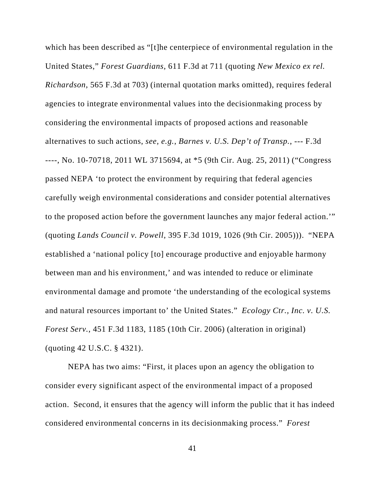which has been described as "[t]he centerpiece of environmental regulation in the United States," *Forest Guardians*, 611 F.3d at 711 (quoting *New Mexico ex rel. Richardson*, 565 F.3d at 703) (internal quotation marks omitted), requires federal agencies to integrate environmental values into the decisionmaking process by considering the environmental impacts of proposed actions and reasonable alternatives to such actions, *see, e.g.*, *Barnes v. U.S. Dep't of Transp.*, --- F.3d ----, No. 10-70718, 2011 WL 3715694, at \*5 (9th Cir. Aug. 25, 2011) ("Congress passed NEPA 'to protect the environment by requiring that federal agencies carefully weigh environmental considerations and consider potential alternatives to the proposed action before the government launches any major federal action.'" (quoting *Lands Council v. Powell*, 395 F.3d 1019, 1026 (9th Cir. 2005))). "NEPA established a 'national policy [to] encourage productive and enjoyable harmony between man and his environment,' and was intended to reduce or eliminate environmental damage and promote 'the understanding of the ecological systems and natural resources important to' the United States." *Ecology Ctr., Inc. v. U.S. Forest Serv.*, 451 F.3d 1183, 1185 (10th Cir. 2006) (alteration in original) (quoting 42 U.S.C. § 4321).

NEPA has two aims: "First, it places upon an agency the obligation to consider every significant aspect of the environmental impact of a proposed action. Second, it ensures that the agency will inform the public that it has indeed considered environmental concerns in its decisionmaking process." *Forest*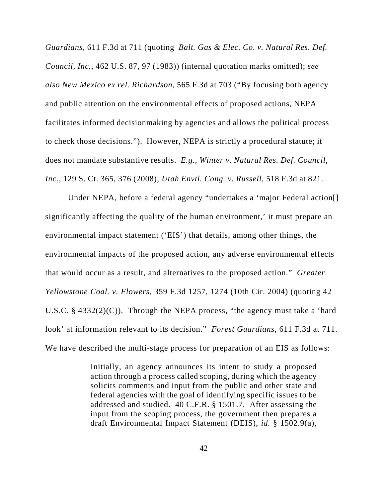*Guardians*, 611 F.3d at 711 (quoting *Balt. Gas & Elec. Co. v. Natural Res. Def. Council, Inc.*, 462 U.S. 87, 97 (1983)) (internal quotation marks omitted); *see also New Mexico ex rel. Richardson*, 565 F.3d at 703 ("By focusing both agency and public attention on the environmental effects of proposed actions, NEPA facilitates informed decisionmaking by agencies and allows the political process to check those decisions."). However, NEPA is strictly a procedural statute; it does not mandate substantive results. *E.g.*, *Winter v. Natural Res. Def. Council, Inc.*, 129 S. Ct. 365, 376 (2008); *Utah Envtl. Cong. v. Russell*, 518 F.3d at 821.

Under NEPA, before a federal agency "undertakes a 'major Federal action[] significantly affecting the quality of the human environment,' it must prepare an environmental impact statement ('EIS') that details, among other things, the environmental impacts of the proposed action, any adverse environmental effects that would occur as a result, and alternatives to the proposed action." *Greater Yellowstone Coal. v. Flowers*, 359 F.3d 1257, 1274 (10th Cir. 2004) (quoting 42 U.S.C.  $\S$  4332(2)(C)). Through the NEPA process, "the agency must take a 'hard look' at information relevant to its decision." *Forest Guardians*, 611 F.3d at 711. We have described the multi-stage process for preparation of an EIS as follows:

> Initially, an agency announces its intent to study a proposed action through a process called scoping, during which the agency solicits comments and input from the public and other state and federal agencies with the goal of identifying specific issues to be addressed and studied. 40 C.F.R. § 1501.7. After assessing the input from the scoping process, the government then prepares a draft Environmental Impact Statement (DEIS), *id.* § 1502.9(a),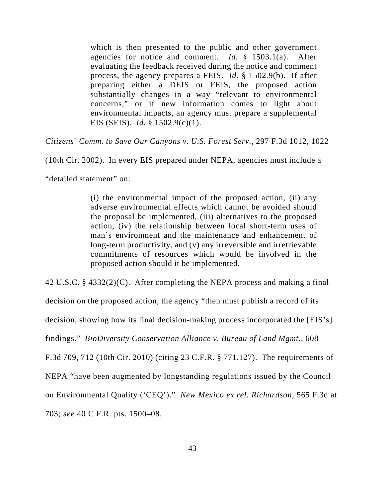which is then presented to the public and other government agencies for notice and comment. *Id.* § 1503.1(a). After evaluating the feedback received during the notice and comment process, the agency prepares a FEIS. *Id.* § 1502.9(b). If after preparing either a DEIS or FEIS, the proposed action substantially changes in a way "relevant to environmental concerns," or if new information comes to light about environmental impacts, an agency must prepare a supplemental EIS (SEIS). *Id.* § 1502.9(c)(1).

*Citizens' Comm. to Save Our Canyons v. U.S. Forest Serv.*, 297 F.3d 1012, 1022

(10th Cir. 2002). In every EIS prepared under NEPA, agencies must include a

"detailed statement" on:

(i) the environmental impact of the proposed action, (ii) any adverse environmental effects which cannot be avoided should the proposal be implemented, (iii) alternatives to the proposed action, (iv) the relationship between local short-term uses of man's environment and the maintenance and enhancement of long-term productivity, and (v) any irreversible and irretrievable commitments of resources which would be involved in the proposed action should it be implemented.

42 U.S.C. § 4332(2)(C). After completing the NEPA process and making a final

decision on the proposed action, the agency "then must publish a record of its

decision, showing how its final decision-making process incorporated the [EIS's]

findings." *BioDiversity Conservation Alliance v. Bureau of Land Mgmt.*, 608

F.3d 709, 712 (10th Cir. 2010) (citing 23 C.F.R. § 771.127). The requirements of

NEPA "have been augmented by longstanding regulations issued by the Council

on Environmental Quality ('CEQ')." *New Mexico ex rel. Richardson*, 565 F.3d at

703; *see* 40 C.F.R. pts. 1500–08.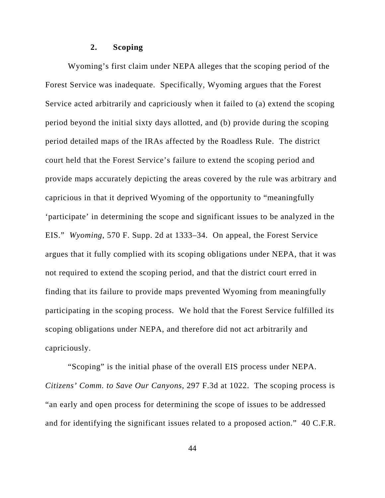### **2. Scoping**

Wyoming's first claim under NEPA alleges that the scoping period of the Forest Service was inadequate. Specifically, Wyoming argues that the Forest Service acted arbitrarily and capriciously when it failed to (a) extend the scoping period beyond the initial sixty days allotted, and (b) provide during the scoping period detailed maps of the IRAs affected by the Roadless Rule.The district court held that the Forest Service's failure to extend the scoping period and provide maps accurately depicting the areas covered by the rule was arbitrary and capricious in that it deprived Wyoming of the opportunity to "meaningfully 'participate' in determining the scope and significant issues to be analyzed in the EIS." *Wyoming*, 570 F. Supp. 2d at 1333–34. On appeal, the Forest Service argues that it fully complied with its scoping obligations under NEPA, that it was not required to extend the scoping period, and that the district court erred in finding that its failure to provide maps prevented Wyoming from meaningfully participating in the scoping process. We hold that the Forest Service fulfilled its scoping obligations under NEPA, and therefore did not act arbitrarily and capriciously.

"Scoping" is the initial phase of the overall EIS process under NEPA. *Citizens' Comm. to Save Our Canyons*, 297 F.3d at 1022. The scoping process is "an early and open process for determining the scope of issues to be addressed and for identifying the significant issues related to a proposed action." 40 C.F.R.

44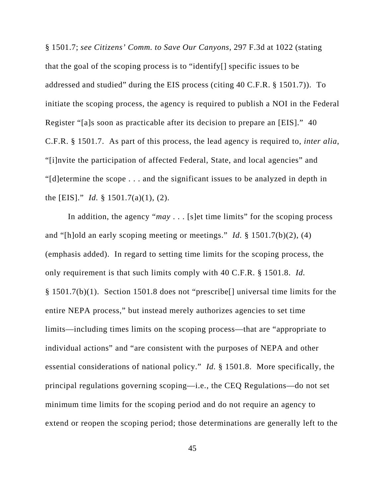§ 1501.7; *see Citizens' Comm. to Save Our Canyons*, 297 F.3d at 1022 (stating that the goal of the scoping process is to "identify[] specific issues to be addressed and studied" during the EIS process (citing 40 C.F.R. § 1501.7)).To initiate the scoping process, the agency is required to publish a NOI in the Federal Register "[a]s soon as practicable after its decision to prepare an [EIS]." 40 C.F.R. § 1501.7. As part of this process, the lead agency is required to, *inter alia*, "[i]nvite the participation of affected Federal, State, and local agencies" and "[d]etermine the scope . . . and the significant issues to be analyzed in depth in the [EIS]." *Id.* § 1501.7(a)(1), (2).

In addition, the agency "*may* . . . [s]et time limits" for the scoping process and "[h]old an early scoping meeting or meetings." *Id.* § 1501.7(b)(2), (4) (emphasis added). In regard to setting time limits for the scoping process, the only requirement is that such limits comply with 40 C.F.R. § 1501.8. *Id.* § 1501.7(b)(1). Section 1501.8 does not "prescribe[] universal time limits for the entire NEPA process," but instead merely authorizes agencies to set time limits—including times limits on the scoping process—that are "appropriate to individual actions" and "are consistent with the purposes of NEPA and other essential considerations of national policy." *Id.* § 1501.8. More specifically, the principal regulations governing scoping—i.e., the CEQ Regulations—do not set minimum time limits for the scoping period and do not require an agency to extend or reopen the scoping period; those determinations are generally left to the

45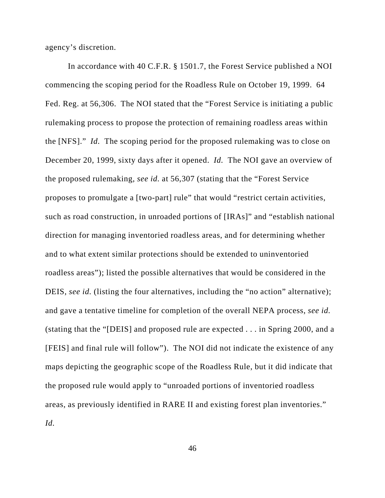agency's discretion.

In accordance with 40 C.F.R. § 1501.7, the Forest Service published a NOI commencing the scoping period for the Roadless Rule on October 19, 1999. 64 Fed. Reg. at 56,306. The NOI stated that the "Forest Service is initiating a public rulemaking process to propose the protection of remaining roadless areas within the [NFS]." *Id.* The scoping period for the proposed rulemaking was to close on December 20, 1999, sixty days after it opened. *Id.* The NOI gave an overview of the proposed rulemaking, *see id.* at 56,307 (stating that the "Forest Service proposes to promulgate a [two-part] rule" that would "restrict certain activities, such as road construction, in unroaded portions of [IRAs]" and "establish national direction for managing inventoried roadless areas, and for determining whether and to what extent similar protections should be extended to uninventoried roadless areas"); listed the possible alternatives that would be considered in the DEIS, *see id.* (listing the four alternatives, including the "no action" alternative); and gave a tentative timeline for completion of the overall NEPA process, *see id.* (stating that the "[DEIS] and proposed rule are expected . . . in Spring 2000, and a [FEIS] and final rule will follow"). The NOI did not indicate the existence of any maps depicting the geographic scope of the Roadless Rule, but it did indicate that the proposed rule would apply to "unroaded portions of inventoried roadless areas, as previously identified in RARE II and existing forest plan inventories." *Id.*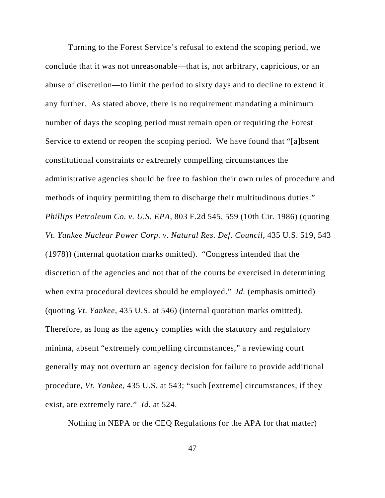Turning to the Forest Service's refusal to extend the scoping period, we conclude that it was not unreasonable—that is, not arbitrary, capricious, or an abuse of discretion—to limit the period to sixty days and to decline to extend it any further. As stated above, there is no requirement mandating a minimum number of days the scoping period must remain open or requiring the Forest Service to extend or reopen the scoping period. We have found that "[a]bsent constitutional constraints or extremely compelling circumstances the administrative agencies should be free to fashion their own rules of procedure and methods of inquiry permitting them to discharge their multitudinous duties." *Phillips Petroleum Co. v. U.S. EPA*, 803 F.2d 545, 559 (10th Cir. 1986) (quoting *Vt. Yankee Nuclear Power Corp. v. Natural Res. Def. Council*, 435 U.S. 519, 543 (1978)) (internal quotation marks omitted). "Congress intended that the discretion of the agencies and not that of the courts be exercised in determining when extra procedural devices should be employed." *Id.* (emphasis omitted) (quoting *Vt. Yankee*, 435 U.S. at 546) (internal quotation marks omitted). Therefore, as long as the agency complies with the statutory and regulatory minima, absent "extremely compelling circumstances," a reviewing court generally may not overturn an agency decision for failure to provide additional procedure, *Vt. Yankee*, 435 U.S. at 543; "such [extreme] circumstances, if they exist, are extremely rare." *Id.* at 524.

Nothing in NEPA or the CEQ Regulations (or the APA for that matter)

47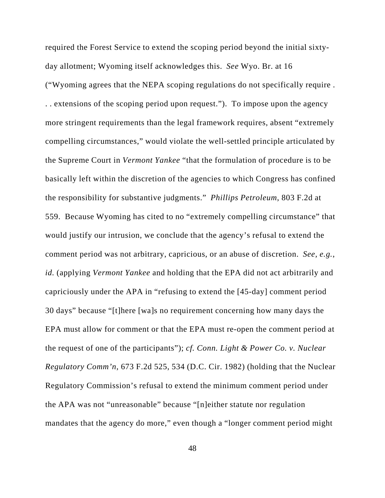required the Forest Service to extend the scoping period beyond the initial sixtyday allotment; Wyoming itself acknowledges this. *See* Wyo. Br. at 16 ("Wyoming agrees that the NEPA scoping regulations do not specifically require . . . extensions of the scoping period upon request."). To impose upon the agency more stringent requirements than the legal framework requires, absent "extremely compelling circumstances," would violate the well-settled principle articulated by the Supreme Court in *Vermont Yankee* "that the formulation of procedure is to be basically left within the discretion of the agencies to which Congress has confined the responsibility for substantive judgments." *Phillips Petroleum*, 803 F.2d at 559. Because Wyoming has cited to no "extremely compelling circumstance" that would justify our intrusion, we conclude that the agency's refusal to extend the comment period was not arbitrary, capricious, or an abuse of discretion. *See, e.g.*, *id.* (applying *Vermont Yankee* and holding that the EPA did not act arbitrarily and capriciously under the APA in "refusing to extend the [45-day] comment period 30 days" because "[t]here [wa]s no requirement concerning how many days the EPA must allow for comment or that the EPA must re-open the comment period at the request of one of the participants"); *cf. Conn. Light & Power Co. v. Nuclear Regulatory Comm'n*, 673 F.2d 525, 534 (D.C. Cir. 1982) (holding that the Nuclear Regulatory Commission's refusal to extend the minimum comment period under the APA was not "unreasonable" because "[n]either statute nor regulation mandates that the agency do more," even though a "longer comment period might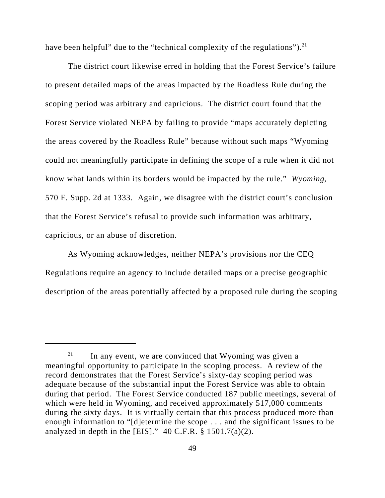have been helpful" due to the "technical complexity of the regulations").<sup>21</sup>

The district court likewise erred in holding that the Forest Service's failure to present detailed maps of the areas impacted by the Roadless Rule during the scoping period was arbitrary and capricious. The district court found that the Forest Service violated NEPA by failing to provide "maps accurately depicting the areas covered by the Roadless Rule" because without such maps "Wyoming could not meaningfully participate in defining the scope of a rule when it did not know what lands within its borders would be impacted by the rule." *Wyoming*, 570 F. Supp. 2d at 1333. Again, we disagree with the district court's conclusion that the Forest Service's refusal to provide such information was arbitrary, capricious, or an abuse of discretion.

As Wyoming acknowledges, neither NEPA's provisions nor the CEQ Regulations require an agency to include detailed maps or a precise geographic description of the areas potentially affected by a proposed rule during the scoping

 $21$  In any event, we are convinced that Wyoming was given a meaningful opportunity to participate in the scoping process. A review of the record demonstrates that the Forest Service's sixty-day scoping period was adequate because of the substantial input the Forest Service was able to obtain during that period. The Forest Service conducted 187 public meetings, several of which were held in Wyoming, and received approximately 517,000 comments during the sixty days. It is virtually certain that this process produced more than enough information to "[d]etermine the scope . . . and the significant issues to be analyzed in depth in the [EIS]."  $40 \text{ C.F.R.}$  § 1501.7(a)(2).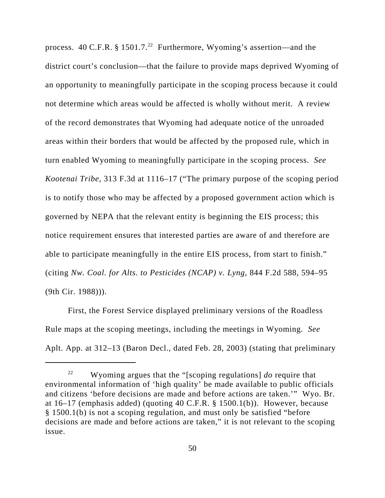process. 40 C.F.R. § 1501.7.<sup>22</sup> Furthermore, Wyoming's assertion—and the district court's conclusion—that the failure to provide maps deprived Wyoming of an opportunity to meaningfully participate in the scoping process because it could not determine which areas would be affected is wholly without merit. A review of the record demonstrates that Wyoming had adequate notice of the unroaded areas within their borders that would be affected by the proposed rule, which in turn enabled Wyoming to meaningfully participate in the scoping process. *See Kootenai Tribe*, 313 F.3d at 1116–17 ("The primary purpose of the scoping period is to notify those who may be affected by a proposed government action which is governed by NEPA that the relevant entity is beginning the EIS process; this notice requirement ensures that interested parties are aware of and therefore are able to participate meaningfully in the entire EIS process, from start to finish." (citing *Nw. Coal. for Alts. to Pesticides (NCAP) v. Lyng*, 844 F.2d 588, 594–95 (9th Cir. 1988))).

First, the Forest Service displayed preliminary versions of the Roadless Rule maps at the scoping meetings, including the meetings in Wyoming. *See* Aplt. App. at 312–13 (Baron Decl., dated Feb. 28, 2003) (stating that preliminary

<sup>22</sup> Wyoming argues that the "[scoping regulations] *do* require that environmental information of 'high quality' be made available to public officials and citizens 'before decisions are made and before actions are taken.'" Wyo. Br. at 16–17 (emphasis added) (quoting 40 C.F.R. § 1500.1(b)). However, because § 1500.1(b) is not a scoping regulation, and must only be satisfied "before decisions are made and before actions are taken," it is not relevant to the scoping issue.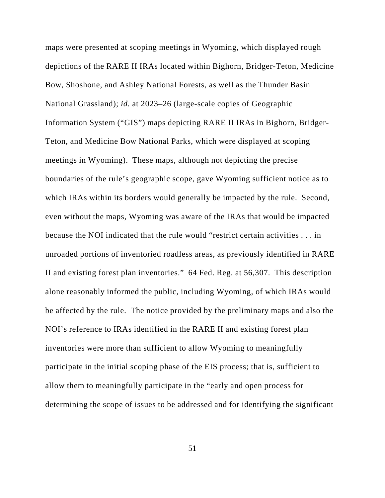maps were presented at scoping meetings in Wyoming, which displayed rough depictions of the RARE II IRAs located within Bighorn, Bridger-Teton, Medicine Bow, Shoshone, and Ashley National Forests, as well as the Thunder Basin National Grassland); *id.* at 2023–26 (large-scale copies of Geographic Information System ("GIS") maps depicting RARE II IRAs in Bighorn, Bridger-Teton, and Medicine Bow National Parks, which were displayed at scoping meetings in Wyoming). These maps, although not depicting the precise boundaries of the rule's geographic scope, gave Wyoming sufficient notice as to which IRAs within its borders would generally be impacted by the rule. Second, even without the maps, Wyoming was aware of the IRAs that would be impacted because the NOI indicated that the rule would "restrict certain activities . . . in unroaded portions of inventoried roadless areas, as previously identified in RARE II and existing forest plan inventories." 64 Fed. Reg. at 56,307. This description alone reasonably informed the public, including Wyoming, of which IRAs would be affected by the rule. The notice provided by the preliminary maps and also the NOI's reference to IRAs identified in the RARE II and existing forest plan inventories were more than sufficient to allow Wyoming to meaningfully participate in the initial scoping phase of the EIS process; that is, sufficient to allow them to meaningfully participate in the "early and open process for determining the scope of issues to be addressed and for identifying the significant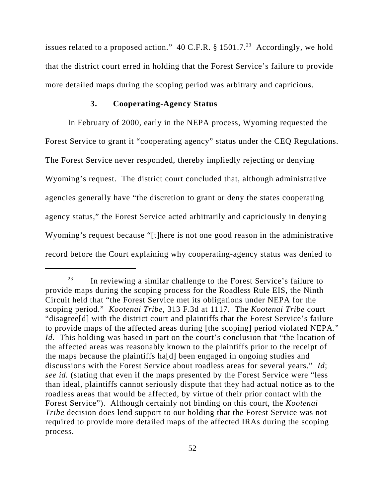issues related to a proposed action." 40 C.F.R.  $\S 1501.7$ .<sup>23</sup> Accordingly, we hold that the district court erred in holding that the Forest Service's failure to provide more detailed maps during the scoping period was arbitrary and capricious.

# **3. Cooperating-Agency Status**

In February of 2000, early in the NEPA process, Wyoming requested the Forest Service to grant it "cooperating agency" status under the CEQ Regulations. The Forest Service never responded, thereby impliedly rejecting or denying Wyoming's request. The district court concluded that, although administrative agencies generally have "the discretion to grant or deny the states cooperating agency status," the Forest Service acted arbitrarily and capriciously in denying Wyoming's request because "[t]here is not one good reason in the administrative record before the Court explaining why cooperating-agency status was denied to

 $23$  In reviewing a similar challenge to the Forest Service's failure to provide maps during the scoping process for the Roadless Rule EIS, the Ninth Circuit held that "the Forest Service met its obligations under NEPA for the scoping period." *Kootenai Tribe*, 313 F.3d at 1117. The *Kootenai Tribe* court "disagree[d] with the district court and plaintiffs that the Forest Service's failure to provide maps of the affected areas during [the scoping] period violated NEPA." *Id.* This holding was based in part on the court's conclusion that "the location of the affected areas was reasonably known to the plaintiffs prior to the receipt of the maps because the plaintiffs ha[d] been engaged in ongoing studies and discussions with the Forest Service about roadless areas for several years." *Id*; *see id.* (stating that even if the maps presented by the Forest Service were "less than ideal, plaintiffs cannot seriously dispute that they had actual notice as to the roadless areas that would be affected, by virtue of their prior contact with the Forest Service"). Although certainly not binding on this court, the *Kootenai Tribe* decision does lend support to our holding that the Forest Service was not required to provide more detailed maps of the affected IRAs during the scoping process.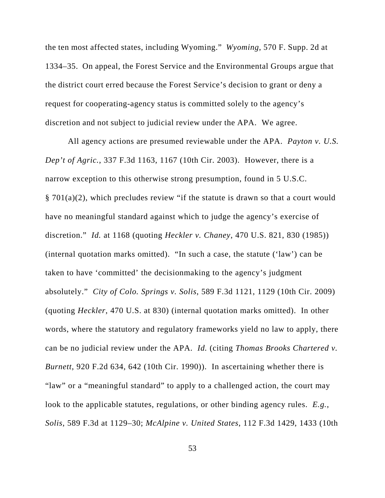the ten most affected states, including Wyoming." *Wyoming*, 570 F. Supp. 2d at 1334–35. On appeal, the Forest Service and the Environmental Groups argue that the district court erred because the Forest Service's decision to grant or deny a request for cooperating-agency status is committed solely to the agency's discretion and not subject to judicial review under the APA. We agree.

All agency actions are presumed reviewable under the APA. *Payton v. U.S. Dep't of Agric.*, 337 F.3d 1163, 1167 (10th Cir. 2003). However, there is a narrow exception to this otherwise strong presumption, found in 5 U.S.C. § 701(a)(2), which precludes review "if the statute is drawn so that a court would have no meaningful standard against which to judge the agency's exercise of discretion." *Id.* at 1168 (quoting *Heckler v. Chaney*, 470 U.S. 821, 830 (1985)) (internal quotation marks omitted). "In such a case, the statute ('law') can be taken to have 'committed' the decisionmaking to the agency's judgment absolutely." *City of Colo. Springs v. Solis*, 589 F.3d 1121, 1129 (10th Cir. 2009) (quoting *Heckler*, 470 U.S. at 830) (internal quotation marks omitted). In other words, where the statutory and regulatory frameworks yield no law to apply, there can be no judicial review under the APA. *Id.* (citing *Thomas Brooks Chartered v. Burnett*, 920 F.2d 634, 642 (10th Cir. 1990)). In ascertaining whether there is "law" or a "meaningful standard" to apply to a challenged action, the court may look to the applicable statutes, regulations, or other binding agency rules. *E.g.*, *Solis*, 589 F.3d at 1129–30; *McAlpine v. United States*, 112 F.3d 1429, 1433 (10th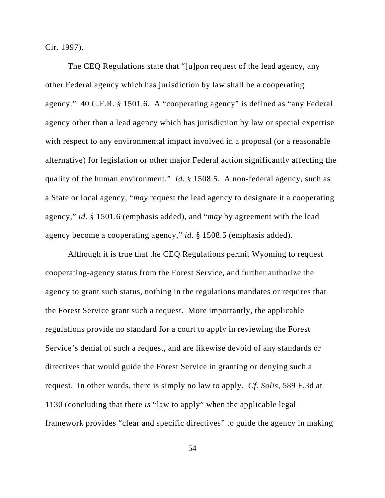Cir. 1997).

The CEQ Regulations state that "[u]pon request of the lead agency, any other Federal agency which has jurisdiction by law shall be a cooperating agency." 40 C.F.R. § 1501.6. A "cooperating agency" is defined as "any Federal agency other than a lead agency which has jurisdiction by law or special expertise with respect to any environmental impact involved in a proposal (or a reasonable alternative) for legislation or other major Federal action significantly affecting the quality of the human environment." *Id.* § 1508.5. A non-federal agency, such as a State or local agency, "*may* request the lead agency to designate it a cooperating agency," *id.* § 1501.6 (emphasis added), and "*may* by agreement with the lead agency become a cooperating agency," *id.* § 1508.5 (emphasis added).

Although it is true that the CEQ Regulations permit Wyoming to request cooperating-agency status from the Forest Service, and further authorize the agency to grant such status, nothing in the regulations mandates or requires that the Forest Service grant such a request. More importantly, the applicable regulations provide no standard for a court to apply in reviewing the Forest Service's denial of such a request, and are likewise devoid of any standards or directives that would guide the Forest Service in granting or denying such a request. In other words, there is simply no law to apply. *Cf. Solis*, 589 F.3d at 1130 (concluding that there *is* "law to apply" when the applicable legal framework provides "clear and specific directives" to guide the agency in making

54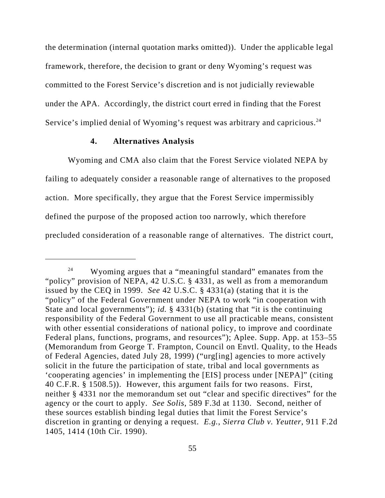the determination (internal quotation marks omitted)). Under the applicable legal framework, therefore, the decision to grant or deny Wyoming's request was committed to the Forest Service's discretion and is not judicially reviewable under the APA. Accordingly, the district court erred in finding that the Forest Service's implied denial of Wyoming's request was arbitrary and capricious.<sup>24</sup>

### **4. Alternatives Analysis**

Wyoming and CMA also claim that the Forest Service violated NEPA by failing to adequately consider a reasonable range of alternatives to the proposed action. More specifically, they argue that the Forest Service impermissibly defined the purpose of the proposed action too narrowly, which therefore precluded consideration of a reasonable range of alternatives. The district court,

<sup>&</sup>lt;sup>24</sup> Wyoming argues that a "meaningful standard" emanates from the "policy" provision of NEPA, 42 U.S.C. § 4331, as well as from a memorandum issued by the CEQ in 1999. *See* 42 U.S.C. § 4331(a) (stating that it is the "policy" of the Federal Government under NEPA to work "in cooperation with State and local governments"); *id.* § 4331(b) (stating that "it is the continuing responsibility of the Federal Government to use all practicable means, consistent with other essential considerations of national policy, to improve and coordinate Federal plans, functions, programs, and resources"); Aplee. Supp. App. at 153–55 (Memorandum from George T. Frampton, Council on Envtl. Quality, to the Heads of Federal Agencies, dated July 28, 1999) ("urg[ing] agencies to more actively solicit in the future the participation of state, tribal and local governments as 'cooperating agencies' in implementing the [EIS] process under [NEPA]" (citing 40 C.F.R. § 1508.5)). However, this argument fails for two reasons. First, neither § 4331 nor the memorandum set out "clear and specific directives" for the agency or the court to apply. *See Solis*, 589 F.3d at 1130. Second, neither of these sources establish binding legal duties that limit the Forest Service's discretion in granting or denying a request. *E.g.*, *Sierra Club v. Yeutter*, 911 F.2d 1405, 1414 (10th Cir. 1990).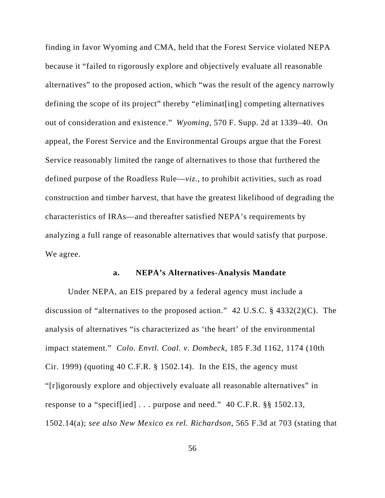finding in favor Wyoming and CMA, held that the Forest Service violated NEPA because it "failed to rigorously explore and objectively evaluate all reasonable alternatives" to the proposed action, which "was the result of the agency narrowly defining the scope of its project" thereby "eliminat[ing] competing alternatives out of consideration and existence." *Wyoming*, 570 F. Supp. 2d at 1339–40. On appeal, the Forest Service and the Environmental Groups argue that the Forest Service reasonably limited the range of alternatives to those that furthered the defined purpose of the Roadless Rule—*viz.*, to prohibit activities, such as road construction and timber harvest, that have the greatest likelihood of degrading the characteristics of IRAs—and thereafter satisfied NEPA's requirements by analyzing a full range of reasonable alternatives that would satisfy that purpose. We agree.

#### **a. NEPA's Alternatives-Analysis Mandate**

Under NEPA, an EIS prepared by a federal agency must include a discussion of "alternatives to the proposed action." 42 U.S.C. § 4332(2)(C). The analysis of alternatives "is characterized as 'the heart' of the environmental impact statement." *Colo. Envtl. Coal. v. Dombeck*, 185 F.3d 1162, 1174 (10th Cir. 1999) (quoting 40 C.F.R.  $\S$  1502.14). In the EIS, the agency must "[r]igorously explore and objectively evaluate all reasonable alternatives" in response to a "specif[ied] . . . purpose and need." 40 C.F.R. §§ 1502.13, 1502.14(a); *see also New Mexico ex rel. Richardson*, 565 F.3d at 703 (stating that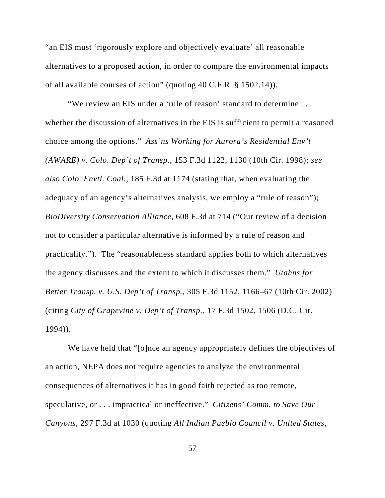"an EIS must 'rigorously explore and objectively evaluate' all reasonable alternatives to a proposed action, in order to compare the environmental impacts of all available courses of action" (quoting 40 C.F.R. § 1502.14)).

"We review an EIS under a 'rule of reason' standard to determine . . . whether the discussion of alternatives in the EIS is sufficient to permit a reasoned choice among the options." *Ass'ns Working for Aurora's Residential Env't (AWARE) v. Colo. Dep't of Transp*., 153 F.3d 1122, 1130 (10th Cir. 1998); *see also Colo. Envtl. Coal.*, 185 F.3d at 1174 (stating that, when evaluating the adequacy of an agency's alternatives analysis, we employ a "rule of reason"); *BioDiversity Conservation Alliance*, 608 F.3d at 714 ("Our review of a decision not to consider a particular alternative is informed by a rule of reason and practicality."). The "reasonableness standard applies both to which alternatives the agency discusses and the extent to which it discusses them." *Utahns for Better Transp. v. U.S. Dep't of Transp.*, 305 F.3d 1152, 1166–67 (10th Cir. 2002) (citing *City of Grapevine v. Dep't of Transp.*, 17 F.3d 1502, 1506 (D.C. Cir. 1994)).

We have held that "[o]nce an agency appropriately defines the objectives of an action, NEPA does not require agencies to analyze the environmental consequences of alternatives it has in good faith rejected as too remote, speculative, or . . . impractical or ineffective." *Citizens' Comm. to Save Our Canyons*, 297 F.3d at 1030 (quoting *All Indian Pueblo Council v. United States*,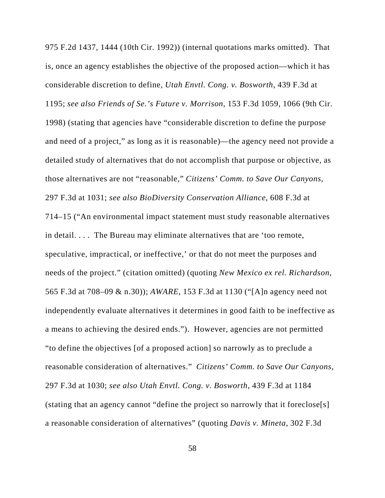975 F.2d 1437, 1444 (10th Cir. 1992)) (internal quotations marks omitted). That is, once an agency establishes the objective of the proposed action—which it has considerable discretion to define, *Utah Envtl. Cong. v. Bosworth*, 439 F.3d at 1195; *see also Friends of Se.'s Future v. Morrison*, 153 F.3d 1059, 1066 (9th Cir. 1998) (stating that agencies have "considerable discretion to define the purpose and need of a project," as long as it is reasonable)—the agency need not provide a detailed study of alternatives that do not accomplish that purpose or objective, as those alternatives are not "reasonable," *Citizens' Comm. to Save Our Canyons*, 297 F.3d at 1031; *see also BioDiversity Conservation Alliance*, 608 F.3d at 714–15 ("An environmental impact statement must study reasonable alternatives in detail. . . . The Bureau may eliminate alternatives that are 'too remote, speculative, impractical, or ineffective,' or that do not meet the purposes and needs of the project." (citation omitted) (quoting *New Mexico ex rel. Richardson*, 565 F.3d at 708–09 & n.30)); *AWARE*, 153 F.3d at 1130 ("[A]n agency need not independently evaluate alternatives it determines in good faith to be ineffective as a means to achieving the desired ends."). However, agencies are not permitted "to define the objectives [of a proposed action] so narrowly as to preclude a reasonable consideration of alternatives." *Citizens' Comm. to Save Our Canyons*, 297 F.3d at 1030; *see also Utah Envtl. Cong. v. Bosworth*, 439 F.3d at 1184 (stating that an agency cannot "define the project so narrowly that it foreclose[s] a reasonable consideration of alternatives" (quoting *Davis v. Mineta*, 302 F.3d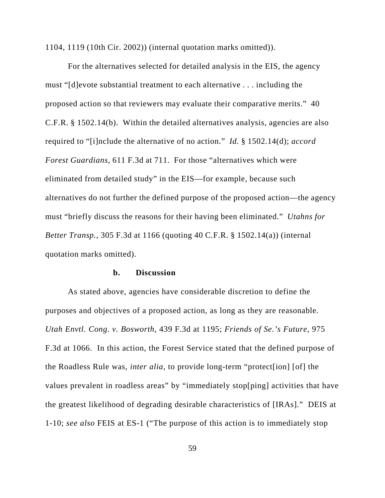1104, 1119 (10th Cir. 2002)) (internal quotation marks omitted)).

For the alternatives selected for detailed analysis in the EIS, the agency must "[d]evote substantial treatment to each alternative . . . including the proposed action so that reviewers may evaluate their comparative merits." 40 C.F.R. § 1502.14(b). Within the detailed alternatives analysis, agencies are also required to "[i]nclude the alternative of no action." *Id.* § 1502.14(d); *accord Forest Guardians*, 611 F.3d at 711. For those "alternatives which were eliminated from detailed study" in the EIS—for example, because such alternatives do not further the defined purpose of the proposed action—the agency must "briefly discuss the reasons for their having been eliminated." *Utahns for Better Transp.*, 305 F.3d at 1166 (quoting 40 C.F.R. § 1502.14(a)) (internal quotation marks omitted).

#### **b. Discussion**

As stated above, agencies have considerable discretion to define the purposes and objectives of a proposed action, as long as they are reasonable. *Utah Envtl. Cong. v. Bosworth*, 439 F.3d at 1195; *Friends of Se.'s Future*, 975 F.3d at 1066. In this action, the Forest Service stated that the defined purpose of the Roadless Rule was, *inter alia*, to provide long-term "protect[ion] [of] the values prevalent in roadless areas" by "immediately stop[ping] activities that have the greatest likelihood of degrading desirable characteristics of [IRAs]." DEIS at 1-10; *see also* FEIS at ES-1 ("The purpose of this action is to immediately stop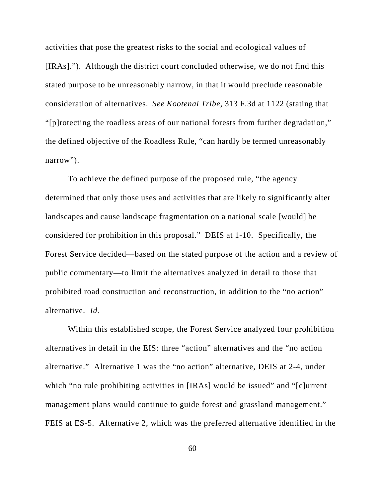activities that pose the greatest risks to the social and ecological values of [IRAs]."). Although the district court concluded otherwise, we do not find this stated purpose to be unreasonably narrow, in that it would preclude reasonable consideration of alternatives. *See Kootenai Tribe*, 313 F.3d at 1122 (stating that "[p]rotecting the roadless areas of our national forests from further degradation," the defined objective of the Roadless Rule, "can hardly be termed unreasonably narrow").

To achieve the defined purpose of the proposed rule, "the agency determined that only those uses and activities that are likely to significantly alter landscapes and cause landscape fragmentation on a national scale [would] be considered for prohibition in this proposal." DEIS at 1-10. Specifically, the Forest Service decided—based on the stated purpose of the action and a review of public commentary—to limit the alternatives analyzed in detail to those that prohibited road construction and reconstruction, in addition to the "no action" alternative. *Id.*

Within this established scope, the Forest Service analyzed four prohibition alternatives in detail in the EIS: three "action" alternatives and the "no action alternative." Alternative 1 was the "no action" alternative, DEIS at 2-4, under which "no rule prohibiting activities in [IRAs] would be issued" and "[c]urrent management plans would continue to guide forest and grassland management." FEIS at ES-5. Alternative 2, which was the preferred alternative identified in the

60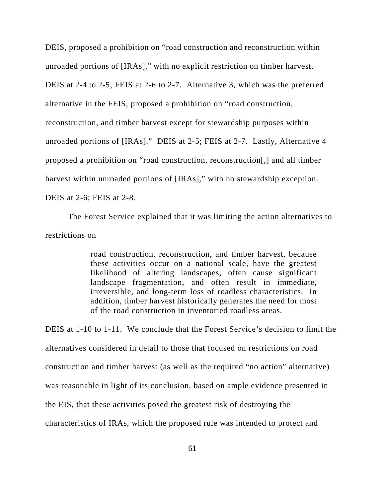DEIS, proposed a prohibition on "road construction and reconstruction within unroaded portions of [IRAs]," with no explicit restriction on timber harvest. DEIS at 2-4 to 2-5; FEIS at 2-6 to 2-7. Alternative 3, which was the preferred alternative in the FEIS, proposed a prohibition on "road construction, reconstruction, and timber harvest except for stewardship purposes within unroaded portions of [IRAs]." DEIS at 2-5; FEIS at 2-7. Lastly, Alternative 4 proposed a prohibition on "road construction, reconstruction[,] and all timber harvest within unroaded portions of [IRAs]," with no stewardship exception. DEIS at 2-6; FEIS at 2-8.

The Forest Service explained that it was limiting the action alternatives to restrictions on

> road construction, reconstruction, and timber harvest, because these activities occur on a national scale, have the greatest likelihood of altering landscapes, often cause significant landscape fragmentation, and often result in immediate, irreversible, and long-term loss of roadless characteristics. In addition, timber harvest historically generates the need for most of the road construction in inventoried roadless areas.

DEIS at 1-10 to 1-11. We conclude that the Forest Service's decision to limit the alternatives considered in detail to those that focused on restrictions on road construction and timber harvest (as well as the required "no action" alternative) was reasonable in light of its conclusion, based on ample evidence presented in the EIS, that these activities posed the greatest risk of destroying the characteristics of IRAs, which the proposed rule was intended to protect and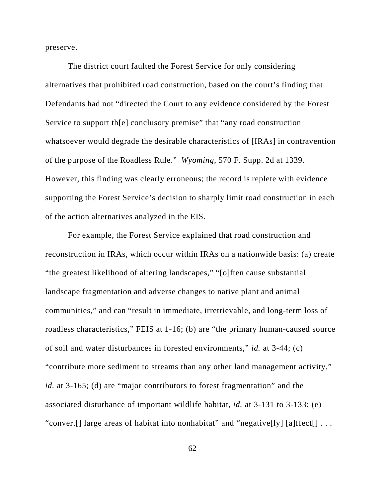preserve.

The district court faulted the Forest Service for only considering alternatives that prohibited road construction, based on the court's finding that Defendants had not "directed the Court to any evidence considered by the Forest Service to support th[e] conclusory premise" that "any road construction whatsoever would degrade the desirable characteristics of [IRAs] in contravention of the purpose of the Roadless Rule." *Wyoming*, 570 F. Supp. 2d at 1339. However, this finding was clearly erroneous; the record is replete with evidence supporting the Forest Service's decision to sharply limit road construction in each of the action alternatives analyzed in the EIS.

For example, the Forest Service explained that road construction and reconstruction in IRAs, which occur within IRAs on a nationwide basis: (a) create "the greatest likelihood of altering landscapes," "[o]ften cause substantial landscape fragmentation and adverse changes to native plant and animal communities," and can "result in immediate, irretrievable, and long-term loss of roadless characteristics," FEIS at 1-16; (b) are "the primary human-caused source of soil and water disturbances in forested environments," *id.* at 3-44; (c) "contribute more sediment to streams than any other land management activity," *id.* at 3-165; (d) are "major contributors to forest fragmentation" and the associated disturbance of important wildlife habitat, *id.* at 3-131 to 3-133; (e) "convert[] large areas of habitat into nonhabitat" and "negative[ly] [a]ffect[] . . .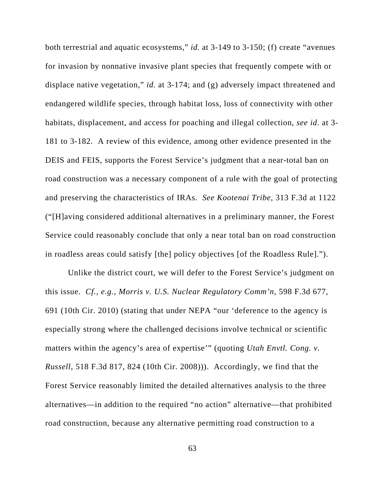both terrestrial and aquatic ecosystems," *id.* at 3-149 to 3-150; (f) create "avenues for invasion by nonnative invasive plant species that frequently compete with or displace native vegetation," *id.* at 3-174; and (g) adversely impact threatened and endangered wildlife species, through habitat loss, loss of connectivity with other habitats, displacement, and access for poaching and illegal collection, *see id.* at 3- 181 to 3-182. A review of this evidence, among other evidence presented in the DEIS and FEIS, supports the Forest Service's judgment that a near-total ban on road construction was a necessary component of a rule with the goal of protecting and preserving the characteristics of IRAs. *See Kootenai Tribe*, 313 F.3d at 1122 ("[H]aving considered additional alternatives in a preliminary manner, the Forest Service could reasonably conclude that only a near total ban on road construction in roadless areas could satisfy [the] policy objectives [of the Roadless Rule].").

Unlike the district court, we will defer to the Forest Service's judgment on this issue. *Cf., e.g.*, *Morris v. U.S. Nuclear Regulatory Comm'n*, 598 F.3d 677, 691 (10th Cir. 2010) (stating that under NEPA "our 'deference to the agency is especially strong where the challenged decisions involve technical or scientific matters within the agency's area of expertise'" (quoting *Utah Envtl. Cong. v. Russell*, 518 F.3d 817, 824 (10th Cir. 2008))). Accordingly, we find that the Forest Service reasonably limited the detailed alternatives analysis to the three alternatives—in addition to the required "no action" alternative—that prohibited road construction, because any alternative permitting road construction to a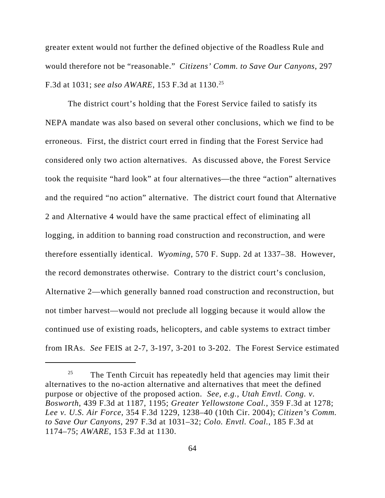greater extent would not further the defined objective of the Roadless Rule and would therefore not be "reasonable." *Citizens' Comm. to Save Our Canyons*, 297 F.3d at 1031; *see also AWARE*, 153 F.3d at 1130.25

The district court's holding that the Forest Service failed to satisfy its NEPA mandate was also based on several other conclusions, which we find to be erroneous. First, the district court erred in finding that the Forest Service had considered only two action alternatives. As discussed above, the Forest Service took the requisite "hard look" at four alternatives—the three "action" alternatives and the required "no action" alternative. The district court found that Alternative 2 and Alternative 4 would have the same practical effect of eliminating all logging, in addition to banning road construction and reconstruction, and were therefore essentially identical. *Wyoming*, 570 F. Supp. 2d at 1337–38. However, the record demonstrates otherwise. Contrary to the district court's conclusion, Alternative 2—which generally banned road construction and reconstruction, but not timber harvest—would not preclude all logging because it would allow the continued use of existing roads, helicopters, and cable systems to extract timber from IRAs. *See* FEIS at 2-7, 3-197, 3-201 to 3-202. The Forest Service estimated

<sup>&</sup>lt;sup>25</sup> The Tenth Circuit has repeatedly held that agencies may limit their alternatives to the no-action alternative and alternatives that meet the defined purpose or objective of the proposed action. *See, e.g.*, *Utah Envtl. Cong. v. Bosworth*, 439 F.3d at 1187, 1195; *Greater Yellowstone Coal.*, 359 F.3d at 1278; *Lee v. U.S. Air Force*, 354 F.3d 1229, 1238–40 (10th Cir. 2004); *Citizen's Comm. to Save Our Canyons*, 297 F.3d at 1031–32; *Colo. Envtl. Coal.*, 185 F.3d at 1174–75; *AWARE*, 153 F.3d at 1130.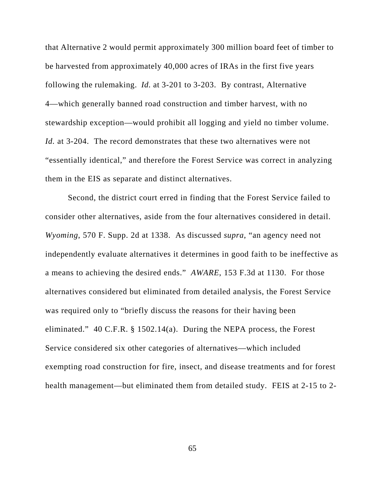that Alternative 2 would permit approximately 300 million board feet of timber to be harvested from approximately 40,000 acres of IRAs in the first five years following the rulemaking. *Id.* at 3-201 to 3-203. By contrast, Alternative 4—which generally banned road construction and timber harvest, with no stewardship exception—would prohibit all logging and yield no timber volume. *Id.* at 3-204. The record demonstrates that these two alternatives were not "essentially identical," and therefore the Forest Service was correct in analyzing them in the EIS as separate and distinct alternatives.

Second, the district court erred in finding that the Forest Service failed to consider other alternatives, aside from the four alternatives considered in detail. *Wyoming*, 570 F. Supp. 2d at 1338. As discussed *supra*, "an agency need not independently evaluate alternatives it determines in good faith to be ineffective as a means to achieving the desired ends." *AWARE*, 153 F.3d at 1130. For those alternatives considered but eliminated from detailed analysis, the Forest Service was required only to "briefly discuss the reasons for their having been eliminated." 40 C.F.R. § 1502.14(a). During the NEPA process, the Forest Service considered six other categories of alternatives—which included exempting road construction for fire, insect, and disease treatments and for forest health management—but eliminated them from detailed study. FEIS at 2-15 to 2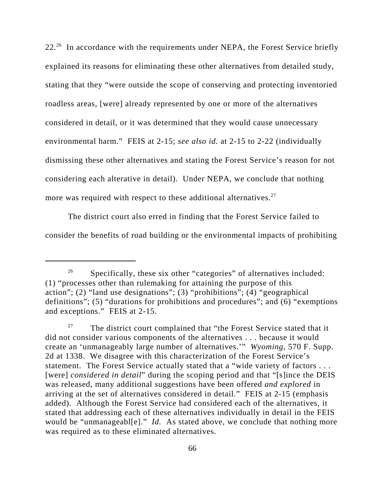22.<sup>26</sup> In accordance with the requirements under NEPA, the Forest Service briefly explained its reasons for eliminating these other alternatives from detailed study, stating that they "were outside the scope of conserving and protecting inventoried roadless areas, [were] already represented by one or more of the alternatives considered in detail, or it was determined that they would cause unnecessary environmental harm." FEIS at 2-15; *see also id.* at 2-15 to 2-22 (individually dismissing these other alternatives and stating the Forest Service's reason for not considering each alterative in detail). Under NEPA, we conclude that nothing more was required with respect to these additional alternatives. $27$ 

The district court also erred in finding that the Forest Service failed to consider the benefits of road building or the environmental impacts of prohibiting

 $26$  Specifically, these six other "categories" of alternatives included: (1) "processes other than rulemaking for attaining the purpose of this action"; (2) "land use designations"; (3) "prohibitions"; (4) "geographical definitions"; (5) "durations for prohibitions and procedures"; and  $(6)$  "exemptions" and exceptions." FEIS at 2-15.

 $27$  The district court complained that "the Forest Service stated that it did not consider various components of the alternatives . . . because it would create an 'unmanageably large number of alternatives.'" *Wyoming*, 570 F. Supp. 2d at 1338. We disagree with this characterization of the Forest Service's statement. The Forest Service actually stated that a "wide variety of factors . . . [were] *considered in detail*" during the scoping period and that "[s]ince the DEIS was released, many additional suggestions have been offered *and explored* in arriving at the set of alternatives considered in detail." FEIS at 2-15 (emphasis added). Although the Forest Service had considered each of the alternatives, it stated that addressing each of these alternatives individually in detail in the FEIS would be "unmanageabl[e]." *Id.* As stated above, we conclude that nothing more was required as to these eliminated alternatives.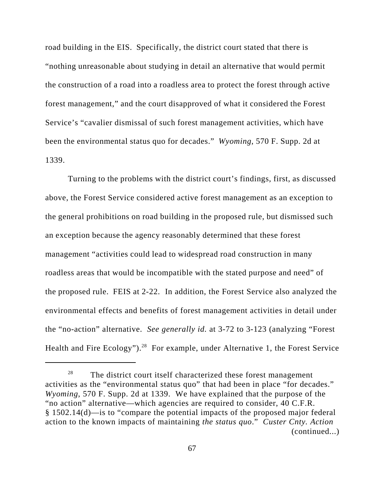road building in the EIS. Specifically, the district court stated that there is "nothing unreasonable about studying in detail an alternative that would permit the construction of a road into a roadless area to protect the forest through active forest management," and the court disapproved of what it considered the Forest Service's "cavalier dismissal of such forest management activities, which have been the environmental status quo for decades." *Wyoming*, 570 F. Supp. 2d at 1339.

Turning to the problems with the district court's findings, first, as discussed above, the Forest Service considered active forest management as an exception to the general prohibitions on road building in the proposed rule, but dismissed such an exception because the agency reasonably determined that these forest management "activities could lead to widespread road construction in many roadless areas that would be incompatible with the stated purpose and need" of the proposed rule. FEIS at 2-22. In addition, the Forest Service also analyzed the environmental effects and benefits of forest management activities in detail under the "no-action" alternative. *See generally id.* at 3-72 to 3-123 (analyzing "Forest Health and Fire Ecology").<sup>28</sup> For example, under Alternative 1, the Forest Service

 $28$  The district court itself characterized these forest management activities as the "environmental status quo" that had been in place "for decades." *Wyoming*, 570 F. Supp. 2d at 1339. We have explained that the purpose of the "no action" alternative—which agencies are required to consider, 40 C.F.R. § 1502.14(d)—is to "compare the potential impacts of the proposed major federal action to the known impacts of maintaining *the status quo*." *Custer Cnty. Action* (continued...)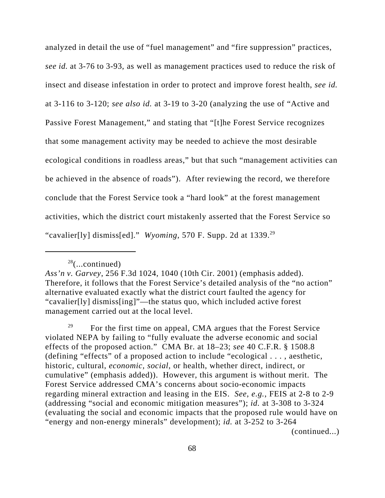analyzed in detail the use of "fuel management" and "fire suppression" practices, *see id.* at 3-76 to 3-93, as well as management practices used to reduce the risk of insect and disease infestation in order to protect and improve forest health, *see id.* at 3-116 to 3-120; *see also id.* at 3-19 to 3-20 (analyzing the use of "Active and Passive Forest Management," and stating that "[t]he Forest Service recognizes that some management activity may be needed to achieve the most desirable ecological conditions in roadless areas," but that such "management activities can be achieved in the absence of roads"). After reviewing the record, we therefore conclude that the Forest Service took a "hard look" at the forest management activities, which the district court mistakenly asserted that the Forest Service so "cavalier[ly] dismiss[ed]." *Wyoming*, 570 F. Supp. 2d at 1339.29

 $28$ (...continued)

*Ass'n v. Garvey*, 256 F.3d 1024, 1040 (10th Cir. 2001) (emphasis added). Therefore, it follows that the Forest Service's detailed analysis of the "no action" alternative evaluated exactly what the district court faulted the agency for "cavalier[ly] dismiss[ing]"—the status quo, which included active forest management carried out at the local level.

<sup>&</sup>lt;sup>29</sup> For the first time on appeal, CMA argues that the Forest Service violated NEPA by failing to "fully evaluate the adverse economic and social effects of the proposed action." CMA Br. at 18–23; *see* 40 C.F.R. § 1508.8 (defining "effects" of a proposed action to include "ecological . . . , aesthetic, historic, cultural, *economic, social*, or health, whether direct, indirect, or cumulative" (emphasis added)). However, this argument is without merit. The Forest Service addressed CMA's concerns about socio-economic impacts regarding mineral extraction and leasing in the EIS. *See*, *e.g.*, FEIS at 2-8 to 2-9 (addressing "social and economic mitigation measures"); *id.* at 3-308 to 3-324 (evaluating the social and economic impacts that the proposed rule would have on "energy and non-energy minerals" development); *id.* at 3-252 to 3-264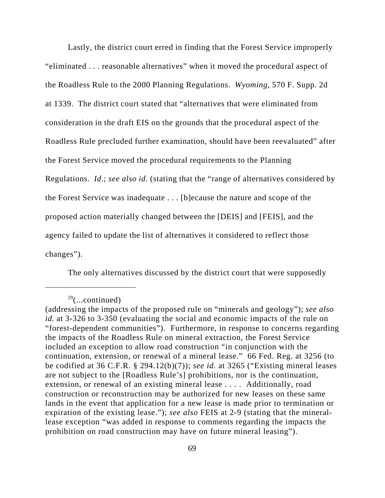Lastly, the district court erred in finding that the Forest Service improperly "eliminated . . . reasonable alternatives" when it moved the procedural aspect of the Roadless Rule to the 2000 Planning Regulations. *Wyoming*, 570 F. Supp. 2d at 1339. The district court stated that "alternatives that were eliminated from consideration in the draft EIS on the grounds that the procedural aspect of the Roadless Rule precluded further examination, should have been reevaluated" after the Forest Service moved the procedural requirements to the Planning Regulations. *Id*.; *see also id.* (stating that the "range of alternatives considered by the Forest Service was inadequate . . . [b]ecause the nature and scope of the proposed action materially changed between the [DEIS] and [FEIS], and the agency failed to update the list of alternatives it considered to reflect those changes").

The only alternatives discussed by the district court that were supposedly

 $29$ (...continued)

<sup>(</sup>addressing the impacts of the proposed rule on "minerals and geology"); *see also id.* at 3-326 to 3-350 (evaluating the social and economic impacts of the rule on "forest-dependent communities"). Furthermore, in response to concerns regarding the impacts of the Roadless Rule on mineral extraction, the Forest Service included an exception to allow road construction "in conjunction with the continuation, extension, or renewal of a mineral lease." 66 Fed. Reg. at 3256 (to be codified at 36 C.F.R. § 294.12(b)(7)); *see id.* at 3265 ("Existing mineral leases are not subject to the [Roadless Rule's] prohibitions, nor is the continuation, extension, or renewal of an existing mineral lease . . . . Additionally, road construction or reconstruction may be authorized for new leases on these same lands in the event that application for a new lease is made prior to termination or expiration of the existing lease."); *see also* FEIS at 2-9 (stating that the minerallease exception "was added in response to comments regarding the impacts the prohibition on road construction may have on future mineral leasing").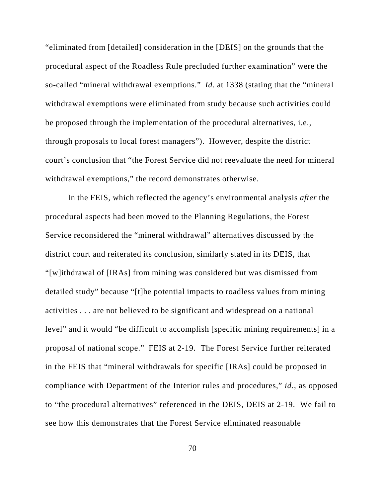"eliminated from [detailed] consideration in the [DEIS] on the grounds that the procedural aspect of the Roadless Rule precluded further examination" were the so-called "mineral withdrawal exemptions." *Id.* at 1338 (stating that the "mineral withdrawal exemptions were eliminated from study because such activities could be proposed through the implementation of the procedural alternatives, i.e., through proposals to local forest managers"). However, despite the district court's conclusion that "the Forest Service did not reevaluate the need for mineral withdrawal exemptions," the record demonstrates otherwise.

In the FEIS, which reflected the agency's environmental analysis *after* the procedural aspects had been moved to the Planning Regulations, the Forest Service reconsidered the "mineral withdrawal" alternatives discussed by the district court and reiterated its conclusion, similarly stated in its DEIS, that "[w]ithdrawal of [IRAs] from mining was considered but was dismissed from detailed study" because "[t]he potential impacts to roadless values from mining activities . . . are not believed to be significant and widespread on a national level" and it would "be difficult to accomplish [specific mining requirements] in a proposal of national scope." FEIS at 2-19. The Forest Service further reiterated in the FEIS that "mineral withdrawals for specific [IRAs] could be proposed in compliance with Department of the Interior rules and procedures," *id.*, as opposed to "the procedural alternatives" referenced in the DEIS, DEIS at 2-19. We fail to see how this demonstrates that the Forest Service eliminated reasonable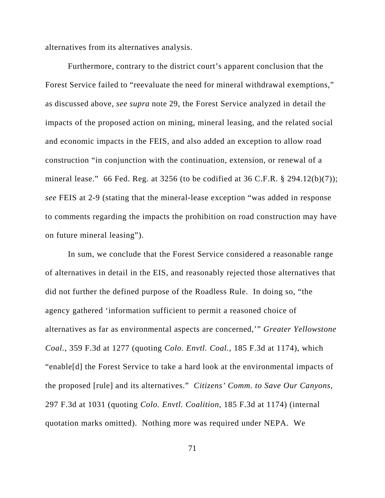alternatives from its alternatives analysis.

Furthermore, contrary to the district court's apparent conclusion that the Forest Service failed to "reevaluate the need for mineral withdrawal exemptions," as discussed above, *see supra* note 29, the Forest Service analyzed in detail the impacts of the proposed action on mining, mineral leasing, and the related social and economic impacts in the FEIS, and also added an exception to allow road construction "in conjunction with the continuation, extension, or renewal of a mineral lease." 66 Fed. Reg. at 3256 (to be codified at 36 C.F.R.  $\S$  294.12(b)(7)); *see* FEIS at 2-9 (stating that the mineral-lease exception "was added in response to comments regarding the impacts the prohibition on road construction may have on future mineral leasing").

In sum, we conclude that the Forest Service considered a reasonable range of alternatives in detail in the EIS, and reasonably rejected those alternatives that did not further the defined purpose of the Roadless Rule. In doing so, "the agency gathered 'information sufficient to permit a reasoned choice of alternatives as far as environmental aspects are concerned,'" *Greater Yellowstone Coal.*, 359 F.3d at 1277 (quoting *Colo. Envtl. Coal.*, 185 F.3d at 1174), which "enable[d] the Forest Service to take a hard look at the environmental impacts of the proposed [rule] and its alternatives." *Citizens' Comm. to Save Our Canyons*, 297 F.3d at 1031 (quoting *Colo. Envtl. Coalition*, 185 F.3d at 1174) (internal quotation marks omitted). Nothing more was required under NEPA. We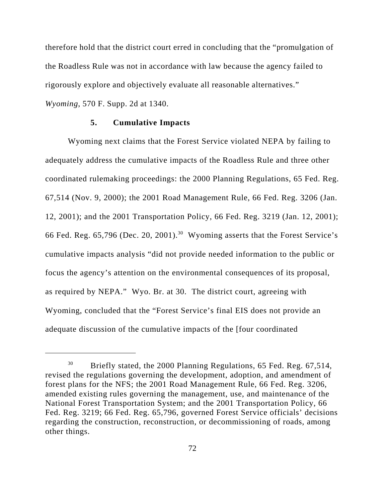therefore hold that the district court erred in concluding that the "promulgation of the Roadless Rule was not in accordance with law because the agency failed to rigorously explore and objectively evaluate all reasonable alternatives." *Wyoming*, 570 F. Supp. 2d at 1340.

# **5. Cumulative Impacts**

Wyoming next claims that the Forest Service violated NEPA by failing to adequately address the cumulative impacts of the Roadless Rule and three other coordinated rulemaking proceedings: the 2000 Planning Regulations, 65 Fed. Reg. 67,514 (Nov. 9, 2000); the 2001 Road Management Rule, 66 Fed. Reg. 3206 (Jan. 12, 2001); and the 2001 Transportation Policy, 66 Fed. Reg. 3219 (Jan. 12, 2001); 66 Fed. Reg. 65,796 (Dec. 20, 2001).30Wyoming asserts that the Forest Service's cumulative impacts analysis "did not provide needed information to the public or focus the agency's attention on the environmental consequences of its proposal, as required by NEPA."Wyo. Br. at 30.The district court, agreeing with Wyoming, concluded that the "Forest Service's final EIS does not provide an adequate discussion of the cumulative impacts of the [four coordinated

<sup>&</sup>lt;sup>30</sup> Briefly stated, the 2000 Planning Regulations, 65 Fed. Reg. 67,514, revised the regulations governing the development, adoption, and amendment of forest plans for the NFS; the 2001 Road Management Rule, 66 Fed. Reg. 3206, amended existing rules governing the management, use, and maintenance of the National Forest Transportation System; and the 2001 Transportation Policy, 66 Fed. Reg. 3219; 66 Fed. Reg. 65,796, governed Forest Service officials' decisions regarding the construction, reconstruction, or decommissioning of roads, among other things.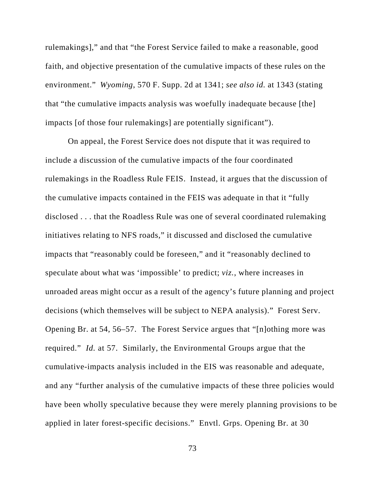rulemakings]," and that "the Forest Service failed to make a reasonable, good faith, and objective presentation of the cumulative impacts of these rules on the environment." *Wyoming*, 570 F. Supp. 2d at 1341; *see also id.* at 1343 (stating that "the cumulative impacts analysis was woefully inadequate because [the] impacts [of those four rulemakings] are potentially significant").

On appeal, the Forest Service does not dispute that it was required to include a discussion of the cumulative impacts of the four coordinated rulemakings in the Roadless Rule FEIS. Instead, it argues that the discussion of the cumulative impacts contained in the FEIS was adequate in that it "fully disclosed . . . that the Roadless Rule was one of several coordinated rulemaking initiatives relating to NFS roads," it discussed and disclosed the cumulative impacts that "reasonably could be foreseen," and it "reasonably declined to speculate about what was 'impossible' to predict; *viz.*, where increases in unroaded areas might occur as a result of the agency's future planning and project decisions (which themselves will be subject to NEPA analysis)." Forest Serv. Opening Br. at 54, 56–57. The Forest Service argues that "[n]othing more was required." *Id.* at 57. Similarly, the Environmental Groups argue that the cumulative-impacts analysis included in the EIS was reasonable and adequate, and any "further analysis of the cumulative impacts of these three policies would have been wholly speculative because they were merely planning provisions to be applied in later forest-specific decisions." Envtl. Grps. Opening Br. at 30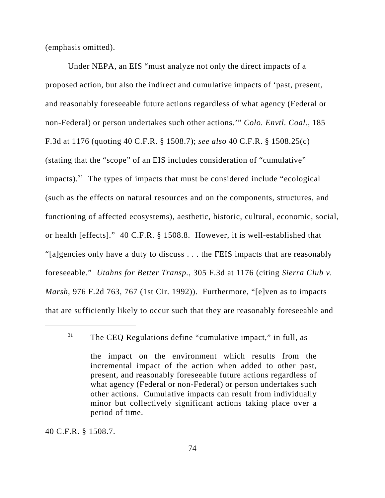(emphasis omitted).

Under NEPA, an EIS "must analyze not only the direct impacts of a proposed action, but also the indirect and cumulative impacts of 'past, present, and reasonably foreseeable future actions regardless of what agency (Federal or non-Federal) or person undertakes such other actions.'" *Colo. Envtl. Coal.*, 185 F.3d at 1176 (quoting 40 C.F.R. § 1508.7); *see also* 40 C.F.R. § 1508.25(c) (stating that the "scope" of an EIS includes consideration of "cumulative" impacts).<sup>31</sup> The types of impacts that must be considered include "ecological" (such as the effects on natural resources and on the components, structures, and functioning of affected ecosystems), aesthetic, historic, cultural, economic, social, or health [effects]." 40 C.F.R. § 1508.8. However, it is well-established that "[a]gencies only have a duty to discuss . . . the FEIS impacts that are reasonably foreseeable." *Utahns for Better Transp.*, 305 F.3d at 1176 (citing *Sierra Club v. Marsh*, 976 F.2d 763, 767 (1st Cir. 1992)). Furthermore, "[e]ven as to impacts that are sufficiently likely to occur such that they are reasonably foreseeable and

40 C.F.R. § 1508.7.

 $31$  The CEQ Regulations define "cumulative impact," in full, as

the impact on the environment which results from the incremental impact of the action when added to other past, present, and reasonably foreseeable future actions regardless of what agency (Federal or non-Federal) or person undertakes such other actions. Cumulative impacts can result from individually minor but collectively significant actions taking place over a period of time.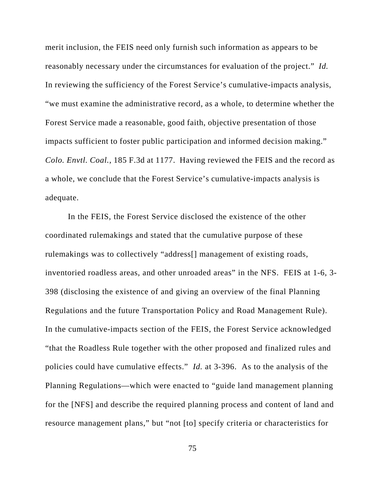merit inclusion, the FEIS need only furnish such information as appears to be reasonably necessary under the circumstances for evaluation of the project." *Id.* In reviewing the sufficiency of the Forest Service's cumulative-impacts analysis, "we must examine the administrative record, as a whole, to determine whether the Forest Service made a reasonable, good faith, objective presentation of those impacts sufficient to foster public participation and informed decision making." *Colo. Envtl. Coal.*, 185 F.3d at 1177. Having reviewed the FEIS and the record as a whole, we conclude that the Forest Service's cumulative-impacts analysis is adequate.

In the FEIS, the Forest Service disclosed the existence of the other coordinated rulemakings and stated that the cumulative purpose of these rulemakings was to collectively "address[] management of existing roads, inventoried roadless areas, and other unroaded areas" in the NFS. FEIS at 1-6, 3- 398 (disclosing the existence of and giving an overview of the final Planning Regulations and the future Transportation Policy and Road Management Rule). In the cumulative-impacts section of the FEIS, the Forest Service acknowledged "that the Roadless Rule together with the other proposed and finalized rules and policies could have cumulative effects." *Id.* at 3-396. As to the analysis of the Planning Regulations—which were enacted to "guide land management planning for the [NFS] and describe the required planning process and content of land and resource management plans," but "not [to] specify criteria or characteristics for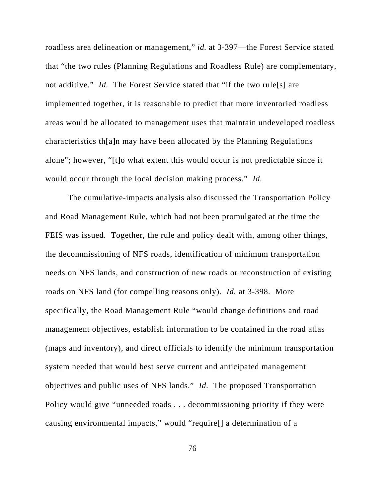roadless area delineation or management," *id.* at 3-397—the Forest Service stated that "the two rules (Planning Regulations and Roadless Rule) are complementary, not additive." *Id.* The Forest Service stated that "if the two rule[s] are implemented together, it is reasonable to predict that more inventoried roadless areas would be allocated to management uses that maintain undeveloped roadless characteristics th[a]n may have been allocated by the Planning Regulations alone"; however, "[t]o what extent this would occur is not predictable since it would occur through the local decision making process." *Id.* 

The cumulative-impacts analysis also discussed the Transportation Policy and Road Management Rule, which had not been promulgated at the time the FEIS was issued. Together, the rule and policy dealt with, among other things, the decommissioning of NFS roads, identification of minimum transportation needs on NFS lands, and construction of new roads or reconstruction of existing roads on NFS land (for compelling reasons only). *Id.* at 3-398. More specifically, the Road Management Rule "would change definitions and road management objectives, establish information to be contained in the road atlas (maps and inventory), and direct officials to identify the minimum transportation system needed that would best serve current and anticipated management objectives and public uses of NFS lands." *Id.* The proposed Transportation Policy would give "unneeded roads . . . decommissioning priority if they were causing environmental impacts," would "require[] a determination of a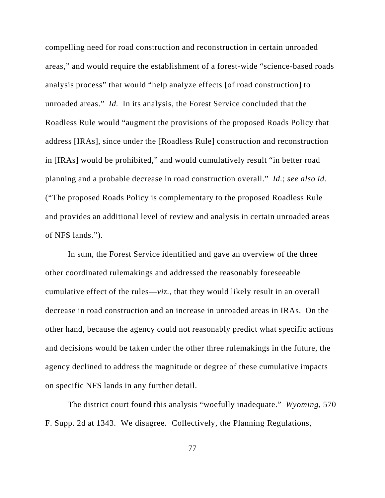compelling need for road construction and reconstruction in certain unroaded areas," and would require the establishment of a forest-wide "science-based roads analysis process" that would "help analyze effects [of road construction] to unroaded areas." *Id.* In its analysis, the Forest Service concluded that the Roadless Rule would "augment the provisions of the proposed Roads Policy that address [IRAs], since under the [Roadless Rule] construction and reconstruction in [IRAs] would be prohibited," and would cumulatively result "in better road planning and a probable decrease in road construction overall." *Id.*; *see also id.* ("The proposed Roads Policy is complementary to the proposed Roadless Rule and provides an additional level of review and analysis in certain unroaded areas of NFS lands.").

In sum, the Forest Service identified and gave an overview of the three other coordinated rulemakings and addressed the reasonably foreseeable cumulative effect of the rules—*viz.*, that they would likely result in an overall decrease in road construction and an increase in unroaded areas in IRAs. On the other hand, because the agency could not reasonably predict what specific actions and decisions would be taken under the other three rulemakings in the future, the agency declined to address the magnitude or degree of these cumulative impacts on specific NFS lands in any further detail.

The district court found this analysis "woefully inadequate." *Wyoming*, 570 F. Supp. 2d at 1343. We disagree. Collectively, the Planning Regulations,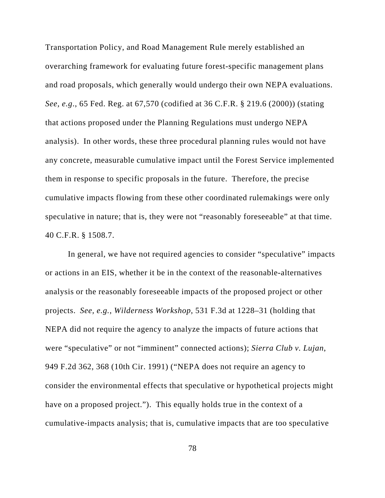Transportation Policy, and Road Management Rule merely established an overarching framework for evaluating future forest-specific management plans and road proposals, which generally would undergo their own NEPA evaluations. *See, e.g*., 65 Fed. Reg. at 67,570 (codified at 36 C.F.R. § 219.6 (2000)) (stating that actions proposed under the Planning Regulations must undergo NEPA analysis). In other words, these three procedural planning rules would not have any concrete, measurable cumulative impact until the Forest Service implemented them in response to specific proposals in the future. Therefore, the precise cumulative impacts flowing from these other coordinated rulemakings were only speculative in nature; that is, they were not "reasonably foreseeable" at that time. 40 C.F.R. § 1508.7.

In general, we have not required agencies to consider "speculative" impacts or actions in an EIS, whether it be in the context of the reasonable-alternatives analysis or the reasonably foreseeable impacts of the proposed project or other projects. *See, e.g.*, *Wilderness Workshop*, 531 F.3d at 1228–31 (holding that NEPA did not require the agency to analyze the impacts of future actions that were "speculative" or not "imminent" connected actions); *Sierra Club v. Lujan*, 949 F.2d 362, 368 (10th Cir. 1991) ("NEPA does not require an agency to consider the environmental effects that speculative or hypothetical projects might have on a proposed project."). This equally holds true in the context of a cumulative-impacts analysis; that is, cumulative impacts that are too speculative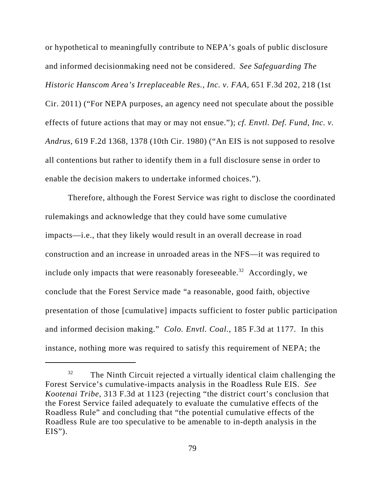or hypothetical to meaningfully contribute to NEPA's goals of public disclosure and informed decisionmaking need not be considered. *See Safeguarding The Historic Hanscom Area's Irreplaceable Res., Inc. v. FAA*, 651 F.3d 202, 218 (1st Cir. 2011) ("For NEPA purposes, an agency need not speculate about the possible effects of future actions that may or may not ensue."); *cf. Envtl. Def. Fund, Inc. v. Andrus*, 619 F.2d 1368, 1378 (10th Cir. 1980) ("An EIS is not supposed to resolve all contentions but rather to identify them in a full disclosure sense in order to enable the decision makers to undertake informed choices.").

Therefore, although the Forest Service was right to disclose the coordinated rulemakings and acknowledge that they could have some cumulative impacts—i.e., that they likely would result in an overall decrease in road construction and an increase in unroaded areas in the NFS—it was required to include only impacts that were reasonably foreseeable.<sup>32</sup> Accordingly, we conclude that the Forest Service made "a reasonable, good faith, objective presentation of those [cumulative] impacts sufficient to foster public participation and informed decision making." *Colo. Envtl. Coal.*, 185 F.3d at 1177. In this instance, nothing more was required to satisfy this requirement of NEPA; the

 $32$  The Ninth Circuit rejected a virtually identical claim challenging the Forest Service's cumulative-impacts analysis in the Roadless Rule EIS. *See Kootenai Tribe*, 313 F.3d at 1123 (rejecting "the district court's conclusion that the Forest Service failed adequately to evaluate the cumulative effects of the Roadless Rule" and concluding that "the potential cumulative effects of the Roadless Rule are too speculative to be amenable to in-depth analysis in the  $EIS$ ").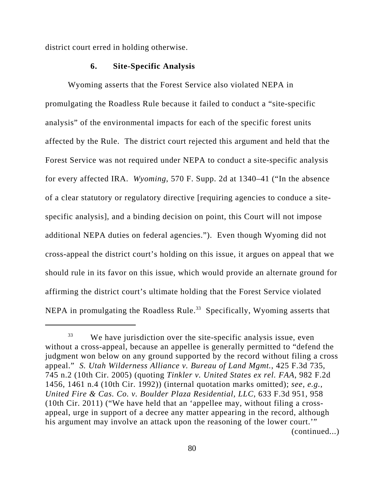district court erred in holding otherwise.

### **6. Site-Specific Analysis**

Wyoming asserts that the Forest Service also violated NEPA in promulgating the Roadless Rule because it failed to conduct a "site-specific analysis" of the environmental impacts for each of the specific forest units affected by the Rule. The district court rejected this argument and held that the Forest Service was not required under NEPA to conduct a site-specific analysis for every affected IRA. *Wyoming*, 570 F. Supp. 2d at 1340–41 ("In the absence of a clear statutory or regulatory directive [requiring agencies to conduce a sitespecific analysis], and a binding decision on point, this Court will not impose additional NEPA duties on federal agencies."). Even though Wyoming did not cross-appeal the district court's holding on this issue, it argues on appeal that we should rule in its favor on this issue, which would provide an alternate ground for affirming the district court's ultimate holding that the Forest Service violated NEPA in promulgating the Roadless Rule.<sup>33</sup> Specifically, Wyoming asserts that

 $33$  We have jurisdiction over the site-specific analysis issue, even without a cross-appeal, because an appellee is generally permitted to "defend the judgment won below on any ground supported by the record without filing a cross appeal." *S. Utah Wilderness Alliance v. Bureau of Land Mgmt.*, 425 F.3d 735, 745 n.2 (10th Cir. 2005) (quoting *Tinkler v. United States ex rel. FAA*, 982 F.2d 1456, 1461 n.4 (10th Cir. 1992)) (internal quotation marks omitted); *see, e.g.*, *United Fire & Cas. Co. v. Boulder Plaza Residential, LLC*, 633 F.3d 951, 958 (10th Cir. 2011) ("We have held that an 'appellee may, without filing a crossappeal, urge in support of a decree any matter appearing in the record, although his argument may involve an attack upon the reasoning of the lower court.'" (continued...)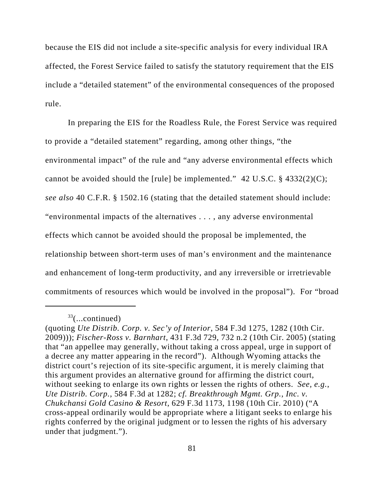because the EIS did not include a site-specific analysis for every individual IRA affected, the Forest Service failed to satisfy the statutory requirement that the EIS include a "detailed statement" of the environmental consequences of the proposed rule.

In preparing the EIS for the Roadless Rule, the Forest Service was required to provide a "detailed statement" regarding, among other things, "the environmental impact" of the rule and "any adverse environmental effects which cannot be avoided should the [rule] be implemented."  $42 \text{ U.S.C. }$  \$ $4332(2)(\text{C})$ ; *see also* 40 C.F.R. § 1502.16 (stating that the detailed statement should include: "environmental impacts of the alternatives . . . , any adverse environmental effects which cannot be avoided should the proposal be implemented, the relationship between short-term uses of man's environment and the maintenance and enhancement of long-term productivity, and any irreversible or irretrievable commitments of resources which would be involved in the proposal"). For "broad

 $33$ (...continued)

<sup>(</sup>quoting *Ute Distrib. Corp. v. Sec'y of Interior*, 584 F.3d 1275, 1282 (10th Cir. 2009))); *Fischer-Ross v. Barnhart*, 431 F.3d 729, 732 n.2 (10th Cir. 2005) (stating that "an appellee may generally, without taking a cross appeal, urge in support of a decree any matter appearing in the record"). Although Wyoming attacks the district court's rejection of its site-specific argument, it is merely claiming that this argument provides an alternative ground for affirming the district court, without seeking to enlarge its own rights or lessen the rights of others. *See, e.g.*, *Ute Distrib. Corp.*, 584 F.3d at 1282; *cf. Breakthrough Mgmt. Grp., Inc. v. Chukchansi Gold Casino & Resort*, 629 F.3d 1173, 1198 (10th Cir. 2010) ("A cross-appeal ordinarily would be appropriate where a litigant seeks to enlarge his rights conferred by the original judgment or to lessen the rights of his adversary under that judgment.").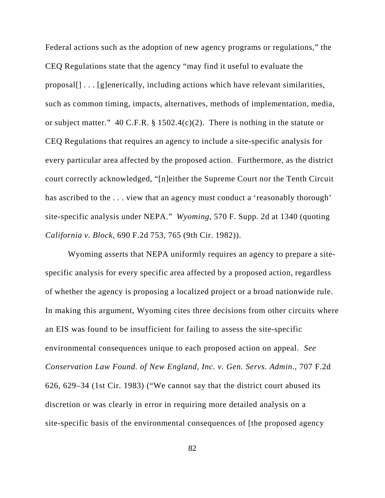Federal actions such as the adoption of new agency programs or regulations," the CEQ Regulations state that the agency "may find it useful to evaluate the proposal[] . . . [g]enerically, including actions which have relevant similarities, such as common timing, impacts, alternatives, methods of implementation, media, or subject matter." 40 C.F.R. § 1502.4(c)(2). There is nothing in the statute or CEQ Regulations that requires an agency to include a site-specific analysis for every particular area affected by the proposed action. Furthermore, as the district court correctly acknowledged, "[n]either the Supreme Court nor the Tenth Circuit has ascribed to the ... view that an agency must conduct a 'reasonably thorough' site-specific analysis under NEPA." *Wyoming*, 570 F. Supp. 2d at 1340 (quoting *California v. Block*, 690 F.2d 753, 765 (9th Cir. 1982)).

Wyoming asserts that NEPA uniformly requires an agency to prepare a sitespecific analysis for every specific area affected by a proposed action, regardless of whether the agency is proposing a localized project or a broad nationwide rule. In making this argument, Wyoming cites three decisions from other circuits where an EIS was found to be insufficient for failing to assess the site-specific environmental consequences unique to each proposed action on appeal. *See Conservation Law Found. of New England, Inc. v. Gen. Servs. Admin*., 707 F.2d 626, 629–34 (1st Cir. 1983) ("We cannot say that the district court abused its discretion or was clearly in error in requiring more detailed analysis on a site-specific basis of the environmental consequences of [the proposed agency

82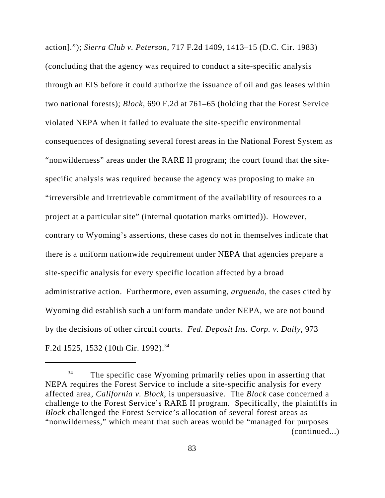action]."); *Sierra Club v. Peterson*, 717 F.2d 1409, 1413–15 (D.C. Cir. 1983) (concluding that the agency was required to conduct a site-specific analysis through an EIS before it could authorize the issuance of oil and gas leases within two national forests); *Block*, 690 F.2d at 761–65 (holding that the Forest Service violated NEPA when it failed to evaluate the site-specific environmental consequences of designating several forest areas in the National Forest System as "nonwilderness" areas under the RARE II program; the court found that the sitespecific analysis was required because the agency was proposing to make an "irreversible and irretrievable commitment of the availability of resources to a project at a particular site" (internal quotation marks omitted)). However, contrary to Wyoming's assertions, these cases do not in themselves indicate that there is a uniform nationwide requirement under NEPA that agencies prepare a site-specific analysis for every specific location affected by a broad administrative action. Furthermore, even assuming, *arguendo*, the cases cited by Wyoming did establish such a uniform mandate under NEPA, we are not bound by the decisions of other circuit courts. *Fed. Deposit Ins. Corp. v. Daily*, 973 F.2d 1525, 1532 (10th Cir. 1992).<sup>34</sup>

 $34$  The specific case Wyoming primarily relies upon in asserting that NEPA requires the Forest Service to include a site-specific analysis for every affected area, *California v. Block*, is unpersuasive. The *Block* case concerned a challenge to the Forest Service's RARE II program. Specifically, the plaintiffs in *Block* challenged the Forest Service's allocation of several forest areas as "nonwilderness," which meant that such areas would be "managed for purposes (continued...)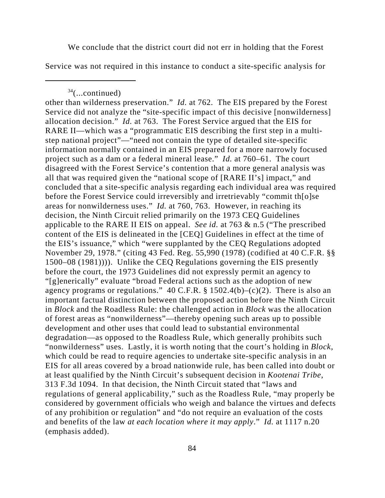We conclude that the district court did not err in holding that the Forest

Service was not required in this instance to conduct a site-specific analysis for

 $34$ (...continued)

other than wilderness preservation." *Id.* at 762. The EIS prepared by the Forest Service did not analyze the "site-specific impact of this decisive [nonwilderness] allocation decision." *Id.* at 763. The Forest Service argued that the EIS for RARE II—which was a "programmatic EIS describing the first step in a multistep national project"—"need not contain the type of detailed site-specific information normally contained in an EIS prepared for a more narrowly focused project such as a dam or a federal mineral lease." *Id.* at 760–61. The court disagreed with the Forest Service's contention that a more general analysis was all that was required given the "national scope of [RARE II's] impact," and concluded that a site-specific analysis regarding each individual area was required before the Forest Service could irreversibly and irretrievably "commit th[o]se areas for nonwilderness uses." *Id.* at 760, 763. However, in reaching its decision, the Ninth Circuit relied primarily on the 1973 CEQ Guidelines applicable to the RARE II EIS on appeal. *See id.* at 763 & n.5 ("The prescribed content of the EIS is delineated in the [CEQ] Guidelines in effect at the time of the EIS's issuance," which "were supplanted by the CEQ Regulations adopted November 29, 1978." (citing 43 Fed. Reg. 55,990 (1978) (codified at 40 C.F.R. §§ 1500–08 (1981)))). Unlike the CEQ Regulations governing the EIS presently before the court, the 1973 Guidelines did not expressly permit an agency to "[g]enerically" evaluate "broad Federal actions such as the adoption of new agency programs or regulations." 40 C.F.R. § 1502.4(b)–(c)(2). There is also an important factual distinction between the proposed action before the Ninth Circuit in *Block* and the Roadless Rule: the challenged action in *Block* was the allocation of forest areas as "nonwilderness"—thereby opening such areas up to possible development and other uses that could lead to substantial environmental degradation—as opposed to the Roadless Rule, which generally prohibits such "nonwilderness" uses. Lastly, it is worth noting that the court's holding in *Block*, which could be read to require agencies to undertake site-specific analysis in an EIS for all areas covered by a broad nationwide rule, has been called into doubt or at least qualified by the Ninth Circuit's subsequent decision in *Kootenai Tribe*, 313 F.3d 1094. In that decision, the Ninth Circuit stated that "laws and regulations of general applicability," such as the Roadless Rule, "may properly be considered by government officials who weigh and balance the virtues and defects of any prohibition or regulation" and "do not require an evaluation of the costs and benefits of the law *at each location where it may apply*." *Id.* at 1117 n.20 (emphasis added).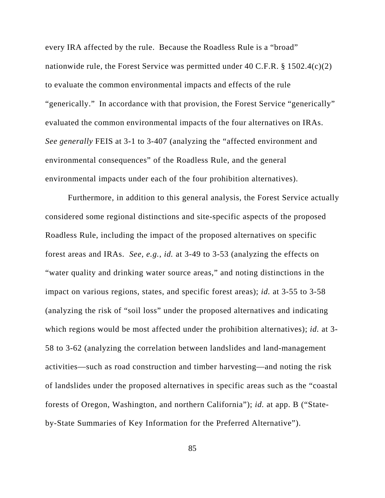every IRA affected by the rule. Because the Roadless Rule is a "broad" nationwide rule, the Forest Service was permitted under 40 C.F.R.  $\S 1502.4(c)(2)$ to evaluate the common environmental impacts and effects of the rule "generically." In accordance with that provision, the Forest Service "generically" evaluated the common environmental impacts of the four alternatives on IRAs. *See generally* FEIS at 3-1 to 3-407 (analyzing the "affected environment and environmental consequences" of the Roadless Rule, and the general environmental impacts under each of the four prohibition alternatives).

Furthermore, in addition to this general analysis, the Forest Service actually considered some regional distinctions and site-specific aspects of the proposed Roadless Rule, including the impact of the proposed alternatives on specific forest areas and IRAs. *See, e.g.*, *id.* at 3-49 to 3-53 (analyzing the effects on "water quality and drinking water source areas," and noting distinctions in the impact on various regions, states, and specific forest areas); *id.* at 3-55 to 3-58 (analyzing the risk of "soil loss" under the proposed alternatives and indicating which regions would be most affected under the prohibition alternatives); *id.* at 3- 58 to 3-62 (analyzing the correlation between landslides and land-management activities—such as road construction and timber harvesting—and noting the risk of landslides under the proposed alternatives in specific areas such as the "coastal forests of Oregon, Washington, and northern California"); *id.* at app. B ("Stateby-State Summaries of Key Information for the Preferred Alternative").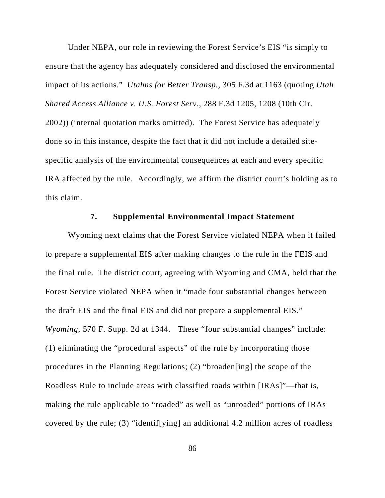Under NEPA, our role in reviewing the Forest Service's EIS "is simply to ensure that the agency has adequately considered and disclosed the environmental impact of its actions." *Utahns for Better Transp.*, 305 F.3d at 1163 (quoting *Utah Shared Access Alliance v. U.S. Forest Serv.*, 288 F.3d 1205, 1208 (10th Cir. 2002)) (internal quotation marks omitted). The Forest Service has adequately done so in this instance, despite the fact that it did not include a detailed sitespecific analysis of the environmental consequences at each and every specific IRA affected by the rule.Accordingly, we affirm the district court's holding as to this claim.

### **7. Supplemental Environmental Impact Statement**

Wyoming next claims that the Forest Service violated NEPA when it failed to prepare a supplemental EIS after making changes to the rule in the FEIS and the final rule. The district court, agreeing with Wyoming and CMA, held that the Forest Service violated NEPA when it "made four substantial changes between the draft EIS and the final EIS and did not prepare a supplemental EIS." *Wyoming*, 570 F. Supp. 2d at 1344. These "four substantial changes" include: (1) eliminating the "procedural aspects" of the rule by incorporating those procedures in the Planning Regulations; (2) "broaden[ing] the scope of the Roadless Rule to include areas with classified roads within [IRAs]"—that is, making the rule applicable to "roaded" as well as "unroaded" portions of IRAs covered by the rule; (3) "identif[ying] an additional 4.2 million acres of roadless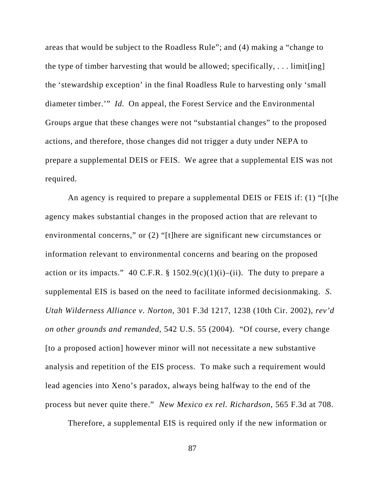areas that would be subject to the Roadless Rule"; and (4) making a "change to the type of timber harvesting that would be allowed; specifically, . . . limit[ing] the 'stewardship exception' in the final Roadless Rule to harvesting only 'small diameter timber.'" *Id.* On appeal, the Forest Service and the Environmental Groups argue that these changes were not "substantial changes" to the proposed actions, and therefore, those changes did not trigger a duty under NEPA to prepare a supplemental DEIS or FEIS. We agree that a supplemental EIS was not required.

An agency is required to prepare a supplemental DEIS or FEIS if: (1) "[t]he agency makes substantial changes in the proposed action that are relevant to environmental concerns," or (2) "[t]here are significant new circumstances or information relevant to environmental concerns and bearing on the proposed action or its impacts." 40 C.F.R.  $\S$  1502.9(c)(1)(i)–(ii). The duty to prepare a supplemental EIS is based on the need to facilitate informed decisionmaking. *S. Utah Wilderness Alliance v. Norton*, 301 F.3d 1217, 1238 (10th Cir. 2002), *rev'd on other grounds and remanded*, 542 U.S. 55 (2004). "Of course, every change [to a proposed action] however minor will not necessitate a new substantive analysis and repetition of the EIS process. To make such a requirement would lead agencies into Xeno's paradox, always being halfway to the end of the process but never quite there." *New Mexico ex rel. Richardson*, 565 F.3d at 708.

Therefore, a supplemental EIS is required only if the new information or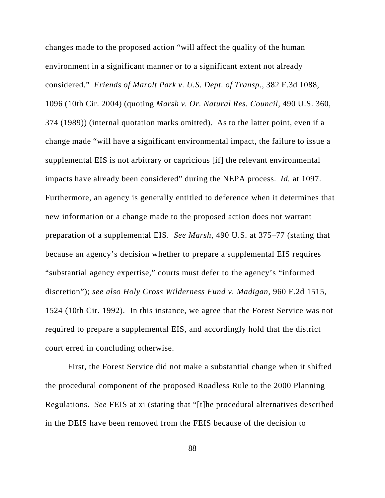changes made to the proposed action "will affect the quality of the human environment in a significant manner or to a significant extent not already considered." *Friends of Marolt Park v. U.S. Dept. of Transp.*, 382 F.3d 1088, 1096 (10th Cir. 2004) (quoting *Marsh v. Or. Natural Res. Council*, 490 U.S. 360, 374 (1989)) (internal quotation marks omitted). As to the latter point, even if a change made "will have a significant environmental impact, the failure to issue a supplemental EIS is not arbitrary or capricious [if] the relevant environmental impacts have already been considered" during the NEPA process. *Id.* at 1097. Furthermore, an agency is generally entitled to deference when it determines that new information or a change made to the proposed action does not warrant preparation of a supplemental EIS. *See Marsh*, 490 U.S. at 375–77 (stating that because an agency's decision whether to prepare a supplemental EIS requires "substantial agency expertise," courts must defer to the agency's "informed discretion"); *see also Holy Cross Wilderness Fund v. Madigan*, 960 F.2d 1515, 1524 (10th Cir. 1992). In this instance, we agree that the Forest Service was not required to prepare a supplemental EIS, and accordingly hold that the district court erred in concluding otherwise.

First, the Forest Service did not make a substantial change when it shifted the procedural component of the proposed Roadless Rule to the 2000 Planning Regulations. *See* FEIS at xi (stating that "[t]he procedural alternatives described in the DEIS have been removed from the FEIS because of the decision to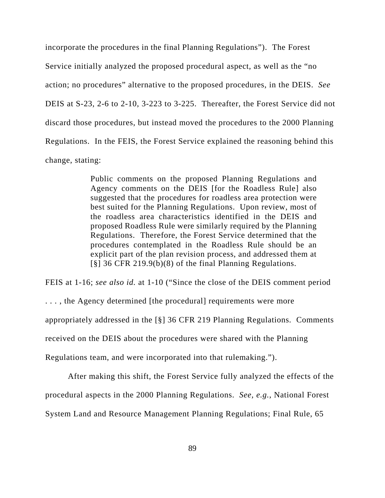incorporate the procedures in the final Planning Regulations"). The Forest Service initially analyzed the proposed procedural aspect, as well as the "no action; no procedures" alternative to the proposed procedures, in the DEIS. *See* DEIS at S-23, 2-6 to 2-10, 3-223 to 3-225. Thereafter, the Forest Service did not discard those procedures, but instead moved the procedures to the 2000 Planning Regulations. In the FEIS, the Forest Service explained the reasoning behind this change, stating:

> Public comments on the proposed Planning Regulations and Agency comments on the DEIS [for the Roadless Rule] also suggested that the procedures for roadless area protection were best suited for the Planning Regulations. Upon review, most of the roadless area characteristics identified in the DEIS and proposed Roadless Rule were similarly required by the Planning Regulations. Therefore, the Forest Service determined that the procedures contemplated in the Roadless Rule should be an explicit part of the plan revision process, and addressed them at [§] 36 CFR 219.9(b)(8) of the final Planning Regulations.

FEIS at 1-16; *see also id.* at 1-10 ("Since the close of the DEIS comment period . . . , the Agency determined [the procedural] requirements were more appropriately addressed in the [§] 36 CFR 219 Planning Regulations. Comments received on the DEIS about the procedures were shared with the Planning Regulations team, and were incorporated into that rulemaking.").

After making this shift, the Forest Service fully analyzed the effects of the procedural aspects in the 2000 Planning Regulations. *See, e.g.*, National Forest System Land and Resource Management Planning Regulations; Final Rule, 65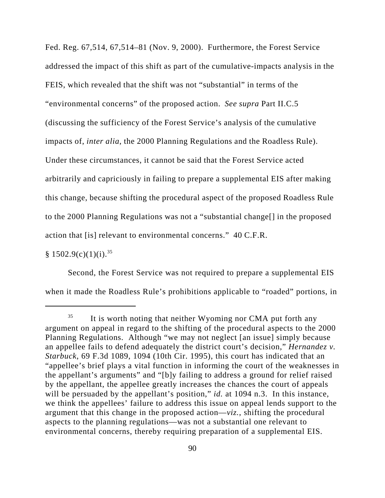Fed. Reg. 67,514, 67,514–81 (Nov. 9, 2000). Furthermore, the Forest Service addressed the impact of this shift as part of the cumulative-impacts analysis in the FEIS, which revealed that the shift was not "substantial" in terms of the "environmental concerns" of the proposed action. *See supra* Part II.C.5 (discussing the sufficiency of the Forest Service's analysis of the cumulative impacts of, *inter alia*, the 2000 Planning Regulations and the Roadless Rule). Under these circumstances, it cannot be said that the Forest Service acted arbitrarily and capriciously in failing to prepare a supplemental EIS after making this change, because shifting the procedural aspect of the proposed Roadless Rule to the 2000 Planning Regulations was not a "substantial change[] in the proposed action that [is] relevant to environmental concerns." 40 C.F.R.

# $§ 1502.9(c)(1)(i).$ <sup>35</sup>

Second, the Forest Service was not required to prepare a supplemental EIS when it made the Roadless Rule's prohibitions applicable to "roaded" portions, in

<sup>&</sup>lt;sup>35</sup> It is worth noting that neither Wyoming nor CMA put forth any argument on appeal in regard to the shifting of the procedural aspects to the 2000 Planning Regulations. Although "we may not neglect [an issue] simply because an appellee fails to defend adequately the district court's decision," *Hernandez v. Starbuck*, 69 F.3d 1089, 1094 (10th Cir. 1995), this court has indicated that an "appellee's brief plays a vital function in informing the court of the weaknesses in the appellant's arguments" and "[b]y failing to address a ground for relief raised by the appellant, the appellee greatly increases the chances the court of appeals will be persuaded by the appellant's position," *id.* at 1094 n.3. In this instance, we think the appellees' failure to address this issue on appeal lends support to the argument that this change in the proposed action—*viz.*, shifting the procedural aspects to the planning regulations—was not a substantial one relevant to environmental concerns, thereby requiring preparation of a supplemental EIS.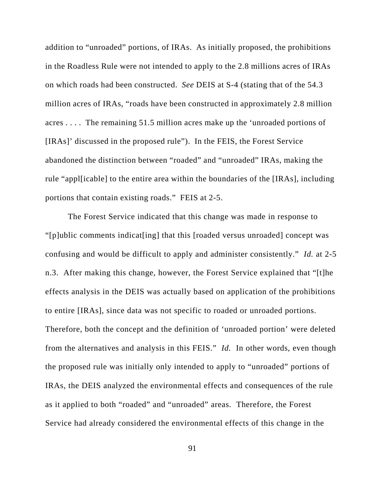addition to "unroaded" portions, of IRAs. As initially proposed, the prohibitions in the Roadless Rule were not intended to apply to the 2.8 millions acres of IRAs on which roads had been constructed. *See* DEIS at S-4 (stating that of the 54.3 million acres of IRAs, "roads have been constructed in approximately 2.8 million acres . . . . The remaining 51.5 million acres make up the 'unroaded portions of [IRAs]' discussed in the proposed rule"). In the FEIS, the Forest Service abandoned the distinction between "roaded" and "unroaded" IRAs, making the rule "appl[icable] to the entire area within the boundaries of the [IRAs], including portions that contain existing roads." FEIS at 2-5.

The Forest Service indicated that this change was made in response to "[p]ublic comments indicat[ing] that this [roaded versus unroaded] concept was confusing and would be difficult to apply and administer consistently." *Id.* at 2-5 n.3. After making this change, however, the Forest Service explained that "[t]he effects analysis in the DEIS was actually based on application of the prohibitions to entire [IRAs], since data was not specific to roaded or unroaded portions. Therefore, both the concept and the definition of 'unroaded portion' were deleted from the alternatives and analysis in this FEIS." *Id.* In other words, even though the proposed rule was initially only intended to apply to "unroaded" portions of IRAs, the DEIS analyzed the environmental effects and consequences of the rule as it applied to both "roaded" and "unroaded" areas. Therefore, the Forest Service had already considered the environmental effects of this change in the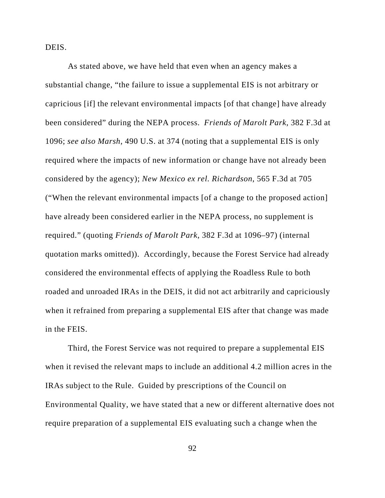DEIS.

As stated above, we have held that even when an agency makes a substantial change, "the failure to issue a supplemental EIS is not arbitrary or capricious [if] the relevant environmental impacts [of that change] have already been considered" during the NEPA process. *Friends of Marolt Park*, 382 F.3d at 1096; *see also Marsh*, 490 U.S. at 374 (noting that a supplemental EIS is only required where the impacts of new information or change have not already been considered by the agency); *New Mexico ex rel. Richardson*, 565 F.3d at 705 ("When the relevant environmental impacts [of a change to the proposed action] have already been considered earlier in the NEPA process, no supplement is required." (quoting *Friends of Marolt Park*, 382 F.3d at 1096–97) (internal quotation marks omitted)). Accordingly, because the Forest Service had already considered the environmental effects of applying the Roadless Rule to both roaded and unroaded IRAs in the DEIS, it did not act arbitrarily and capriciously when it refrained from preparing a supplemental EIS after that change was made in the FEIS.

Third, the Forest Service was not required to prepare a supplemental EIS when it revised the relevant maps to include an additional 4.2 million acres in the IRAs subject to the Rule. Guided by prescriptions of the Council on Environmental Quality, we have stated that a new or different alternative does not require preparation of a supplemental EIS evaluating such a change when the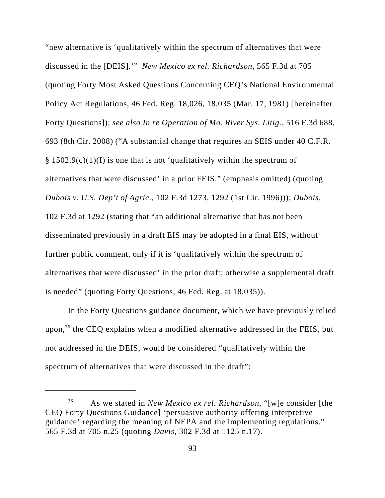"new alternative is 'qualitatively within the spectrum of alternatives that were discussed in the [DEIS].'" *New Mexico ex rel. Richardson*, 565 F.3d at 705 (quoting Forty Most Asked Questions Concerning CEQ's National Environmental Policy Act Regulations, 46 Fed. Reg. 18,026, 18,035 (Mar. 17, 1981) [hereinafter Forty Questions]); *see also In re Operation of Mo. River Sys. Litig.*, 516 F.3d 688, 693 (8th Cir. 2008) ("A substantial change that requires an SEIS under 40 C.F.R.  $§ 1502.9(c)(1)(I)$  is one that is not 'qualitatively within the spectrum of alternatives that were discussed' in a prior FEIS." (emphasis omitted) (quoting *Dubois v. U.S. Dep't of Agric.*, 102 F.3d 1273, 1292 (1st Cir. 1996))); *Dubois*, 102 F.3d at 1292 (stating that "an additional alternative that has not been disseminated previously in a draft EIS may be adopted in a final EIS, without further public comment, only if it is 'qualitatively within the spectrum of alternatives that were discussed' in the prior draft; otherwise a supplemental draft is needed" (quoting Forty Questions, 46 Fed. Reg. at 18,035)).

In the Forty Questions guidance document, which we have previously relied upon,<sup>36</sup> the CEQ explains when a modified alternative addressed in the FEIS, but not addressed in the DEIS, would be considered "qualitatively within the spectrum of alternatives that were discussed in the draft":

<sup>36</sup> As we stated in *New Mexico ex rel. Richardson*, "[w]e consider [the CEQ Forty Questions Guidance] 'persuasive authority offering interpretive guidance' regarding the meaning of NEPA and the implementing regulations." 565 F.3d at 705 n.25 (quoting *Davis*, 302 F.3d at 1125 n.17).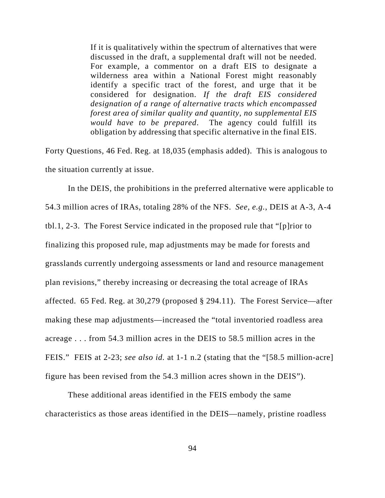If it is qualitatively within the spectrum of alternatives that were discussed in the draft, a supplemental draft will not be needed. For example, a commentor on a draft EIS to designate a wilderness area within a National Forest might reasonably identify a specific tract of the forest, and urge that it be considered for designation. *If the draft EIS considered designation of a range of alternative tracts which encompassed forest area of similar quality and quantity, no supplemental EIS would have to be prepared*. The agency could fulfill its obligation by addressing that specific alternative in the final EIS.

Forty Questions, 46 Fed. Reg. at 18,035 (emphasis added). This is analogous to the situation currently at issue.

In the DEIS, the prohibitions in the preferred alternative were applicable to 54.3 million acres of IRAs, totaling 28% of the NFS. *See, e.g.*, DEIS at A-3, A-4 tbl.1, 2-3. The Forest Service indicated in the proposed rule that "[p]rior to finalizing this proposed rule, map adjustments may be made for forests and grasslands currently undergoing assessments or land and resource management plan revisions," thereby increasing or decreasing the total acreage of IRAs affected. 65 Fed. Reg. at 30,279 (proposed § 294.11). The Forest Service—after making these map adjustments—increased the "total inventoried roadless area acreage . . . from 54.3 million acres in the DEIS to 58.5 million acres in the FEIS." FEIS at 2-23; *see also id.* at 1-1 n.2 (stating that the "[58.5 million-acre] figure has been revised from the 54.3 million acres shown in the DEIS").

These additional areas identified in the FEIS embody the same characteristics as those areas identified in the DEIS—namely, pristine roadless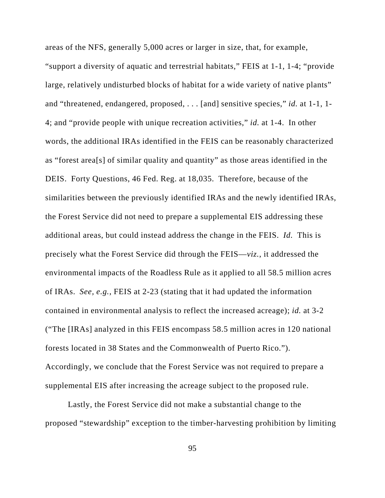areas of the NFS, generally 5,000 acres or larger in size, that, for example,

"support a diversity of aquatic and terrestrial habitats," FEIS at 1-1, 1-4; "provide large, relatively undisturbed blocks of habitat for a wide variety of native plants" and "threatened, endangered, proposed, . . . [and] sensitive species," *id.* at 1-1, 1- 4; and "provide people with unique recreation activities," *id.* at 1-4. In other words, the additional IRAs identified in the FEIS can be reasonably characterized as "forest area[s] of similar quality and quantity" as those areas identified in the DEIS. Forty Questions, 46 Fed. Reg. at 18,035. Therefore, because of the similarities between the previously identified IRAs and the newly identified IRAs, the Forest Service did not need to prepare a supplemental EIS addressing these additional areas, but could instead address the change in the FEIS. *Id.* This is precisely what the Forest Service did through the FEIS—*viz.*, it addressed the environmental impacts of the Roadless Rule as it applied to all 58.5 million acres of IRAs. *See, e.g.*, FEIS at 2-23 (stating that it had updated the information contained in environmental analysis to reflect the increased acreage); *id.* at 3-2 ("The [IRAs] analyzed in this FEIS encompass 58.5 million acres in 120 national forests located in 38 States and the Commonwealth of Puerto Rico."). Accordingly, we conclude that the Forest Service was not required to prepare a supplemental EIS after increasing the acreage subject to the proposed rule.

Lastly, the Forest Service did not make a substantial change to the proposed "stewardship" exception to the timber-harvesting prohibition by limiting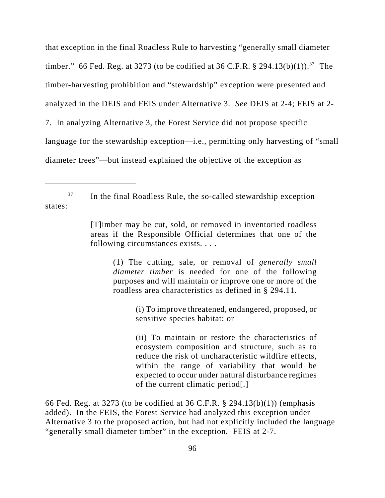that exception in the final Roadless Rule to harvesting "generally small diameter timber." 66 Fed. Reg. at 3273 (to be codified at 36 C.F.R. § 294.13(b)(1)).<sup>37</sup> The timber-harvesting prohibition and "stewardship" exception were presented and analyzed in the DEIS and FEIS under Alternative 3. *See* DEIS at 2-4; FEIS at 2- 7. In analyzing Alternative 3, the Forest Service did not propose specific language for the stewardship exception—i.e., permitting only harvesting of "small diameter trees"—but instead explained the objective of the exception as

 $37$  In the final Roadless Rule, the so-called stewardship exception states:

(1) The cutting, sale, or removal of *generally small diameter timber* is needed for one of the following purposes and will maintain or improve one or more of the roadless area characteristics as defined in § 294.11.

> (i) To improve threatened, endangered, proposed, or sensitive species habitat; or

> (ii) To maintain or restore the characteristics of ecosystem composition and structure, such as to reduce the risk of uncharacteristic wildfire effects, within the range of variability that would be expected to occur under natural disturbance regimes of the current climatic period[.]

66 Fed. Reg. at 3273 (to be codified at 36 C.F.R. § 294.13(b)(1)) (emphasis added). In the FEIS, the Forest Service had analyzed this exception under Alternative 3 to the proposed action, but had not explicitly included the language "generally small diameter timber" in the exception. FEIS at 2-7.

<sup>[</sup>T]imber may be cut, sold, or removed in inventoried roadless areas if the Responsible Official determines that one of the following circumstances exists. . . .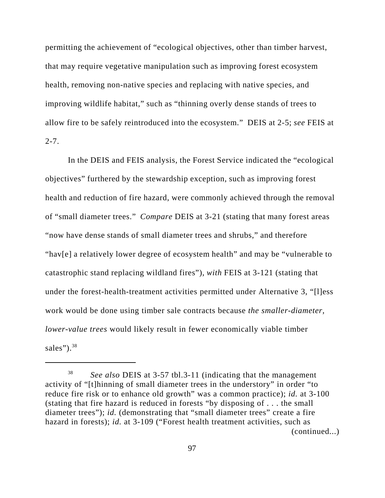permitting the achievement of "ecological objectives, other than timber harvest, that may require vegetative manipulation such as improving forest ecosystem health, removing non-native species and replacing with native species, and improving wildlife habitat," such as "thinning overly dense stands of trees to allow fire to be safely reintroduced into the ecosystem." DEIS at 2-5; *see* FEIS at  $2 - 7$ .

In the DEIS and FEIS analysis, the Forest Service indicated the "ecological objectives" furthered by the stewardship exception, such as improving forest health and reduction of fire hazard, were commonly achieved through the removal of "small diameter trees." *Compare* DEIS at 3-21 (stating that many forest areas "now have dense stands of small diameter trees and shrubs," and therefore "hav[e] a relatively lower degree of ecosystem health" and may be "vulnerable to catastrophic stand replacing wildland fires"), *with* FEIS at 3-121 (stating that under the forest-health-treatment activities permitted under Alternative 3, "[l]ess work would be done using timber sale contracts because *the smaller-diameter, lower-value trees* would likely result in fewer economically viable timber sales").  $38$ 

<sup>38</sup> *See also* DEIS at 3-57 tbl.3-11 (indicating that the management activity of "[t]hinning of small diameter trees in the understory" in order "to reduce fire risk or to enhance old growth" was a common practice); *id.* at 3-100 (stating that fire hazard is reduced in forests "by disposing of . . . the small diameter trees"); *id.* (demonstrating that "small diameter trees" create a fire hazard in forests); *id.* at 3-109 ("Forest health treatment activities, such as (continued...)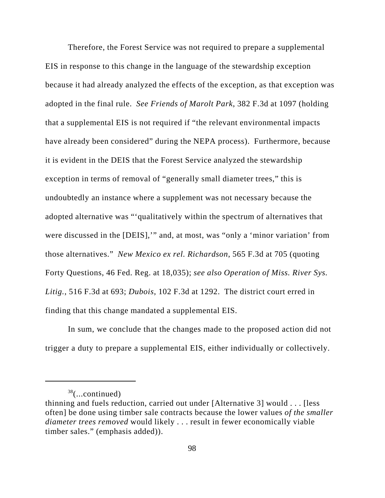Therefore, the Forest Service was not required to prepare a supplemental EIS in response to this change in the language of the stewardship exception because it had already analyzed the effects of the exception, as that exception was adopted in the final rule. *See Friends of Marolt Park*, 382 F.3d at 1097 (holding that a supplemental EIS is not required if "the relevant environmental impacts have already been considered" during the NEPA process). Furthermore, because it is evident in the DEIS that the Forest Service analyzed the stewardship exception in terms of removal of "generally small diameter trees," this is undoubtedly an instance where a supplement was not necessary because the adopted alternative was "'qualitatively within the spectrum of alternatives that were discussed in the [DEIS],'" and, at most, was "only a 'minor variation' from those alternatives." *New Mexico ex rel. Richardson*, 565 F.3d at 705 (quoting Forty Questions, 46 Fed. Reg. at 18,035); *see also Operation of Miss. River Sys. Litig.*, 516 F.3d at 693; *Dubois*, 102 F.3d at 1292. The district court erred in finding that this change mandated a supplemental EIS.

In sum, we conclude that the changes made to the proposed action did not trigger a duty to prepare a supplemental EIS, either individually or collectively.

 $38$ (...continued)

thinning and fuels reduction, carried out under [Alternative 3] would . . . [less often] be done using timber sale contracts because the lower values *of the smaller diameter trees removed* would likely . . . result in fewer economically viable timber sales." (emphasis added)).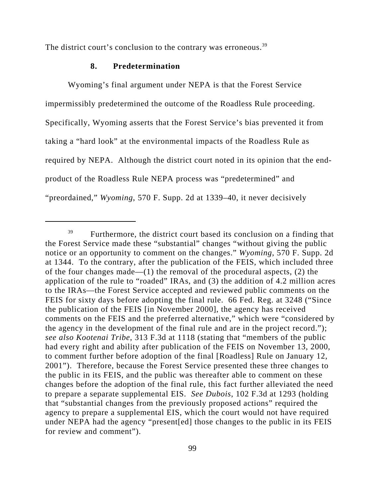The district court's conclusion to the contrary was erroneous.<sup>39</sup>

## **8. Predetermination**

Wyoming's final argument under NEPA is that the Forest Service impermissibly predetermined the outcome of the Roadless Rule proceeding. Specifically, Wyoming asserts that the Forest Service's bias prevented it from taking a "hard look" at the environmental impacts of the Roadless Rule as required by NEPA.Although the district court noted in its opinion that the endproduct of the Roadless Rule NEPA process was "predetermined" and "preordained," *Wyoming*, 570 F. Supp. 2d at 1339–40, it never decisively

<sup>&</sup>lt;sup>39</sup> Furthermore, the district court based its conclusion on a finding that the Forest Service made these "substantial" changes "without giving the public notice or an opportunity to comment on the changes." *Wyoming*, 570 F. Supp. 2d at 1344. To the contrary, after the publication of the FEIS, which included three of the four changes made—(1) the removal of the procedural aspects, (2) the application of the rule to "roaded" IRAs, and (3) the addition of 4.2 million acres to the IRAs—the Forest Service accepted and reviewed public comments on the FEIS for sixty days before adopting the final rule. 66 Fed. Reg. at 3248 ("Since the publication of the FEIS [in November 2000], the agency has received comments on the FEIS and the preferred alternative," which were "considered by the agency in the development of the final rule and are in the project record."); *see also Kootenai Tribe*, 313 F.3d at 1118 (stating that "members of the public had every right and ability after publication of the FEIS on November 13, 2000, to comment further before adoption of the final [Roadless] Rule on January 12, 2001"). Therefore, because the Forest Service presented these three changes to the public in its FEIS, and the public was thereafter able to comment on these changes before the adoption of the final rule, this fact further alleviated the need to prepare a separate supplemental EIS. *See Dubois*, 102 F.3d at 1293 (holding that "substantial changes from the previously proposed actions" required the agency to prepare a supplemental EIS, which the court would not have required under NEPA had the agency "present[ed] those changes to the public in its FEIS for review and comment").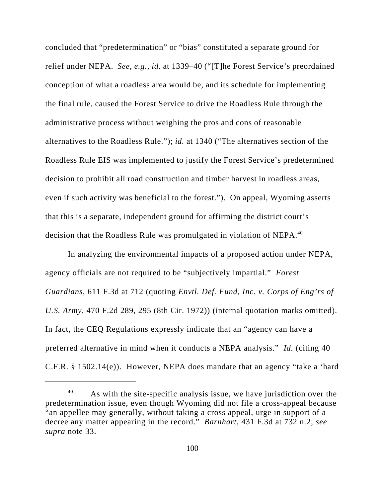concluded that "predetermination" or "bias" constituted a separate ground for relief under NEPA. *See, e.g.*, *id.* at 1339–40 ("[T]he Forest Service's preordained conception of what a roadless area would be, and its schedule for implementing the final rule, caused the Forest Service to drive the Roadless Rule through the administrative process without weighing the pros and cons of reasonable alternatives to the Roadless Rule."); *id.* at 1340 ("The alternatives section of the Roadless Rule EIS was implemented to justify the Forest Service's predetermined decision to prohibit all road construction and timber harvest in roadless areas, even if such activity was beneficial to the forest."). On appeal, Wyoming asserts that this is a separate, independent ground for affirming the district court's decision that the Roadless Rule was promulgated in violation of NEPA.<sup>40</sup>

In analyzing the environmental impacts of a proposed action under NEPA, agency officials are not required to be "subjectively impartial." *Forest Guardians*, 611 F.3d at 712 (quoting *Envtl. Def. Fund, Inc. v. Corps of Eng'rs of U.S. Army*, 470 F.2d 289, 295 (8th Cir. 1972)) (internal quotation marks omitted). In fact, the CEQ Regulations expressly indicate that an "agency can have a preferred alternative in mind when it conducts a NEPA analysis." *Id.* (citing 40 C.F.R. § 1502.14(e)). However, NEPA does mandate that an agency "take a 'hard

<sup>&</sup>lt;sup>40</sup> As with the site-specific analysis issue, we have jurisdiction over the predetermination issue, even though Wyoming did not file a cross-appeal because "an appellee may generally, without taking a cross appeal, urge in support of a decree any matter appearing in the record." *Barnhart*, 431 F.3d at 732 n.2; *see supra* note 33.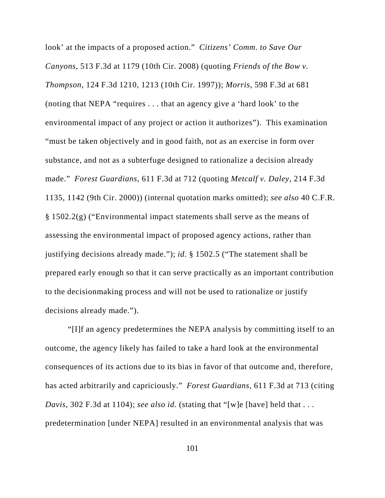look' at the impacts of a proposed action." *Citizens' Comm. to Save Our Canyons*, 513 F.3d at 1179 (10th Cir. 2008) (quoting *Friends of the Bow v. Thompson*, 124 F.3d 1210, 1213 (10th Cir. 1997)); *Morris*, 598 F.3d at 681 (noting that NEPA "requires . . . that an agency give a 'hard look' to the environmental impact of any project or action it authorizes"). This examination "must be taken objectively and in good faith, not as an exercise in form over substance, and not as a subterfuge designed to rationalize a decision already made." *Forest Guardians*, 611 F.3d at 712 (quoting *Metcalf v. Daley*, 214 F.3d 1135, 1142 (9th Cir. 2000)) (internal quotation marks omitted); *see also* 40 C.F.R. § 1502.2(g) ("Environmental impact statements shall serve as the means of assessing the environmental impact of proposed agency actions, rather than justifying decisions already made."); *id.* § 1502.5 ("The statement shall be prepared early enough so that it can serve practically as an important contribution to the decisionmaking process and will not be used to rationalize or justify decisions already made.").

"[I]f an agency predetermines the NEPA analysis by committing itself to an outcome, the agency likely has failed to take a hard look at the environmental consequences of its actions due to its bias in favor of that outcome and, therefore, has acted arbitrarily and capriciously." *Forest Guardians*, 611 F.3d at 713 (citing *Davis*, 302 F.3d at 1104); *see also id.* (stating that "[w]e [have] held that . . . predetermination [under NEPA] resulted in an environmental analysis that was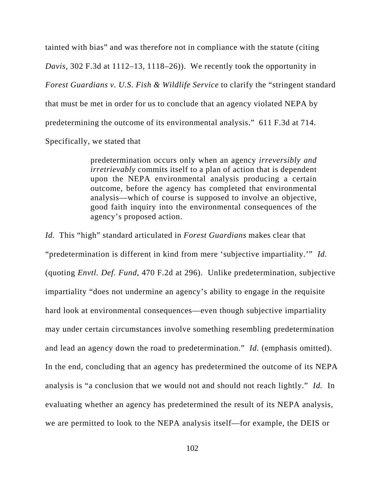tainted with bias" and was therefore not in compliance with the statute (citing *Davis*, 302 F.3d at 1112–13, 1118–26)). We recently took the opportunity in *Forest Guardians v. U.S. Fish & Wildlife Service* to clarify the "stringent standard that must be met in order for us to conclude that an agency violated NEPA by predetermining the outcome of its environmental analysis." 611 F.3d at 714. Specifically, we stated that

> predetermination occurs only when an agency *irreversibly and irretrievably* commits itself to a plan of action that is dependent upon the NEPA environmental analysis producing a certain outcome, before the agency has completed that environmental analysis—which of course is supposed to involve an objective, good faith inquiry into the environmental consequences of the agency's proposed action.

*Id.* This "high" standard articulated in *Forest Guardians* makes clear that "predetermination is different in kind from mere 'subjective impartiality.'" *Id.* (quoting *Envtl. Def. Fund*, 470 F.2d at 296). Unlike predetermination, subjective impartiality "does not undermine an agency's ability to engage in the requisite hard look at environmental consequences—even though subjective impartiality may under certain circumstances involve something resembling predetermination and lead an agency down the road to predetermination." *Id.* (emphasis omitted). In the end, concluding that an agency has predetermined the outcome of its NEPA analysis is "a conclusion that we would not and should not reach lightly." *Id.* In evaluating whether an agency has predetermined the result of its NEPA analysis, we are permitted to look to the NEPA analysis itself—for example, the DEIS or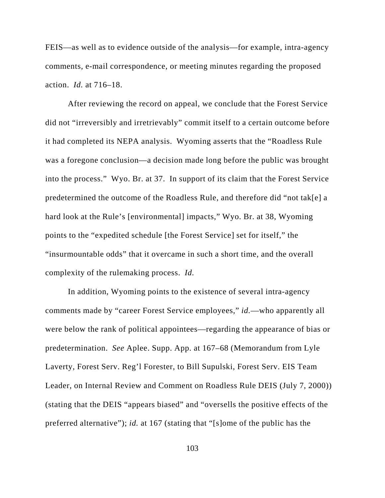FEIS—as well as to evidence outside of the analysis—for example, intra-agency comments, e-mail correspondence, or meeting minutes regarding the proposed action. *Id.* at 716–18.

After reviewing the record on appeal, we conclude that the Forest Service did not "irreversibly and irretrievably" commit itself to a certain outcome before it had completed its NEPA analysis. Wyoming asserts that the "Roadless Rule was a foregone conclusion—a decision made long before the public was brought into the process." Wyo. Br. at 37. In support of its claim that the Forest Service predetermined the outcome of the Roadless Rule, and therefore did "not tak[e] a hard look at the Rule's [environmental] impacts," Wyo. Br. at 38, Wyoming points to the "expedited schedule [the Forest Service] set for itself," the "insurmountable odds" that it overcame in such a short time, and the overall complexity of the rulemaking process. *Id.*

In addition, Wyoming points to the existence of several intra-agency comments made by "career Forest Service employees," *id.*—who apparently all were below the rank of political appointees—regarding the appearance of bias or predetermination. *See* Aplee. Supp. App. at 167–68 (Memorandum from Lyle Laverty, Forest Serv. Reg'l Forester, to Bill Supulski, Forest Serv. EIS Team Leader, on Internal Review and Comment on Roadless Rule DEIS (July 7, 2000)) (stating that the DEIS "appears biased" and "oversells the positive effects of the preferred alternative"); *id.* at 167 (stating that "[s]ome of the public has the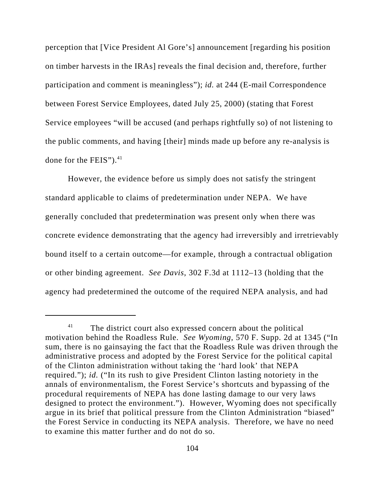perception that [Vice President Al Gore's] announcement [regarding his position on timber harvests in the IRAs] reveals the final decision and, therefore, further participation and comment is meaningless"); *id.* at 244 (E-mail Correspondence between Forest Service Employees, dated July 25, 2000) (stating that Forest Service employees "will be accused (and perhaps rightfully so) of not listening to the public comments, and having [their] minds made up before any re-analysis is done for the FEIS" $)$ .<sup>41</sup>

However, the evidence before us simply does not satisfy the stringent standard applicable to claims of predetermination under NEPA. We have generally concluded that predetermination was present only when there was concrete evidence demonstrating that the agency had irreversibly and irretrievably bound itself to a certain outcome—for example, through a contractual obligation or other binding agreement. *See Davis*, 302 F.3d at 1112–13 (holding that the agency had predetermined the outcome of the required NEPA analysis, and had

<sup>&</sup>lt;sup>41</sup> The district court also expressed concern about the political motivation behind the Roadless Rule. *See Wyoming*, 570 F. Supp. 2d at 1345 ("In sum, there is no gainsaying the fact that the Roadless Rule was driven through the administrative process and adopted by the Forest Service for the political capital of the Clinton administration without taking the 'hard look' that NEPA required."); *id.* ("In its rush to give President Clinton lasting notoriety in the annals of environmentalism, the Forest Service's shortcuts and bypassing of the procedural requirements of NEPA has done lasting damage to our very laws designed to protect the environment."). However, Wyoming does not specifically argue in its brief that political pressure from the Clinton Administration "biased" the Forest Service in conducting its NEPA analysis. Therefore, we have no need to examine this matter further and do not do so.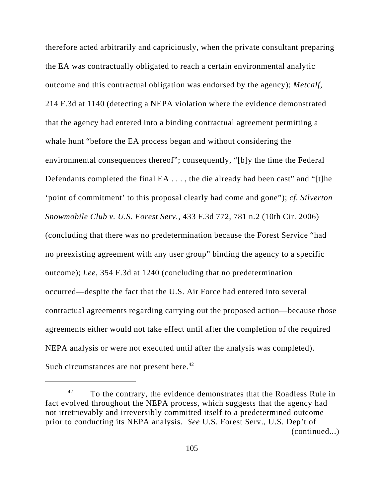therefore acted arbitrarily and capriciously, when the private consultant preparing the EA was contractually obligated to reach a certain environmental analytic outcome and this contractual obligation was endorsed by the agency); *Metcalf*, 214 F.3d at 1140 (detecting a NEPA violation where the evidence demonstrated that the agency had entered into a binding contractual agreement permitting a whale hunt "before the EA process began and without considering the environmental consequences thereof"; consequently, "[b]y the time the Federal Defendants completed the final EA . . . , the die already had been cast" and "[t]he 'point of commitment' to this proposal clearly had come and gone"); *cf. Silverton Snowmobile Club v. U.S. Forest Serv.*, 433 F.3d 772, 781 n.2 (10th Cir. 2006) (concluding that there was no predetermination because the Forest Service "had no preexisting agreement with any user group" binding the agency to a specific outcome); *Lee*, 354 F.3d at 1240 (concluding that no predetermination occurred—despite the fact that the U.S. Air Force had entered into several contractual agreements regarding carrying out the proposed action—because those agreements either would not take effect until after the completion of the required NEPA analysis or were not executed until after the analysis was completed). Such circumstances are not present here.<sup>42</sup>

 $42$  To the contrary, the evidence demonstrates that the Roadless Rule in fact evolved throughout the NEPA process, which suggests that the agency had not irretrievably and irreversibly committed itself to a predetermined outcome prior to conducting its NEPA analysis. *See* U.S. Forest Serv., U.S. Dep't of (continued...)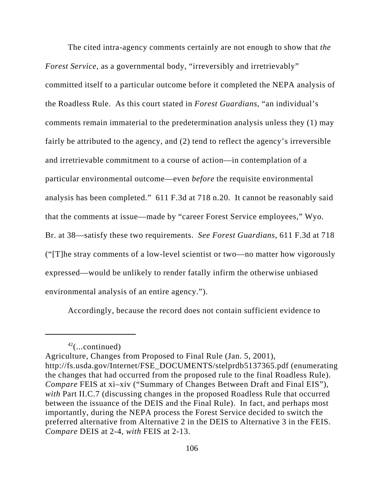The cited intra-agency comments certainly are not enough to show that *the Forest Service*, as a governmental body, "irreversibly and irretrievably" committed itself to a particular outcome before it completed the NEPA analysis of the Roadless Rule. As this court stated in *Forest Guardians*, "an individual's comments remain immaterial to the predetermination analysis unless they (1) may fairly be attributed to the agency, and (2) tend to reflect the agency's irreversible and irretrievable commitment to a course of action—in contemplation of a particular environmental outcome—even *before* the requisite environmental analysis has been completed." 611 F.3d at 718 n.20.It cannot be reasonably said that the comments at issue—made by "career Forest Service employees," Wyo. Br. at 38—satisfy these two requirements. *See Forest Guardians*, 611 F.3d at 718 ("[T]he stray comments of a low-level scientist or two—no matter how vigorously expressed—would be unlikely to render fatally infirm the otherwise unbiased environmental analysis of an entire agency.").

Accordingly, because the record does not contain sufficient evidence to

 $42$ (...continued)

Agriculture, Changes from Proposed to Final Rule (Jan. 5, 2001), http://fs.usda.gov/Internet/FSE\_DOCUMENTS/stelprdb5137365.pdf (enumerating the changes that had occurred from the proposed rule to the final Roadless Rule). *Compare* FEIS at xi–xiv ("Summary of Changes Between Draft and Final EIS"), *with* Part II.C.7 (discussing changes in the proposed Roadless Rule that occurred between the issuance of the DEIS and the Final Rule). In fact, and perhaps most importantly, during the NEPA process the Forest Service decided to switch the preferred alternative from Alternative 2 in the DEIS to Alternative 3 in the FEIS. *Compare* DEIS at 2-4, *with* FEIS at 2-13.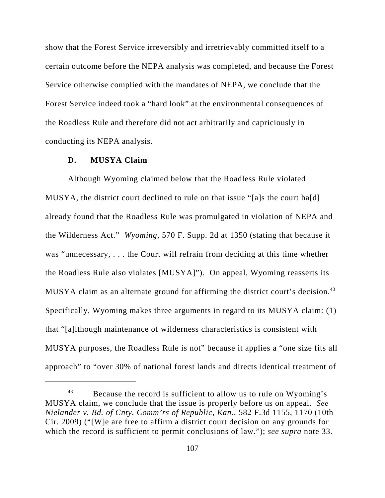show that the Forest Service irreversibly and irretrievably committed itself to a certain outcome before the NEPA analysis was completed, and because the Forest Service otherwise complied with the mandates of NEPA, we conclude that the Forest Service indeed took a "hard look" at the environmental consequences of the Roadless Rule and therefore did not act arbitrarily and capriciously in conducting its NEPA analysis.

### **D. MUSYA Claim**

Although Wyoming claimed below that the Roadless Rule violated MUSYA, the district court declined to rule on that issue "[a]s the court ha[d] already found that the Roadless Rule was promulgated in violation of NEPA and the Wilderness Act." *Wyoming*, 570 F. Supp. 2d at 1350 (stating that because it was "unnecessary, . . . the Court will refrain from deciding at this time whether the Roadless Rule also violates [MUSYA]"). On appeal, Wyoming reasserts its MUSYA claim as an alternate ground for affirming the district court's decision.<sup>43</sup> Specifically, Wyoming makes three arguments in regard to its MUSYA claim: (1) that "[a]lthough maintenance of wilderness characteristics is consistent with MUSYA purposes, the Roadless Rule is not" because it applies a "one size fits all approach" to "over 30% of national forest lands and directs identical treatment of

<sup>&</sup>lt;sup>43</sup> Because the record is sufficient to allow us to rule on Wyoming's MUSYA claim, we conclude that the issue is properly before us on appeal. *See Nielander v. Bd. of Cnty. Comm'rs of Republic, Kan.*, 582 F.3d 1155, 1170 (10th Cir. 2009) ("[W]e are free to affirm a district court decision on any grounds for which the record is sufficient to permit conclusions of law."); *see supra* note 33.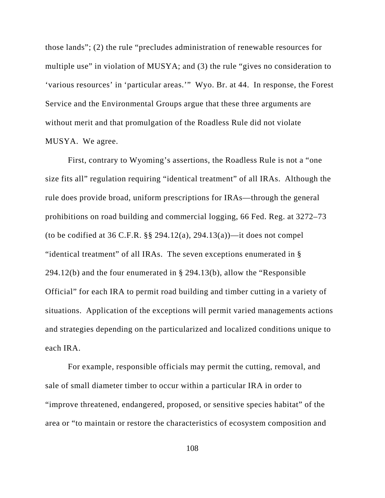those lands"; (2) the rule "precludes administration of renewable resources for multiple use" in violation of MUSYA; and (3) the rule "gives no consideration to 'various resources' in 'particular areas.'" Wyo. Br. at 44. In response, the Forest Service and the Environmental Groups argue that these three arguments are without merit and that promulgation of the Roadless Rule did not violate MUSYA. We agree.

First, contrary to Wyoming's assertions, the Roadless Rule is not a "one size fits all" regulation requiring "identical treatment" of all IRAs. Although the rule does provide broad, uniform prescriptions for IRAs—through the general prohibitions on road building and commercial logging, 66 Fed. Reg. at 3272–73 (to be codified at 36 C.F.R.  $\S$  294.12(a), 294.13(a))—it does not compel "identical treatment" of all IRAs. The seven exceptions enumerated in § 294.12(b) and the four enumerated in § 294.13(b), allow the "Responsible Official" for each IRA to permit road building and timber cutting in a variety of situations. Application of the exceptions will permit varied managements actions and strategies depending on the particularized and localized conditions unique to each IRA.

For example, responsible officials may permit the cutting, removal, and sale of small diameter timber to occur within a particular IRA in order to "improve threatened, endangered, proposed, or sensitive species habitat" of the area or "to maintain or restore the characteristics of ecosystem composition and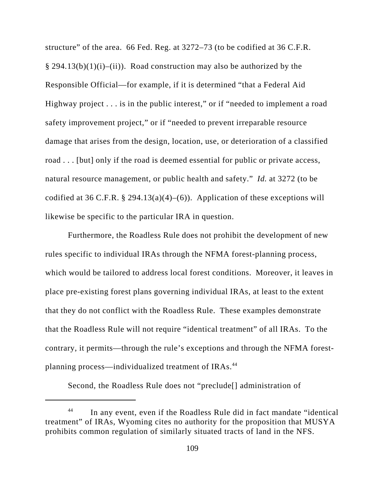structure" of the area. 66 Fed. Reg. at 3272–73 (to be codified at 36 C.F.R.  $§$  294.13(b)(1)(i)–(ii)). Road construction may also be authorized by the Responsible Official—for example, if it is determined "that a Federal Aid Highway project . . . is in the public interest," or if "needed to implement a road safety improvement project," or if "needed to prevent irreparable resource damage that arises from the design, location, use, or deterioration of a classified road . . . [but] only if the road is deemed essential for public or private access, natural resource management, or public health and safety." *Id.* at 3272 (to be codified at 36 C.F.R. § 294.13(a)(4)–(6)). Application of these exceptions will likewise be specific to the particular IRA in question.

Furthermore, the Roadless Rule does not prohibit the development of new rules specific to individual IRAs through the NFMA forest-planning process, which would be tailored to address local forest conditions. Moreover, it leaves in place pre-existing forest plans governing individual IRAs, at least to the extent that they do not conflict with the Roadless Rule. These examples demonstrate that the Roadless Rule will not require "identical treatment" of all IRAs. To the contrary, it permits—through the rule's exceptions and through the NFMA forestplanning process—individualized treatment of IRAs.<sup>44</sup>

Second, the Roadless Rule does not "preclude[] administration of

In any event, even if the Roadless Rule did in fact mandate "identical treatment" of IRAs, Wyoming cites no authority for the proposition that MUSYA prohibits common regulation of similarly situated tracts of land in the NFS.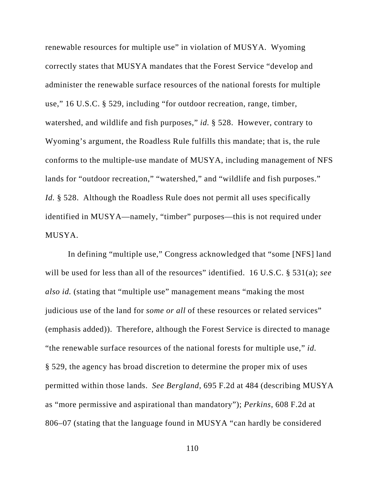renewable resources for multiple use" in violation of MUSYA. Wyoming correctly states that MUSYA mandates that the Forest Service "develop and administer the renewable surface resources of the national forests for multiple use," 16 U.S.C. § 529, including "for outdoor recreation, range, timber, watershed, and wildlife and fish purposes," *id.* § 528. However, contrary to Wyoming's argument, the Roadless Rule fulfills this mandate; that is, the rule conforms to the multiple-use mandate of MUSYA, including management of NFS lands for "outdoor recreation," "watershed," and "wildlife and fish purposes." *Id.* § 528. Although the Roadless Rule does not permit all uses specifically identified in MUSYA—namely, "timber" purposes—this is not required under MUSYA.

In defining "multiple use," Congress acknowledged that "some [NFS] land will be used for less than all of the resources" identified. 16 U.S.C. § 531(a); *see also id.* (stating that "multiple use" management means "making the most judicious use of the land for *some or all* of these resources or related services" (emphasis added)). Therefore, although the Forest Service is directed to manage "the renewable surface resources of the national forests for multiple use," *id.* § 529, the agency has broad discretion to determine the proper mix of uses permitted within those lands. *See Bergland*, 695 F.2d at 484 (describing MUSYA as "more permissive and aspirational than mandatory"); *Perkins*, 608 F.2d at 806–07 (stating that the language found in MUSYA "can hardly be considered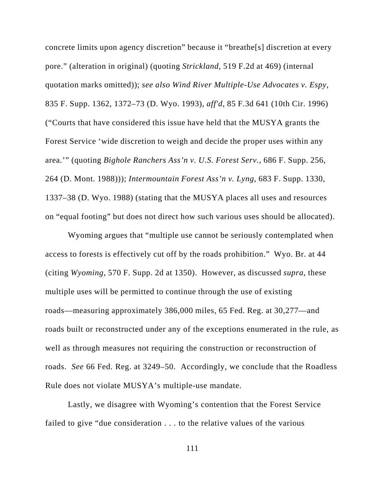concrete limits upon agency discretion" because it "breathe[s] discretion at every pore." (alteration in original) (quoting *Strickland*, 519 F.2d at 469) (internal quotation marks omitted)); *see also Wind River Multiple-Use Advocates v. Espy*, 835 F. Supp. 1362, 1372–73 (D. Wyo. 1993), *aff'd*, 85 F.3d 641 (10th Cir. 1996) ("Courts that have considered this issue have held that the MUSYA grants the Forest Service 'wide discretion to weigh and decide the proper uses within any area.'" (quoting *Bighole Ranchers Ass'n v. U.S. Forest Serv.*, 686 F. Supp. 256, 264 (D. Mont. 1988))); *Intermountain Forest Ass'n v. Lyng*, 683 F. Supp. 1330, 1337–38 (D. Wyo. 1988) (stating that the MUSYA places all uses and resources on "equal footing" but does not direct how such various uses should be allocated).

Wyoming argues that "multiple use cannot be seriously contemplated when access to forests is effectively cut off by the roads prohibition." Wyo. Br. at 44 (citing *Wyoming*, 570 F. Supp. 2d at 1350). However, as discussed *supra*, these multiple uses will be permitted to continue through the use of existing roads—measuring approximately 386,000 miles, 65 Fed. Reg. at 30,277—and roads built or reconstructed under any of the exceptions enumerated in the rule, as well as through measures not requiring the construction or reconstruction of roads. *See* 66 Fed. Reg. at 3249–50. Accordingly, we conclude that the Roadless Rule does not violate MUSYA's multiple-use mandate.

Lastly, we disagree with Wyoming's contention that the Forest Service failed to give "due consideration . . . to the relative values of the various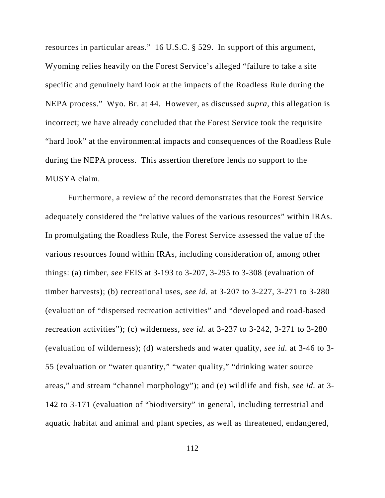resources in particular areas." 16 U.S.C. § 529. In support of this argument, Wyoming relies heavily on the Forest Service's alleged "failure to take a site specific and genuinely hard look at the impacts of the Roadless Rule during the NEPA process." Wyo. Br. at 44. However, as discussed *supra*, this allegation is incorrect; we have already concluded that the Forest Service took the requisite "hard look" at the environmental impacts and consequences of the Roadless Rule during the NEPA process. This assertion therefore lends no support to the MUSYA claim.

Furthermore, a review of the record demonstrates that the Forest Service adequately considered the "relative values of the various resources" within IRAs. In promulgating the Roadless Rule, the Forest Service assessed the value of the various resources found within IRAs, including consideration of, among other things: (a) timber, *see* FEIS at 3-193 to 3-207, 3-295 to 3-308 (evaluation of timber harvests); (b) recreational uses, *see id.* at 3-207 to 3-227, 3-271 to 3-280 (evaluation of "dispersed recreation activities" and "developed and road-based recreation activities"); (c) wilderness, *see id.* at 3-237 to 3-242, 3-271 to 3-280 (evaluation of wilderness); (d) watersheds and water quality, *see id.* at 3-46 to 3- 55 (evaluation or "water quantity," "water quality," "drinking water source areas," and stream "channel morphology"); and (e) wildlife and fish, *see id.* at 3- 142 to 3-171 (evaluation of "biodiversity" in general, including terrestrial and aquatic habitat and animal and plant species, as well as threatened, endangered,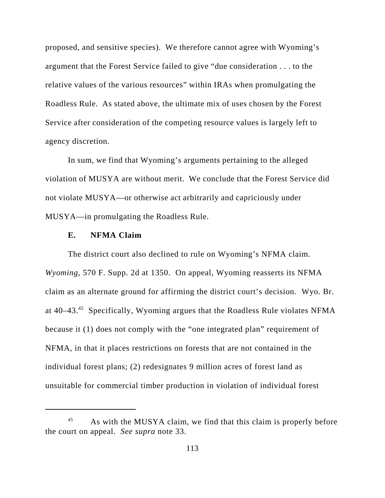proposed, and sensitive species). We therefore cannot agree with Wyoming's argument that the Forest Service failed to give "due consideration . . . to the relative values of the various resources" within IRAs when promulgating the Roadless Rule. As stated above, the ultimate mix of uses chosen by the Forest Service after consideration of the competing resource values is largely left to agency discretion.

In sum, we find that Wyoming's arguments pertaining to the alleged violation of MUSYA are without merit. We conclude that the Forest Service did not violate MUSYA—or otherwise act arbitrarily and capriciously under MUSYA—in promulgating the Roadless Rule.

## **E. NFMA Claim**

The district court also declined to rule on Wyoming's NFMA claim. *Wyoming*, 570 F. Supp. 2d at 1350. On appeal, Wyoming reasserts its NFMA claim as an alternate ground for affirming the district court's decision. Wyo. Br. at 40–43.<sup>45</sup> Specifically, Wyoming argues that the Roadless Rule violates NFMA because it (1) does not comply with the "one integrated plan" requirement of NFMA, in that it places restrictions on forests that are not contained in the individual forest plans; (2) redesignates 9 million acres of forest land as unsuitable for commercial timber production in violation of individual forest

<sup>&</sup>lt;sup>45</sup> As with the MUSYA claim, we find that this claim is properly before the court on appeal. *See supra* note 33.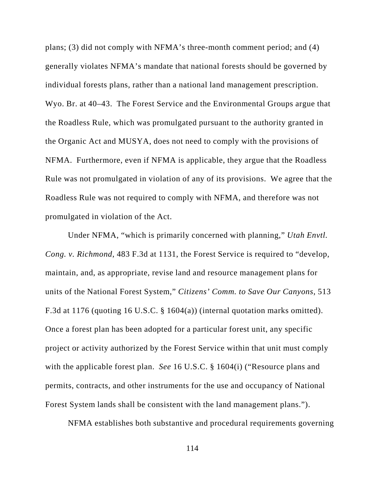plans; (3) did not comply with NFMA's three-month comment period; and (4) generally violates NFMA's mandate that national forests should be governed by individual forests plans, rather than a national land management prescription. Wyo. Br. at 40–43. The Forest Service and the Environmental Groups argue that the Roadless Rule, which was promulgated pursuant to the authority granted in the Organic Act and MUSYA, does not need to comply with the provisions of NFMA. Furthermore, even if NFMA is applicable, they argue that the Roadless Rule was not promulgated in violation of any of its provisions. We agree that the Roadless Rule was not required to comply with NFMA, and therefore was not promulgated in violation of the Act.

Under NFMA, "which is primarily concerned with planning," *Utah Envtl. Cong. v. Richmond*, 483 F.3d at 1131, the Forest Service is required to "develop, maintain, and, as appropriate, revise land and resource management plans for units of the National Forest System," *Citizens' Comm. to Save Our Canyons*, 513 F.3d at 1176 (quoting 16 U.S.C. § 1604(a)) (internal quotation marks omitted). Once a forest plan has been adopted for a particular forest unit, any specific project or activity authorized by the Forest Service within that unit must comply with the applicable forest plan. *See* 16 U.S.C. § 1604(i) ("Resource plans and permits, contracts, and other instruments for the use and occupancy of National Forest System lands shall be consistent with the land management plans.").

NFMA establishes both substantive and procedural requirements governing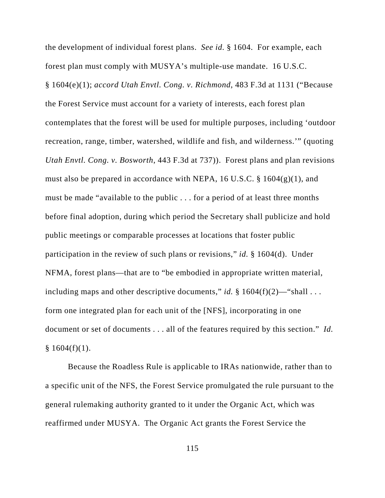the development of individual forest plans. *See id.* § 1604. For example, each forest plan must comply with MUSYA's multiple-use mandate. 16 U.S.C. § 1604(e)(1); *accord Utah Envtl. Cong. v. Richmond*, 483 F.3d at 1131 ("Because the Forest Service must account for a variety of interests, each forest plan contemplates that the forest will be used for multiple purposes, including 'outdoor recreation, range, timber, watershed, wildlife and fish, and wilderness.'" (quoting *Utah Envtl. Cong. v. Bosworth*, 443 F.3d at 737)). Forest plans and plan revisions must also be prepared in accordance with NEPA, 16 U.S.C. § 1604(g)(1), and must be made "available to the public . . . for a period of at least three months before final adoption, during which period the Secretary shall publicize and hold public meetings or comparable processes at locations that foster public participation in the review of such plans or revisions," *id.* § 1604(d). Under NFMA, forest plans—that are to "be embodied in appropriate written material, including maps and other descriptive documents," *id.*  $\S 1604(f)(2)$ —"shall ... form one integrated plan for each unit of the [NFS], incorporating in one document or set of documents . . . all of the features required by this section." *Id.*  $§ 1604(f)(1).$ 

Because the Roadless Rule is applicable to IRAs nationwide, rather than to a specific unit of the NFS, the Forest Service promulgated the rule pursuant to the general rulemaking authority granted to it under the Organic Act, which was reaffirmed under MUSYA. The Organic Act grants the Forest Service the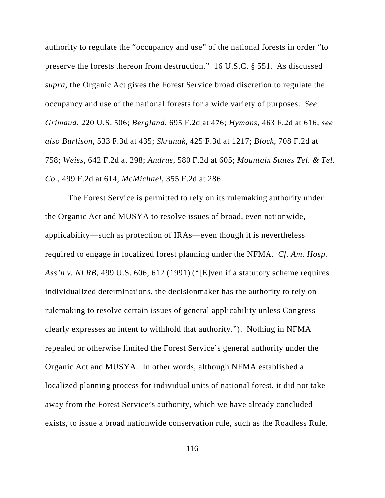authority to regulate the "occupancy and use" of the national forests in order "to preserve the forests thereon from destruction." 16 U.S.C. § 551. As discussed *supra*, the Organic Act gives the Forest Service broad discretion to regulate the occupancy and use of the national forests for a wide variety of purposes. *See Grimaud*, 220 U.S. 506; *Bergland*, 695 F.2d at 476; *Hymans*, 463 F.2d at 616; *see also Burlison*, 533 F.3d at 435; *Skranak*, 425 F.3d at 1217; *Block*, 708 F.2d at 758; *Weiss*, 642 F.2d at 298; *Andrus*, 580 F.2d at 605; *Mountain States Tel. & Tel. Co.*, 499 F.2d at 614; *McMichael*, 355 F.2d at 286.

The Forest Service is permitted to rely on its rulemaking authority under the Organic Act and MUSYA to resolve issues of broad, even nationwide, applicability—such as protection of IRAs—even though it is nevertheless required to engage in localized forest planning under the NFMA. *Cf. Am. Hosp. Ass'n v. NLRB*, 499 U.S. 606, 612 (1991) ("[E]ven if a statutory scheme requires individualized determinations, the decisionmaker has the authority to rely on rulemaking to resolve certain issues of general applicability unless Congress clearly expresses an intent to withhold that authority."). Nothing in NFMA repealed or otherwise limited the Forest Service's general authority under the Organic Act and MUSYA. In other words, although NFMA established a localized planning process for individual units of national forest, it did not take away from the Forest Service's authority, which we have already concluded exists, to issue a broad nationwide conservation rule, such as the Roadless Rule.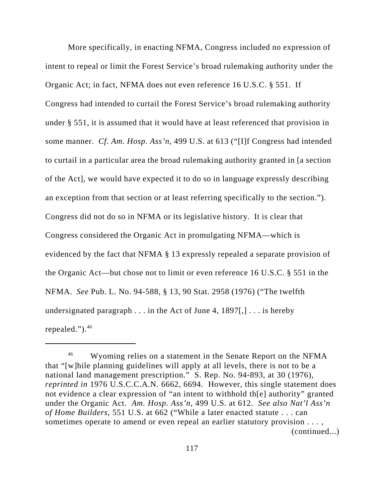More specifically, in enacting NFMA, Congress included no expression of intent to repeal or limit the Forest Service's broad rulemaking authority under the Organic Act; in fact, NFMA does not even reference 16 U.S.C. § 551. If Congress had intended to curtail the Forest Service's broad rulemaking authority under § 551, it is assumed that it would have at least referenced that provision in some manner. *Cf. Am. Hosp. Ass'n*, 499 U.S. at 613 ("[I]f Congress had intended to curtail in a particular area the broad rulemaking authority granted in [a section of the Act], we would have expected it to do so in language expressly describing an exception from that section or at least referring specifically to the section."). Congress did not do so in NFMA or its legislative history. It is clear that Congress considered the Organic Act in promulgating NFMA—which is evidenced by the fact that NFMA § 13 expressly repealed a separate provision of the Organic Act—but chose not to limit or even reference 16 U.S.C. § 551 in the NFMA. *See* Pub. L. No. 94-588, § 13, 90 Stat. 2958 (1976) ("The twelfth undersignated paragraph  $\ldots$  in the Act of June 4, 1897[,]  $\ldots$  is hereby repealed." $)^{46}$ 

<sup>&</sup>lt;sup>46</sup> Wyoming relies on a statement in the Senate Report on the NFMA that "[w]hile planning guidelines will apply at all levels, there is not to be a national land management prescription." S. Rep. No. 94-893, at 30 (1976), *reprinted in* 1976 U.S.C.C.A.N. 6662, 6694. However, this single statement does not evidence a clear expression of "an intent to withhold th[e] authority" granted under the Organic Act. *Am. Hosp. Ass'n*, 499 U.S. at 612. *See also Nat'l Ass'n of Home Builders*, 551 U.S. at 662 ("While a later enacted statute . . . can sometimes operate to amend or even repeal an earlier statutory provision . . . , (continued...)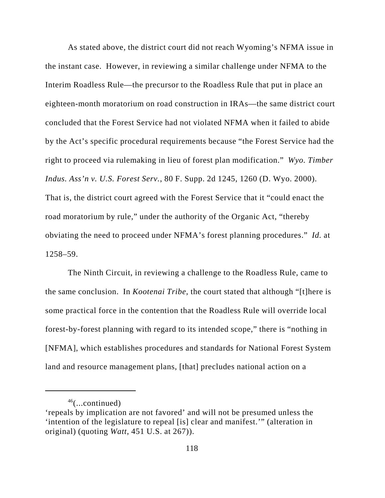As stated above, the district court did not reach Wyoming's NFMA issue in the instant case. However, in reviewing a similar challenge under NFMA to the Interim Roadless Rule—the precursor to the Roadless Rule that put in place an eighteen-month moratorium on road construction in IRAs—the same district court concluded that the Forest Service had not violated NFMA when it failed to abide by the Act's specific procedural requirements because "the Forest Service had the right to proceed via rulemaking in lieu of forest plan modification." *Wyo. Timber Indus. Ass'n v. U.S. Forest Serv.*, 80 F. Supp. 2d 1245, 1260 (D. Wyo. 2000). That is, the district court agreed with the Forest Service that it "could enact the road moratorium by rule," under the authority of the Organic Act, "thereby obviating the need to proceed under NFMA's forest planning procedures." *Id.* at 1258–59.

The Ninth Circuit, in reviewing a challenge to the Roadless Rule, came to the same conclusion. In *Kootenai Tribe*, the court stated that although "[t]here is some practical force in the contention that the Roadless Rule will override local forest-by-forest planning with regard to its intended scope," there is "nothing in [NFMA], which establishes procedures and standards for National Forest System land and resource management plans, [that] precludes national action on a

 $46$ (...continued)

<sup>&#</sup>x27;repeals by implication are not favored' and will not be presumed unless the 'intention of the legislature to repeal [is] clear and manifest.'" (alteration in original) (quoting *Watt*, 451 U.S. at 267)).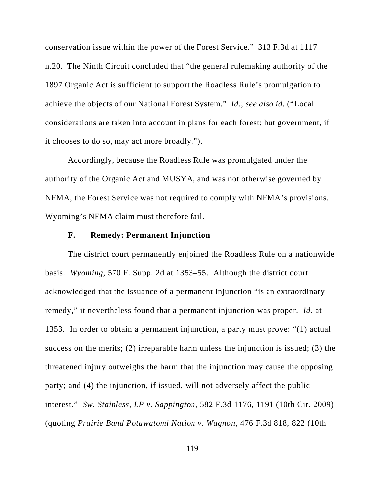conservation issue within the power of the Forest Service." 313 F.3d at 1117 n.20. The Ninth Circuit concluded that "the general rulemaking authority of the 1897 Organic Act is sufficient to support the Roadless Rule's promulgation to achieve the objects of our National Forest System." *Id.*; *see also id.* ("Local considerations are taken into account in plans for each forest; but government, if it chooses to do so, may act more broadly.").

Accordingly, because the Roadless Rule was promulgated under the authority of the Organic Act and MUSYA, and was not otherwise governed by NFMA, the Forest Service was not required to comply with NFMA's provisions. Wyoming's NFMA claim must therefore fail.

## **F. Remedy: Permanent Injunction**

The district court permanently enjoined the Roadless Rule on a nationwide basis. *Wyoming*, 570 F. Supp. 2d at 1353–55. Although the district court acknowledged that the issuance of a permanent injunction "is an extraordinary remedy," it nevertheless found that a permanent injunction was proper. *Id.* at 1353. In order to obtain a permanent injunction, a party must prove: "(1) actual success on the merits; (2) irreparable harm unless the injunction is issued; (3) the threatened injury outweighs the harm that the injunction may cause the opposing party; and (4) the injunction, if issued, will not adversely affect the public interest." *Sw. Stainless, LP v. Sappington*, 582 F.3d 1176, 1191 (10th Cir. 2009) (quoting *Prairie Band Potawatomi Nation v. Wagnon*, 476 F.3d 818, 822 (10th